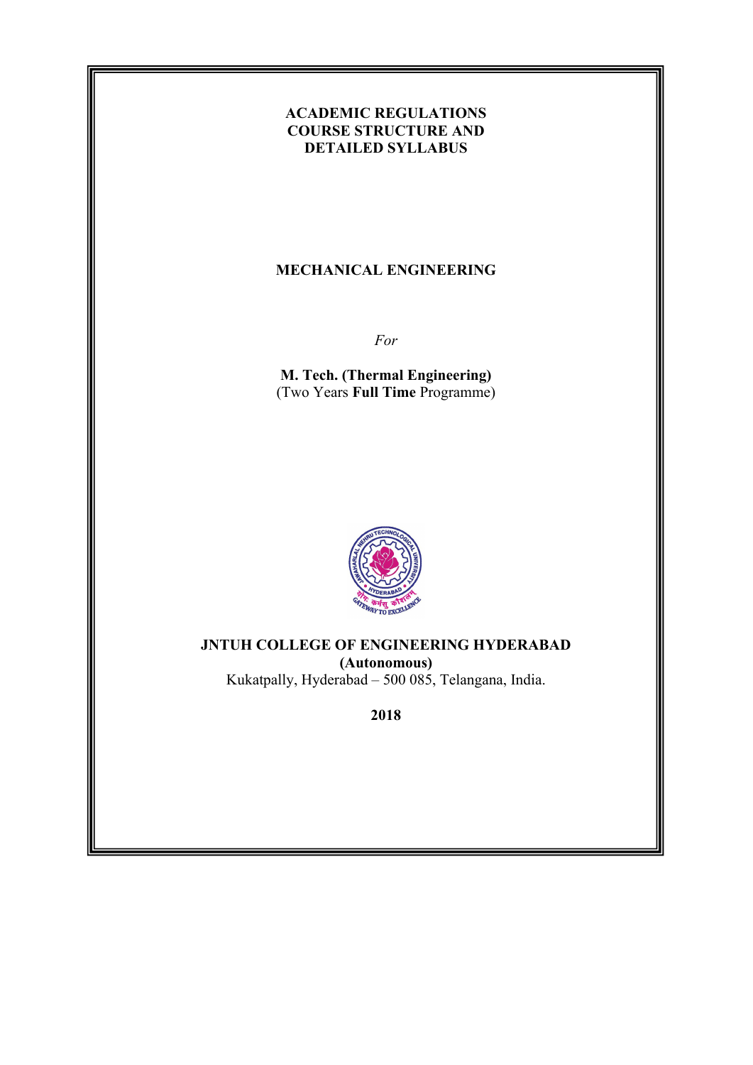## **ACADEMIC REGULATIONS COURSE STRUCTURE AND DETAILED SYLLABUS**

### **MECHANICAL ENGINEERING**

*For* 

**M. Tech. (Thermal Engineering)**  (Two Years **Full Time** Programme)



**JNTUH COLLEGE OF ENGINEERING HYDERABAD (Autonomous)**  Kukatpally, Hyderabad – 500 085, Telangana, India.

**2018**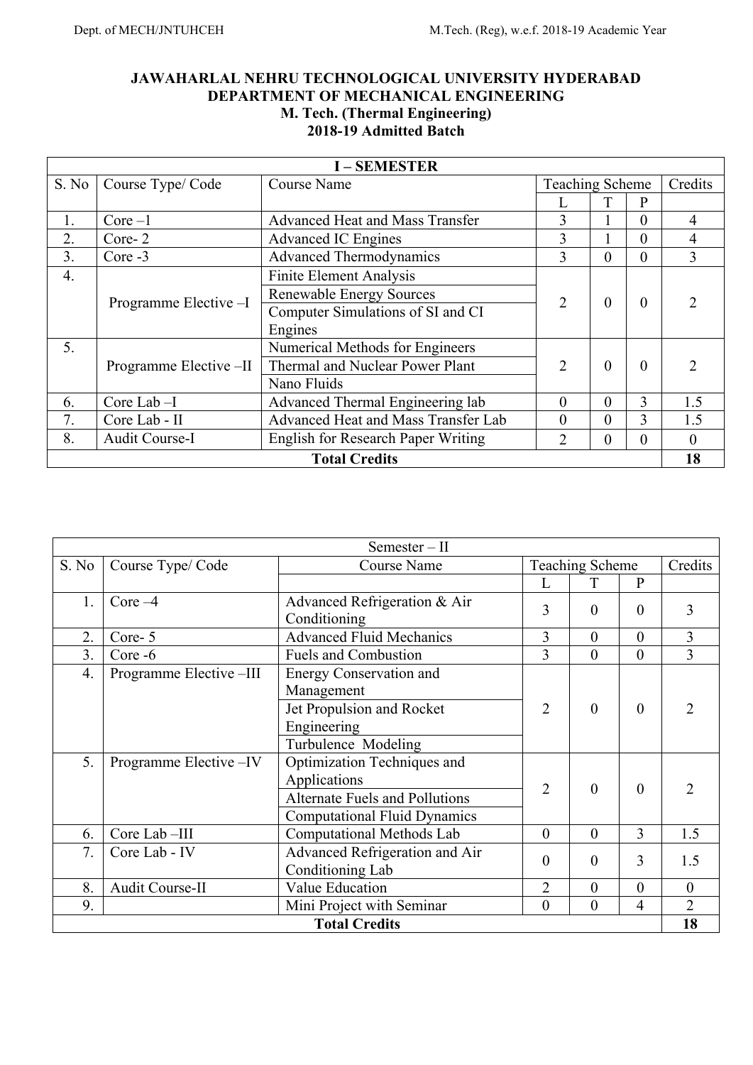## **JAWAHARLAL NEHRU TECHNOLOGICAL UNIVERSITY HYDERABAD DEPARTMENT OF MECHANICAL ENGINEERING M. Tech. (Thermal Engineering) 2018-19 Admitted Batch**

| <b>I-SEMESTER</b> |                         |                                           |                        |          |          |               |
|-------------------|-------------------------|-------------------------------------------|------------------------|----------|----------|---------------|
| S. No             | Course Type/Code        | <b>Course Name</b>                        | <b>Teaching Scheme</b> |          | Credits  |               |
|                   |                         |                                           |                        |          | P        |               |
| 1.                | $Core-1$                | <b>Advanced Heat and Mass Transfer</b>    | 3                      |          | $\theta$ | 4             |
| 2.                | Core-2                  | <b>Advanced IC Engines</b>                | 3                      |          | $\theta$ | 4             |
| 3.                | Core -3                 | <b>Advanced Thermodynamics</b>            | 3                      | $\theta$ | $\theta$ | 3             |
| 4.                |                         | Finite Element Analysis                   |                        |          |          |               |
|                   | Programme Elective -I   | <b>Renewable Energy Sources</b>           | 2                      | $\theta$ | $\theta$ |               |
|                   |                         | Computer Simulations of SI and CI         |                        |          |          |               |
|                   |                         | Engines                                   |                        |          |          |               |
| 5.                |                         | Numerical Methods for Engineers           |                        |          |          |               |
|                   | Programme Elective --II | Thermal and Nuclear Power Plant           | $\overline{2}$         | $\theta$ | $\Omega$ | $\mathcal{D}$ |
|                   |                         | Nano Fluids                               |                        |          |          |               |
| 6.                | Core Lab $-I$           | Advanced Thermal Engineering lab          | $\Omega$               | $\Omega$ | 3        | 1.5           |
| 7.                | Core Lab - II           | Advanced Heat and Mass Transfer Lab       | $\Omega$               | $\theta$ | 3        | 1.5           |
| 8.                | Audit Course-I          | <b>English for Research Paper Writing</b> | 2                      | $\theta$ | $\theta$ | $\Omega$      |
|                   |                         | <b>Total Credits</b>                      |                        |          |          | 18            |

| $Semester-II$ |                                                  |                                                                                                                                                |                |                        |                  |                       |
|---------------|--------------------------------------------------|------------------------------------------------------------------------------------------------------------------------------------------------|----------------|------------------------|------------------|-----------------------|
| S. No         | Course Type/Code                                 | <b>Course Name</b>                                                                                                                             |                | <b>Teaching Scheme</b> |                  | Credits               |
|               |                                                  |                                                                                                                                                | L              | T                      | $\mathbf{P}$     |                       |
| 1.            | Core $-4$                                        | Advanced Refrigeration & Air<br>Conditioning                                                                                                   | 3              | $\theta$               | $\theta$         | 3                     |
| 2.            | Core-5                                           | <b>Advanced Fluid Mechanics</b>                                                                                                                | 3              | $\theta$               | $\overline{0}$   | 3                     |
| 3.            | $Core - 6$                                       | <b>Fuels and Combustion</b>                                                                                                                    | 3              | $\theta$               | $\boldsymbol{0}$ | 3                     |
| 4.<br>5.      | Programme Elective -III<br>Programme Elective-IV | <b>Energy Conservation and</b><br>Management<br>Jet Propulsion and Rocket<br>Engineering<br>Turbulence Modeling<br>Optimization Techniques and | $\overline{2}$ | $\theta$               | $\mathbf{0}$     | 2                     |
|               |                                                  | Applications<br><b>Alternate Fuels and Pollutions</b><br><b>Computational Fluid Dynamics</b>                                                   | $\overline{2}$ | $\overline{0}$         | $\mathbf{0}$     | $\mathcal{D}_{\cdot}$ |
| 6.            | Core Lab-III                                     | Computational Methods Lab                                                                                                                      | $\overline{0}$ | $\theta$               | $\overline{3}$   | 1.5                   |
| 7.            | Core Lab - IV                                    | Advanced Refrigeration and Air<br>Conditioning Lab                                                                                             | 0              | $\theta$               | 3                | 1.5                   |
| 8.            | Audit Course-II                                  | Value Education                                                                                                                                | $\overline{2}$ | $\overline{0}$         | $\overline{0}$   | $\mathbf{0}$          |
| 9.            |                                                  | Mini Project with Seminar                                                                                                                      | 0              | $\overline{0}$         | $\overline{4}$   | $\overline{2}$        |
|               | 18<br><b>Total Credits</b>                       |                                                                                                                                                |                |                        |                  |                       |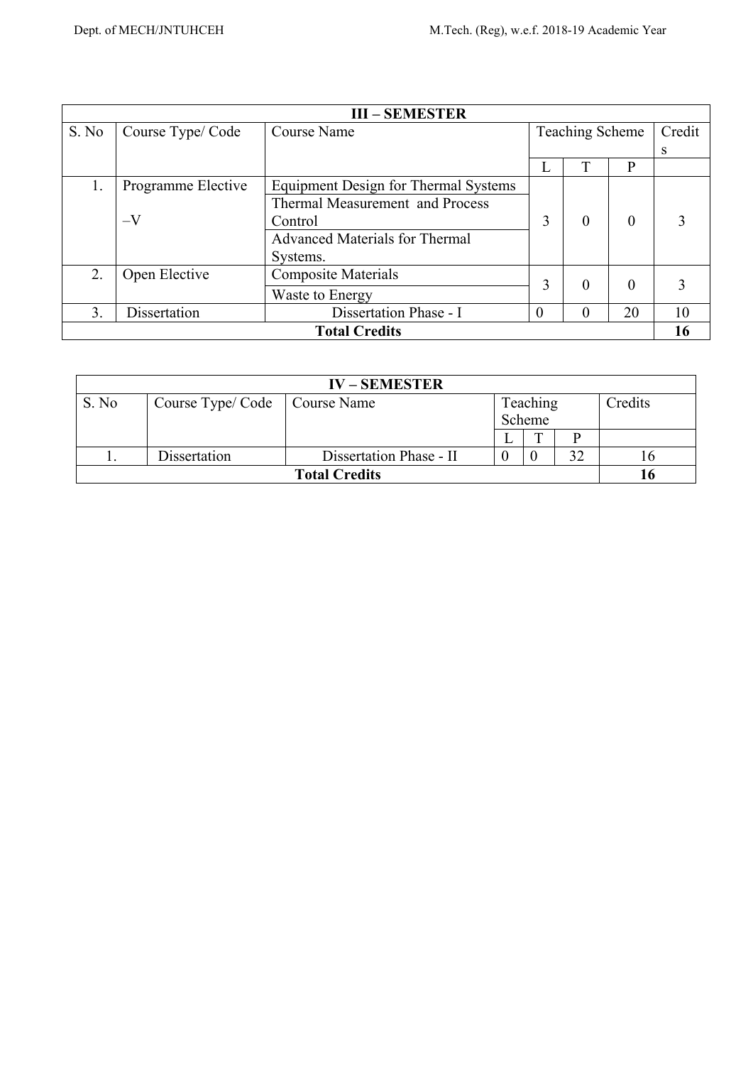| <b>III-SEMESTER</b>  |                    |                                       |          |                        |          |        |
|----------------------|--------------------|---------------------------------------|----------|------------------------|----------|--------|
| S. No                | Course Type/Code   | Course Name                           |          | <b>Teaching Scheme</b> |          | Credit |
|                      |                    |                                       |          |                        |          | S      |
|                      |                    |                                       |          | T                      | P        |        |
| 1.                   | Programme Elective | Equipment Design for Thermal Systems  |          |                        |          |        |
|                      |                    | Thermal Measurement and Process       |          |                        |          |        |
|                      | $-V$               | Control                               | 3        | $\theta$               | $\theta$ | 3      |
|                      |                    | <b>Advanced Materials for Thermal</b> |          |                        |          |        |
|                      |                    | Systems.                              |          |                        |          |        |
| 2.                   | Open Elective      | <b>Composite Materials</b>            |          |                        |          |        |
|                      |                    | Waste to Energy                       | 3        | 0                      | 0        |        |
| 3.                   | Dissertation       | Dissertation Phase - I                | $\theta$ | $\theta$               | 20       | 10     |
| <b>Total Credits</b> |                    |                                       |          |                        |          | 16     |

| <b>IV-SEMESTER</b>   |                  |                         |  |          |  |         |
|----------------------|------------------|-------------------------|--|----------|--|---------|
| S. No                | Course Type/Code | Course Name             |  | Teaching |  | Credits |
|                      |                  |                         |  | Scheme   |  |         |
|                      |                  |                         |  | ᠁        |  |         |
| .,                   | Dissertation     | Dissertation Phase - II |  |          |  |         |
| <b>Total Credits</b> |                  |                         |  |          |  |         |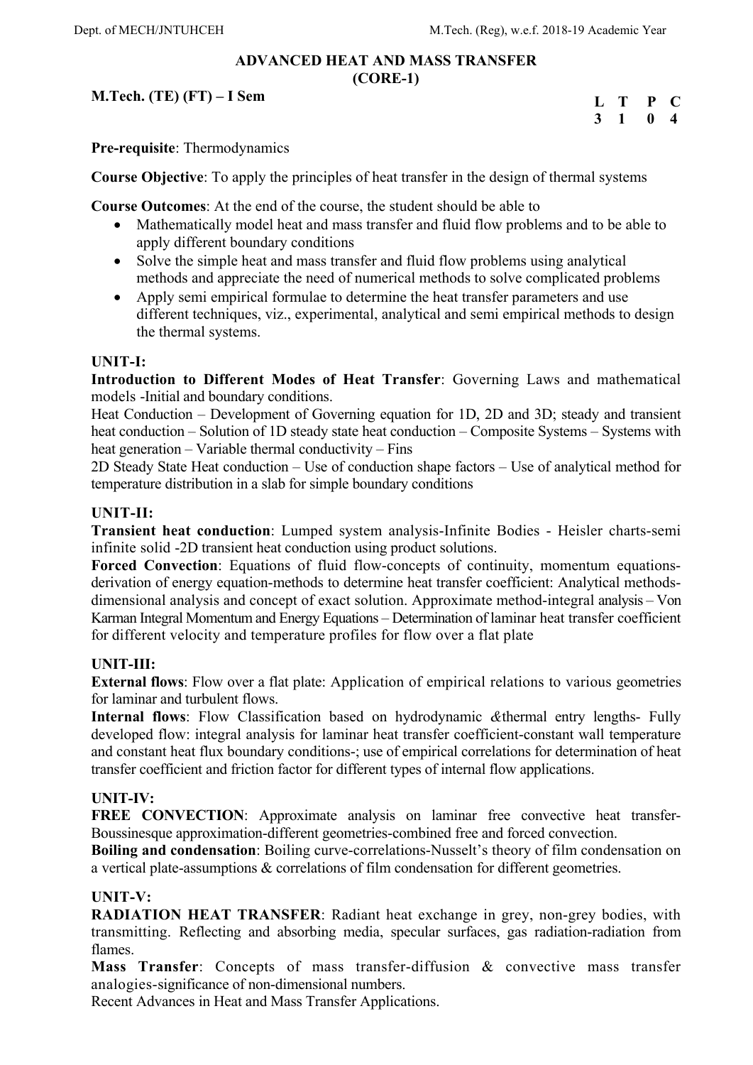### **ADVANCED HEAT AND MASS TRANSFER (CORE-1)**

**M.Tech. (TE) (FT) – I Sem** 

| L | Т  | P            | $\mathbf{C}$   |
|---|----|--------------|----------------|
| 3 | -1 | $\mathbf{0}$ | $\overline{4}$ |

**Pre-requisite**: Thermodynamics

**Course Objective**: To apply the principles of heat transfer in the design of thermal systems

**Course Outcomes**: At the end of the course, the student should be able to

- Mathematically model heat and mass transfer and fluid flow problems and to be able to apply different boundary conditions
- Solve the simple heat and mass transfer and fluid flow problems using analytical methods and appreciate the need of numerical methods to solve complicated problems
- Apply semi empirical formulae to determine the heat transfer parameters and use different techniques, viz., experimental, analytical and semi empirical methods to design the thermal systems.

#### **UNIT-I:**

**Introduction to Different Modes of Heat Transfer**: Governing Laws and mathematical models -Initial and boundary conditions.

Heat Conduction – Development of Governing equation for 1D, 2D and 3D; steady and transient heat conduction – Solution of 1D steady state heat conduction – Composite Systems – Systems with heat generation – Variable thermal conductivity – Fins

2D Steady State Heat conduction – Use of conduction shape factors – Use of analytical method for temperature distribution in a slab for simple boundary conditions

### **UNIT-II:**

**Transient heat conduction**: Lumped system analysis-Infinite Bodies - Heisler charts-semi infinite solid -2D transient heat conduction using product solutions.

**Forced Convection**: Equations of fluid flow-concepts of continuity, momentum equationsderivation of energy equation-methods to determine heat transfer coefficient: Analytical methodsdimensional analysis and concept of exact solution. Approximate method-integral analysis – Von Karman Integral Momentum and Energy Equations – Determination of laminar heat transfer coefficient for different velocity and temperature profiles for flow over a flat plate

### **UNIT-III:**

**External flows**: Flow over a flat plate: Application of empirical relations to various geometries for laminar and turbulent flows.

**Internal flows**: Flow Classification based on hydrodynamic *&*thermal entry lengths- Fully developed flow: integral analysis for laminar heat transfer coefficient-constant wall temperature and constant heat flux boundary conditions-; use of empirical correlations for determination of heat transfer coefficient and friction factor for different types of internal flow applications.

### **UNIT-IV:**

**FREE CONVECTION:** Approximate analysis on laminar free convective heat transfer-Boussinesque approximation-different geometries-combined free and forced convection.

**Boiling and condensation**: Boiling curve-correlations-Nusselt's theory of film condensation on a vertical plate-assumptions & correlations of film condensation for different geometries.

#### **UNIT-V:**

**RADIATION HEAT TRANSFER**: Radiant heat exchange in grey, non-grey bodies, with transmitting. Reflecting and absorbing media, specular surfaces, gas radiation-radiation from flames.

**Mass Transfer**: Concepts of mass transfer-diffusion & convective mass transfer analogies-significance of non-dimensional numbers.

Recent Advances in Heat and Mass Transfer Applications.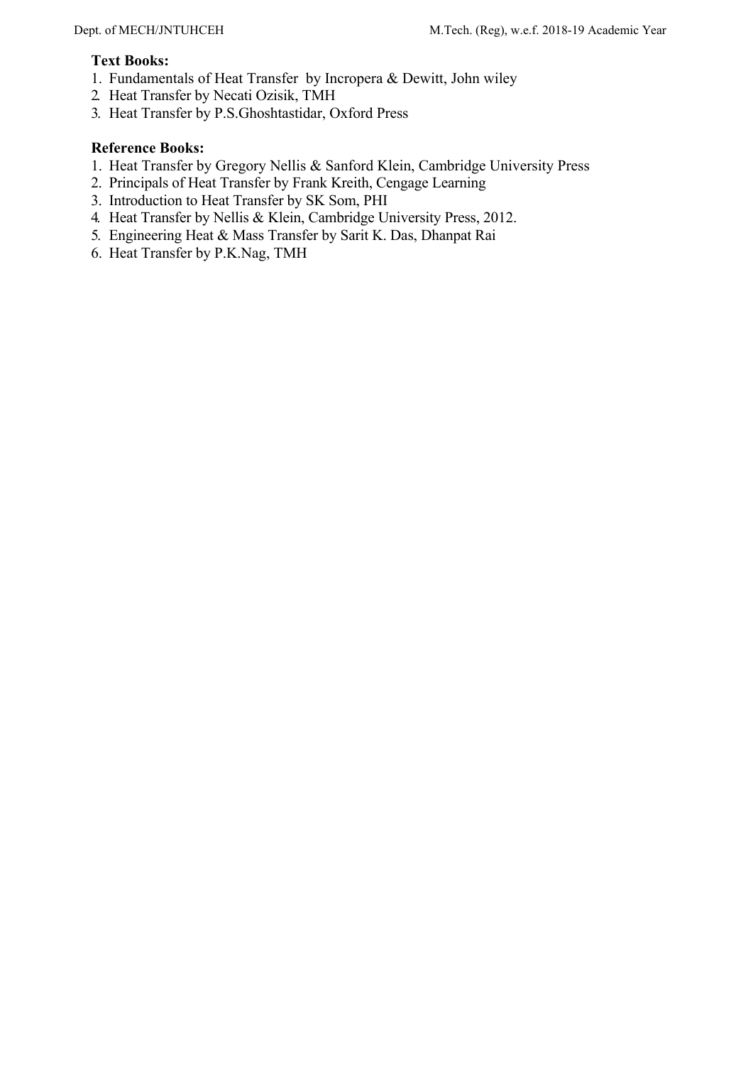## **Text Books:**

- 1. Fundamentals of Heat Transfer by Incropera & Dewitt, John wiley
- 2. Heat Transfer by Necati Ozisik, TMH
- 3. Heat Transfer by P.S.Ghoshtastidar, Oxford Press

- 1. Heat Transfer by Gregory Nellis & Sanford Klein, Cambridge University Press
- 2. Principals of Heat Transfer by Frank Kreith, Cengage Learning
- 3. Introduction to Heat Transfer by SK Som, PHI
- 4. Heat Transfer by Nellis & Klein, Cambridge University Press, 2012.
- 5. Engineering Heat & Mass Transfer by Sarit K. Das, Dhanpat Rai
- 6. Heat Transfer by P.K.Nag, TMH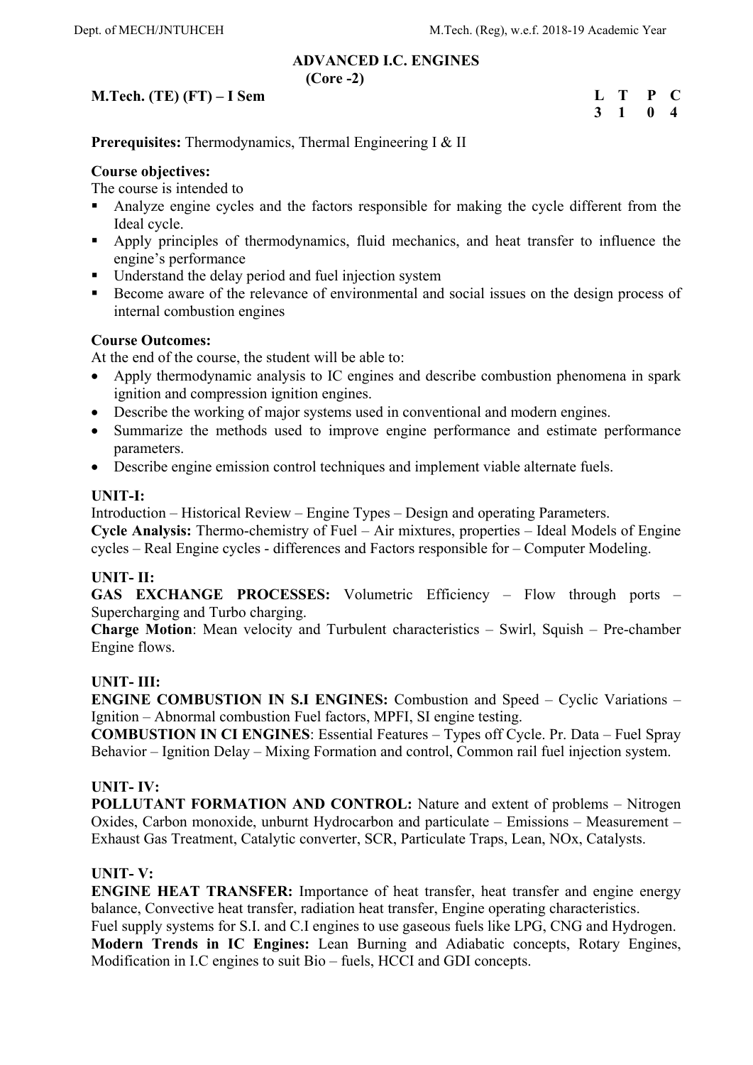#### **ADVANCED I.C. ENGINES (Core -2)**

## **M.Tech. (TE) (FT) – I Sem**

| $\mathbf{L}$ | $\mathbf{T}$   | $\mathbf{P}$ | $\bullet$               |
|--------------|----------------|--------------|-------------------------|
| $\mathbf{3}$ | $\blacksquare$ | 0            | $\overline{\mathbf{4}}$ |

# **Prerequisites:** Thermodynamics, Thermal Engineering I & II

## **Course objectives:**

The course is intended to

- Analyze engine cycles and the factors responsible for making the cycle different from the Ideal cycle.
- Apply principles of thermodynamics, fluid mechanics, and heat transfer to influence the engine's performance
- Understand the delay period and fuel injection system
- Become aware of the relevance of environmental and social issues on the design process of internal combustion engines

### **Course Outcomes:**

At the end of the course, the student will be able to:

- Apply thermodynamic analysis to IC engines and describe combustion phenomena in spark ignition and compression ignition engines.
- Describe the working of major systems used in conventional and modern engines.
- Summarize the methods used to improve engine performance and estimate performance parameters.
- Describe engine emission control techniques and implement viable alternate fuels.

### **UNIT-I:**

Introduction – Historical Review – Engine Types – Design and operating Parameters.

**Cycle Analysis:** Thermo-chemistry of Fuel – Air mixtures, properties – Ideal Models of Engine cycles – Real Engine cycles - differences and Factors responsible for – Computer Modeling.

## **UNIT- II:**

**GAS EXCHANGE PROCESSES:** Volumetric Efficiency – Flow through ports – Supercharging and Turbo charging.

**Charge Motion**: Mean velocity and Turbulent characteristics – Swirl, Squish – Pre-chamber Engine flows.

## **UNIT- III:**

**ENGINE COMBUSTION IN S.I ENGINES:** Combustion and Speed – Cyclic Variations – Ignition – Abnormal combustion Fuel factors, MPFI, SI engine testing.

**COMBUSTION IN CI ENGINES**: Essential Features – Types off Cycle. Pr. Data – Fuel Spray Behavior – Ignition Delay – Mixing Formation and control, Common rail fuel injection system.

### **UNIT- IV:**

**POLLUTANT FORMATION AND CONTROL:** Nature and extent of problems – Nitrogen Oxides, Carbon monoxide, unburnt Hydrocarbon and particulate – Emissions – Measurement – Exhaust Gas Treatment, Catalytic converter, SCR, Particulate Traps, Lean, NOx, Catalysts.

### **UNIT- V:**

**ENGINE HEAT TRANSFER:** Importance of heat transfer, heat transfer and engine energy balance, Convective heat transfer, radiation heat transfer, Engine operating characteristics. Fuel supply systems for S.I. and C.I engines to use gaseous fuels like LPG, CNG and Hydrogen. **Modern Trends in IC Engines:** Lean Burning and Adiabatic concepts, Rotary Engines, Modification in I.C engines to suit Bio – fuels, HCCI and GDI concepts.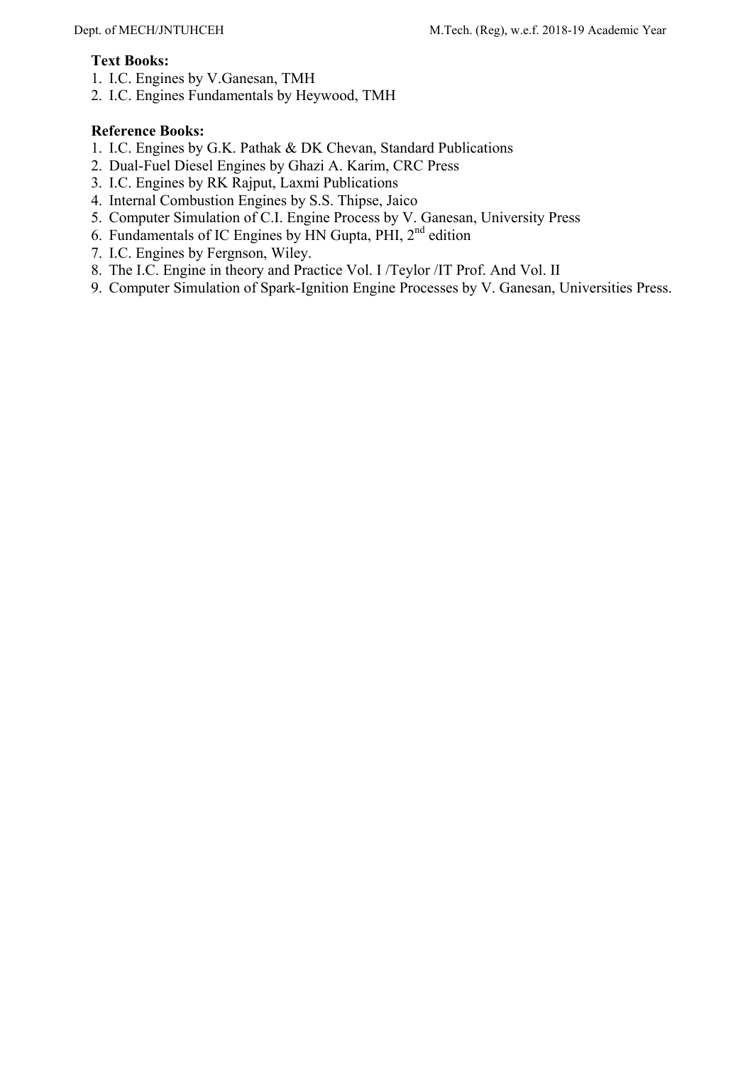### **Text Books:**

- 1. I.C. Engines by V.Ganesan, TMH
- 2. I.C. Engines Fundamentals by Heywood, TMH

- 1. I.C. Engines by G.K. Pathak & DK Chevan, Standard Publications
- 2. Dual-Fuel Diesel Engines by Ghazi A. Karim, CRC Press
- 3. I.C. Engines by RK Rajput, Laxmi Publications
- 4. Internal Combustion Engines by S.S. Thipse, Jaico
- 5. Computer Simulation of C.I. Engine Process by V. Ganesan, University Press
- 6. Fundamentals of IC Engines by HN Gupta, PHI, 2nd edition
- 7. I.C. Engines by Fergnson, Wiley.
- 8. The I.C. Engine in theory and Practice Vol. I /Teylor /IT Prof. And Vol. II
- 9. Computer Simulation of Spark-Ignition Engine Processes by V. Ganesan, Universities Press.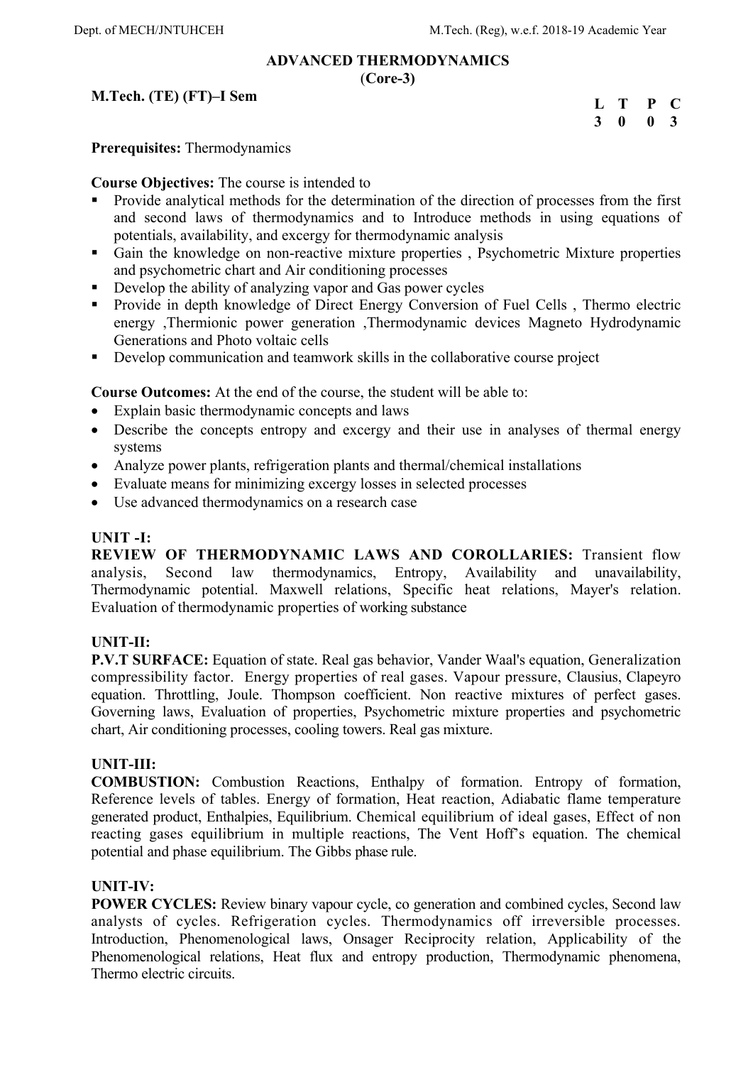#### **ADVANCED THERMODYNAMICS**  (**Core-3)**

## **M.Tech. (TE) (FT)–I Sem**

| L T |              | $\mathbf{P}$ | $\mathbf C$             |
|-----|--------------|--------------|-------------------------|
| 3   | $\mathbf{0}$ | $\mathbf{0}$ | $\overline{\mathbf{3}}$ |

### **Prerequisites:** Thermodynamics

**Course Objectives:** The course is intended to

- Provide analytical methods for the determination of the direction of processes from the first and second laws of thermodynamics and to Introduce methods in using equations of potentials, availability, and excergy for thermodynamic analysis
- Gain the knowledge on non-reactive mixture properties, Psychometric Mixture properties and psychometric chart and Air conditioning processes
- Develop the ability of analyzing vapor and Gas power cycles
- Provide in depth knowledge of Direct Energy Conversion of Fuel Cells , Thermo electric energy ,Thermionic power generation ,Thermodynamic devices Magneto Hydrodynamic Generations and Photo voltaic cells
- Develop communication and teamwork skills in the collaborative course project

**Course Outcomes:** At the end of the course, the student will be able to:

- Explain basic thermodynamic concepts and laws
- Describe the concepts entropy and excergy and their use in analyses of thermal energy systems
- Analyze power plants, refrigeration plants and thermal/chemical installations
- Evaluate means for minimizing excergy losses in selected processes
- Use advanced thermodynamics on a research case

### **UNIT -I:**

**REVIEW OF THERMODYNAMIC LAWS AND COROLLARIES:** Transient flow analysis, Second law thermodynamics, Entropy, Availability and unavailability, Thermodynamic potential. Maxwell relations, Specific heat relations, Mayer's relation. Evaluation of thermodynamic properties of working substance

### **UNIT-II:**

**P.V.T SURFACE:** Equation of state. Real gas behavior, Vander Waal's equation, Generalization compressibility factor. Energy properties of real gases. Vapour pressure, Clausius, Clapeyro equation. Throttling, Joule. Thompson coefficient. Non reactive mixtures of perfect gases. Governing laws, Evaluation of properties, Psychometric mixture properties and psychometric chart, Air conditioning processes, cooling towers. Real gas mixture.

### **UNIT-III:**

**COMBUSTION:** Combustion Reactions, Enthalpy of formation. Entropy of formation, Reference levels of tables. Energy of formation, Heat reaction, Adiabatic flame temperature generated product, Enthalpies, Equilibrium. Chemical equilibrium of ideal gases, Effect of non reacting gases equilibrium in multiple reactions, The Vent Hoff's equation. The chemical potential and phase equilibrium. The Gibbs phase rule.

### **UNIT-IV:**

**POWER CYCLES:** Review binary vapour cycle, co generation and combined cycles, Second law analysts of cycles. Refrigeration cycles. Thermodynamics off irreversible processes. Introduction, Phenomenological laws, Onsager Reciprocity relation, Applicability of the Phenomenological relations, Heat flux and entropy production, Thermodynamic phenomena, Thermo electric circuits.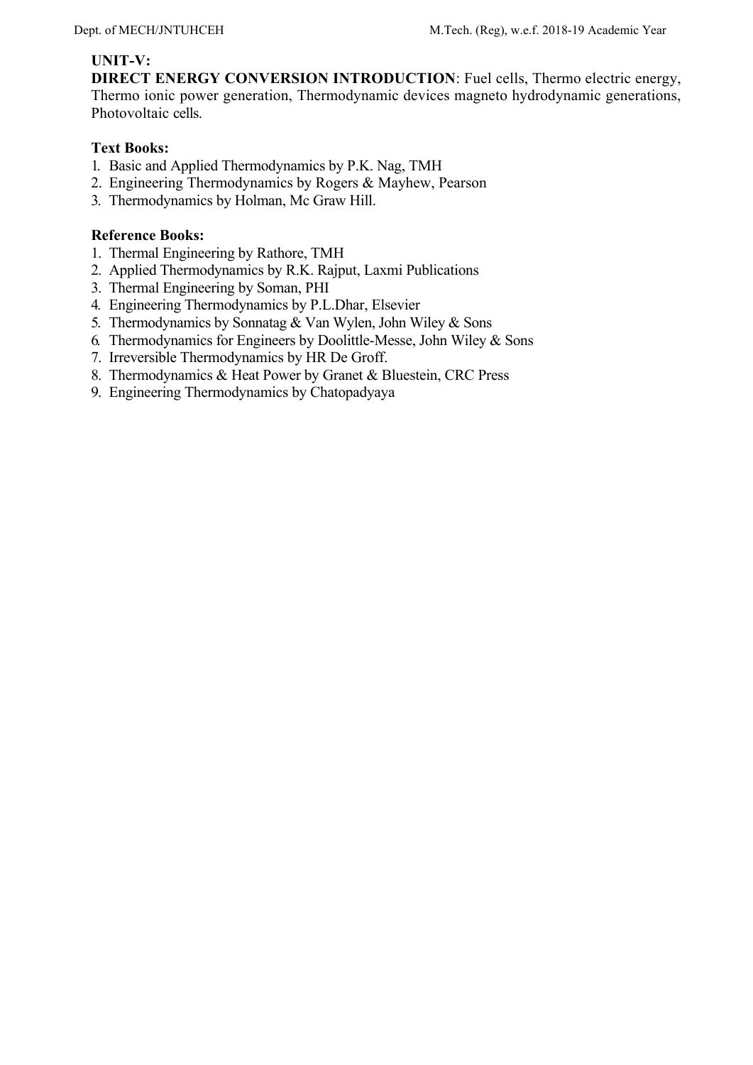### **UNIT-V:**

**DIRECT ENERGY CONVERSION INTRODUCTION**: Fuel cells, Thermo electric energy, Thermo ionic power generation, Thermodynamic devices magneto hydrodynamic generations, Photovoltaic cells.

### **Text Books:**

- 1. Basic and Applied Thermodynamics by P.K. Nag, TMH
- 2. Engineering Thermodynamics by Rogers & Mayhew, Pearson
- 3. Thermodynamics by Holman, Mc Graw Hill.

- 1. Thermal Engineering by Rathore, TMH
- 2. Applied Thermodynamics by R.K. Rajput, Laxmi Publications
- 3. Thermal Engineering by Soman, PHI
- 4. Engineering Thermodynamics by P.L.Dhar, Elsevier
- 5. Thermodynamics by Sonnatag & Van Wylen, John Wiley & Sons
- 6. Thermodynamics for Engineers by Doolittle-Messe, John Wiley & Sons
- 7. Irreversible Thermodynamics by HR De Groff.
- 8. Thermodynamics & Heat Power by Granet & Bluestein, CRC Press
- 9. Engineering Thermodynamics by Chatopadyaya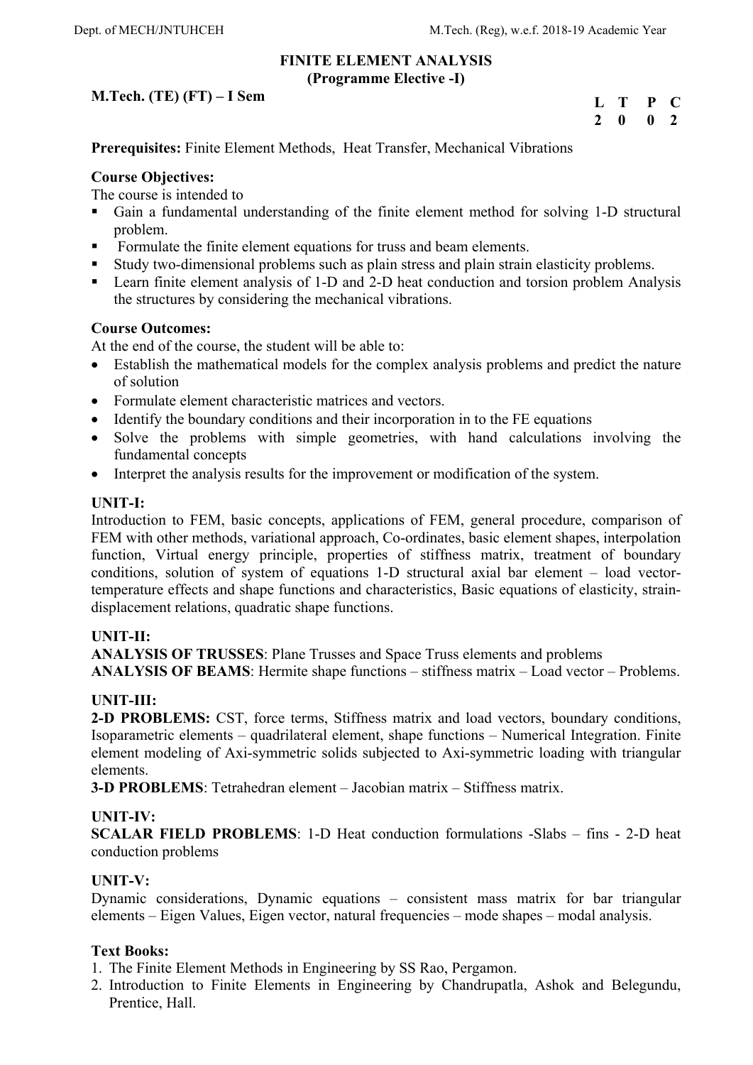### **FINITE ELEMENT ANALYSIS (Programme Elective -I)**

## **M.Tech. (TE) (FT) – I Sem**

| L            | т | P            | C            |
|--------------|---|--------------|--------------|
| $\mathbf{2}$ | 0 | $\mathbf{0}$ | <sup>2</sup> |

**Prerequisites:** Finite Element Methods, Heat Transfer, Mechanical Vibrations

### **Course Objectives:**

The course is intended to

- Gain a fundamental understanding of the finite element method for solving 1-D structural problem.
- Formulate the finite element equations for truss and beam elements.
- Study two-dimensional problems such as plain stress and plain strain elasticity problems.
- Learn finite element analysis of 1-D and 2-D heat conduction and torsion problem Analysis the structures by considering the mechanical vibrations.

### **Course Outcomes:**

At the end of the course, the student will be able to:

- Establish the mathematical models for the complex analysis problems and predict the nature of solution
- Formulate element characteristic matrices and vectors.
- Identify the boundary conditions and their incorporation in to the FE equations
- Solve the problems with simple geometries, with hand calculations involving the fundamental concepts
- Interpret the analysis results for the improvement or modification of the system.

### **UNIT-I:**

Introduction to FEM, basic concepts, applications of FEM, general procedure, comparison of FEM with other methods, variational approach, Co-ordinates, basic element shapes, interpolation function, Virtual energy principle, properties of stiffness matrix, treatment of boundary conditions, solution of system of equations 1-D structural axial bar element – load vectortemperature effects and shape functions and characteristics, Basic equations of elasticity, straindisplacement relations, quadratic shape functions.

### **UNIT-II:**

**ANALYSIS OF TRUSSES**: Plane Trusses and Space Truss elements and problems **ANALYSIS OF BEAMS**: Hermite shape functions – stiffness matrix – Load vector – Problems.

## **UNIT-III:**

**2-D PROBLEMS:** CST, force terms, Stiffness matrix and load vectors, boundary conditions, Isoparametric elements – quadrilateral element, shape functions – Numerical Integration. Finite element modeling of Axi-symmetric solids subjected to Axi-symmetric loading with triangular elements.

**3-D PROBLEMS**: Tetrahedran element – Jacobian matrix – Stiffness matrix.

### **UNIT-IV:**

**SCALAR FIELD PROBLEMS**: 1-D Heat conduction formulations -Slabs – fins - 2-D heat conduction problems

### **UNIT-V:**

Dynamic considerations, Dynamic equations – consistent mass matrix for bar triangular elements – Eigen Values, Eigen vector, natural frequencies – mode shapes – modal analysis.

### **Text Books:**

- 1. The Finite Element Methods in Engineering by SS Rao, Pergamon.
- 2. Introduction to Finite Elements in Engineering by Chandrupatla, Ashok and Belegundu, Prentice, Hall.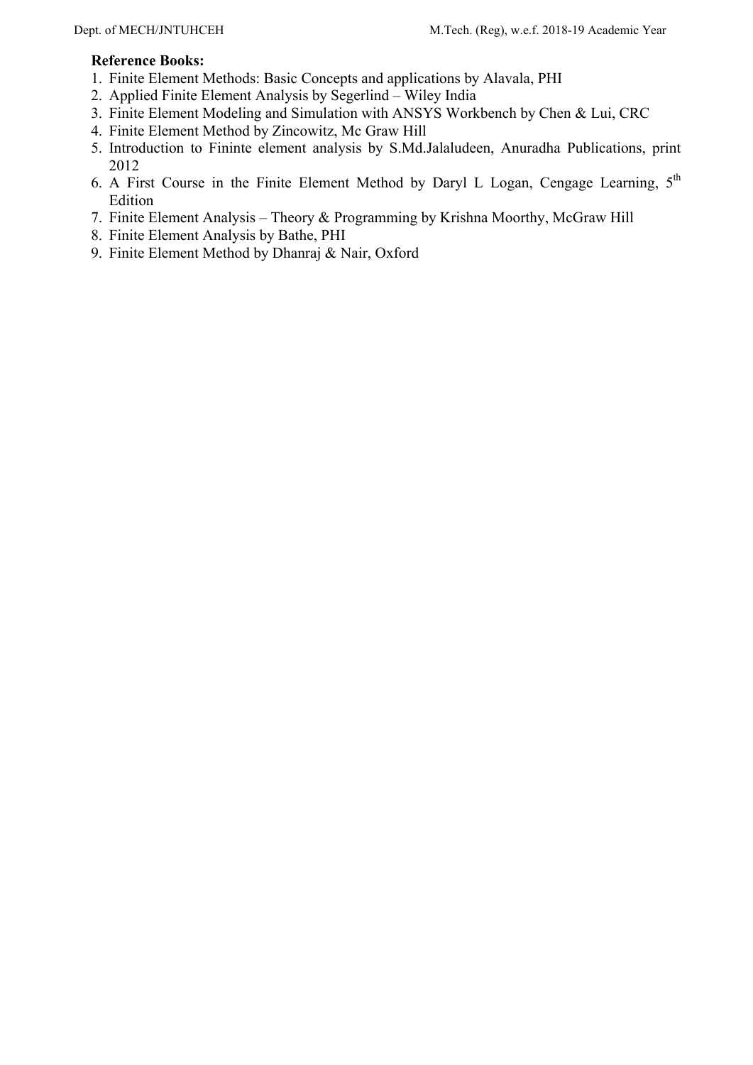- 1. Finite Element Methods: Basic Concepts and applications by Alavala, PHI
- 2. Applied Finite Element Analysis by Segerlind Wiley India
- 3. Finite Element Modeling and Simulation with ANSYS Workbench by Chen & Lui, CRC
- 4. Finite Element Method by Zincowitz, Mc Graw Hill
- 5. Introduction to Fininte element analysis by S.Md.Jalaludeen, Anuradha Publications, print 2012
- 6. A First Course in the Finite Element Method by Daryl L Logan, Cengage Learning,  $5<sup>th</sup>$ Edition
- 7. Finite Element Analysis Theory & Programming by Krishna Moorthy, McGraw Hill
- 8. Finite Element Analysis by Bathe, PHI
- 9. Finite Element Method by Dhanraj & Nair, Oxford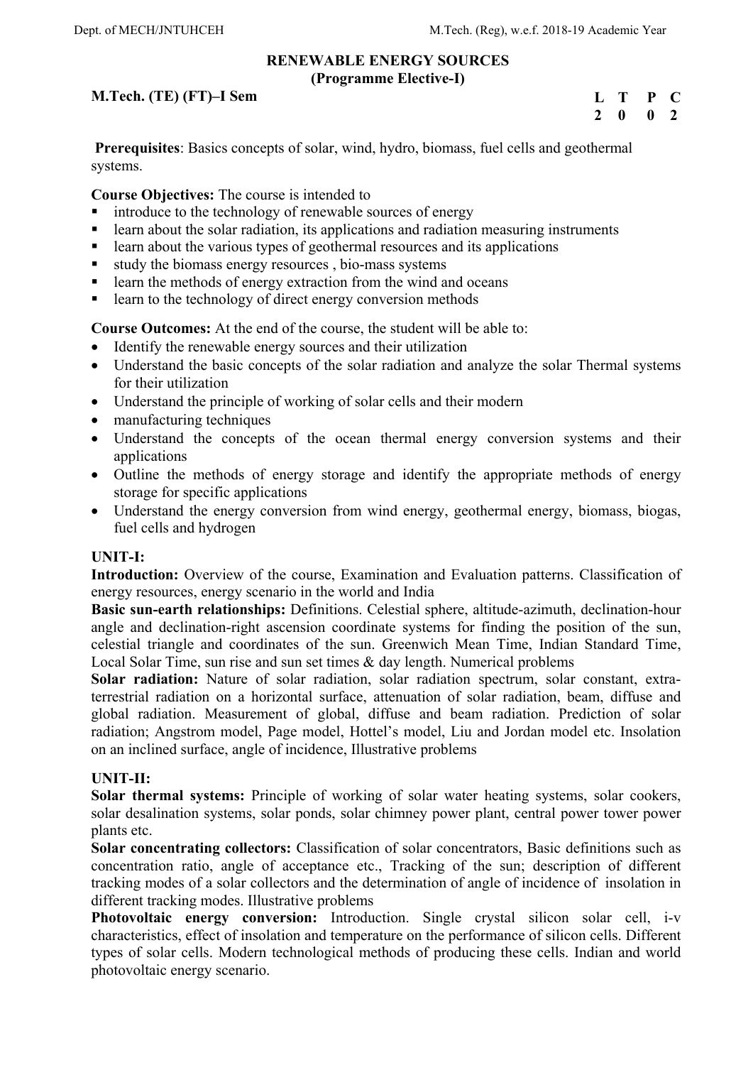#### **RENEWABLE ENERGY SOURCES (Programme Elective-I)**

## **M.Tech. (TE) (FT)–I Sem**

**L T P C 2 0 0 2** 

 **Prerequisites**: Basics concepts of solar, wind, hydro, biomass, fuel cells and geothermal systems.

**Course Objectives:** The course is intended to

- introduce to the technology of renewable sources of energy
- learn about the solar radiation, its applications and radiation measuring instruments
- **Example 1** learn about the various types of geothermal resources and its applications
- study the biomass energy resources , bio-mass systems
- **Example 1** learn the methods of energy extraction from the wind and oceans
- **Example 1** learn to the technology of direct energy conversion methods

**Course Outcomes:** At the end of the course, the student will be able to:

- Identify the renewable energy sources and their utilization
- Understand the basic concepts of the solar radiation and analyze the solar Thermal systems for their utilization
- Understand the principle of working of solar cells and their modern
- manufacturing techniques
- Understand the concepts of the ocean thermal energy conversion systems and their applications
- Outline the methods of energy storage and identify the appropriate methods of energy storage for specific applications
- Understand the energy conversion from wind energy, geothermal energy, biomass, biogas, fuel cells and hydrogen

### **UNIT-I:**

Introduction: Overview of the course, Examination and Evaluation patterns. Classification of energy resources, energy scenario in the world and India

**Basic sun-earth relationships:** Definitions. Celestial sphere, altitude-azimuth, declination-hour angle and declination-right ascension coordinate systems for finding the position of the sun, celestial triangle and coordinates of the sun. Greenwich Mean Time, Indian Standard Time, Local Solar Time, sun rise and sun set times & day length. Numerical problems

**Solar radiation:** Nature of solar radiation, solar radiation spectrum, solar constant, extraterrestrial radiation on a horizontal surface, attenuation of solar radiation, beam, diffuse and global radiation. Measurement of global, diffuse and beam radiation. Prediction of solar radiation; Angstrom model, Page model, Hottel's model, Liu and Jordan model etc. Insolation on an inclined surface, angle of incidence, Illustrative problems

## **UNIT-II:**

**Solar thermal systems:** Principle of working of solar water heating systems, solar cookers, solar desalination systems, solar ponds, solar chimney power plant, central power tower power plants etc.

**Solar concentrating collectors:** Classification of solar concentrators, Basic definitions such as concentration ratio, angle of acceptance etc., Tracking of the sun; description of different tracking modes of a solar collectors and the determination of angle of incidence of insolation in different tracking modes. Illustrative problems

**Photovoltaic energy conversion:** Introduction. Single crystal silicon solar cell, i-v characteristics, effect of insolation and temperature on the performance of silicon cells. Different types of solar cells. Modern technological methods of producing these cells. Indian and world photovoltaic energy scenario.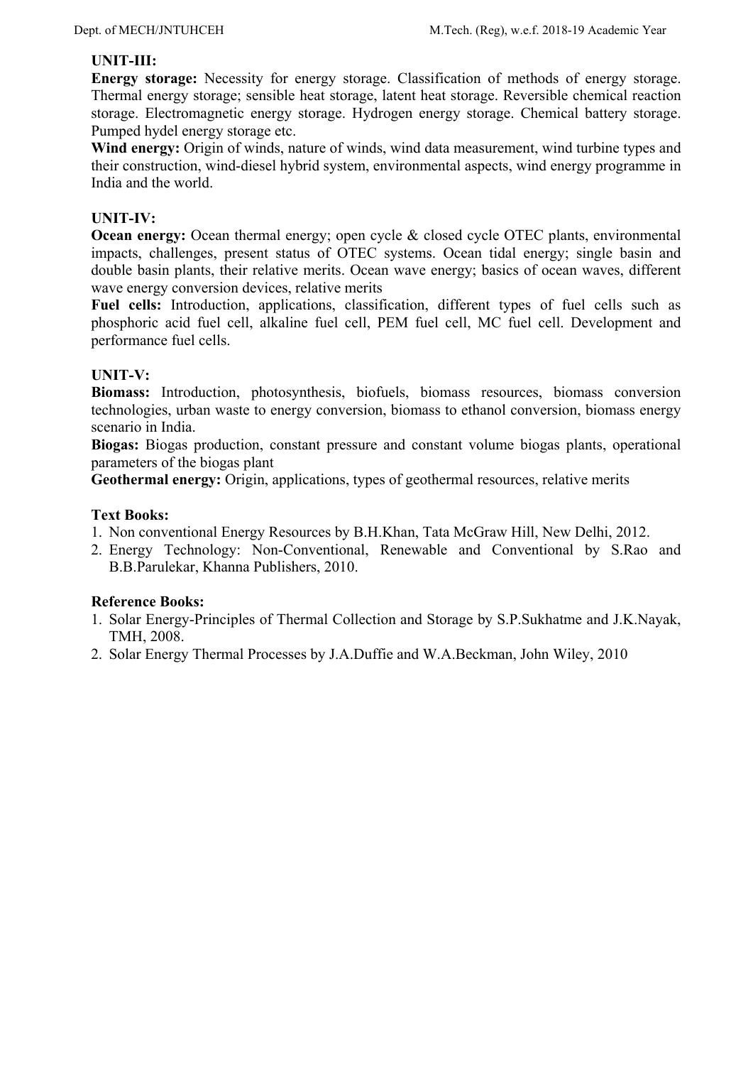## **UNIT-III:**

**Energy storage:** Necessity for energy storage. Classification of methods of energy storage. Thermal energy storage; sensible heat storage, latent heat storage. Reversible chemical reaction storage. Electromagnetic energy storage. Hydrogen energy storage. Chemical battery storage. Pumped hydel energy storage etc.

Wind energy: Origin of winds, nature of winds, wind data measurement, wind turbine types and their construction, wind-diesel hybrid system, environmental aspects, wind energy programme in India and the world.

## **UNIT-IV:**

**Ocean energy:** Ocean thermal energy; open cycle & closed cycle OTEC plants, environmental impacts, challenges, present status of OTEC systems. Ocean tidal energy; single basin and double basin plants, their relative merits. Ocean wave energy; basics of ocean waves, different wave energy conversion devices, relative merits

**Fuel cells:** Introduction, applications, classification, different types of fuel cells such as phosphoric acid fuel cell, alkaline fuel cell, PEM fuel cell, MC fuel cell. Development and performance fuel cells.

### **UNIT-V:**

**Biomass:** Introduction, photosynthesis, biofuels, biomass resources, biomass conversion technologies, urban waste to energy conversion, biomass to ethanol conversion, biomass energy scenario in India.

**Biogas:** Biogas production, constant pressure and constant volume biogas plants, operational parameters of the biogas plant

**Geothermal energy:** Origin, applications, types of geothermal resources, relative merits

### **Text Books:**

- 1. Non conventional Energy Resources by B.H.Khan, Tata McGraw Hill, New Delhi, 2012.
- 2. Energy Technology: Non-Conventional, Renewable and Conventional by S.Rao and B.B.Parulekar, Khanna Publishers, 2010.

- 1. Solar Energy-Principles of Thermal Collection and Storage by S.P.Sukhatme and J.K.Nayak, TMH, 2008.
- 2. Solar Energy Thermal Processes by J.A.Duffie and W.A.Beckman, John Wiley, 2010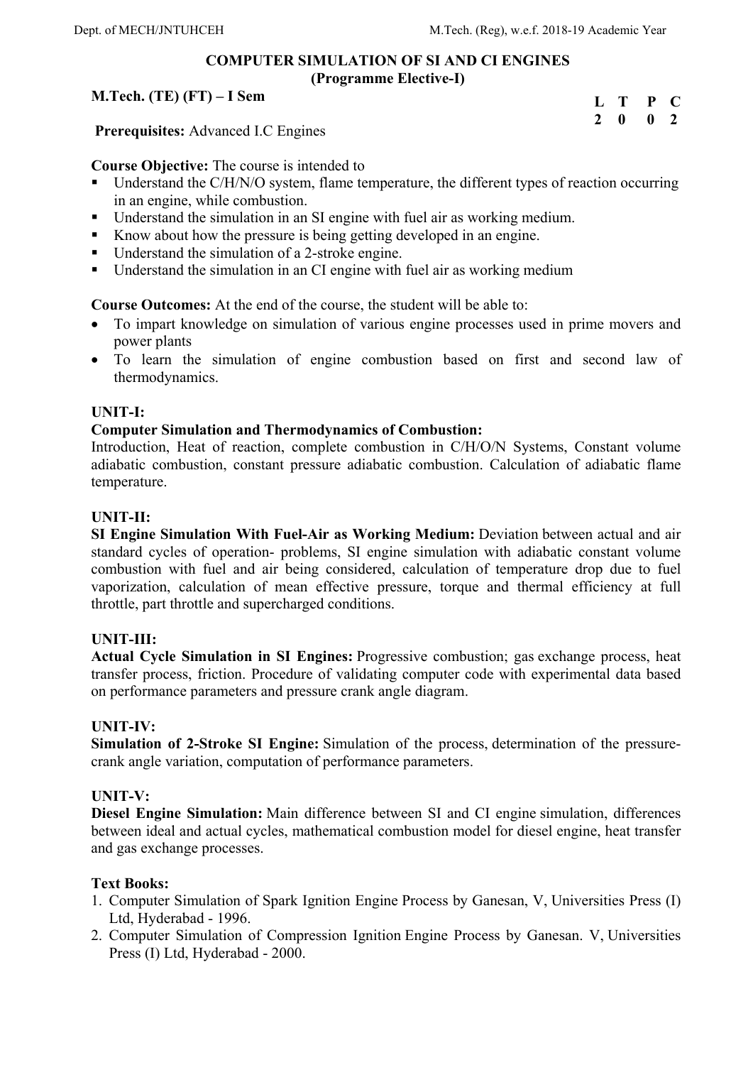### **COMPUTER SIMULATION OF SI AND CI ENGINES (Programme Elective-I)**

### **M.Tech. (TE) (FT) – I Sem**

| L | T | P | C.           |
|---|---|---|--------------|
| 2 | 0 | 0 | <sup>2</sup> |

 **Prerequisites:** Advanced I.C Engines

**Course Objective:** The course is intended to

- Understand the C/H/N/O system, flame temperature, the different types of reaction occurring in an engine, while combustion.
- Understand the simulation in an SI engine with fuel air as working medium.
- Know about how the pressure is being getting developed in an engine.
- Understand the simulation of a 2-stroke engine.
- Understand the simulation in an CI engine with fuel air as working medium

**Course Outcomes:** At the end of the course, the student will be able to:

- To impart knowledge on simulation of various engine processes used in prime movers and power plants
- To learn the simulation of engine combustion based on first and second law of thermodynamics.

### **UNIT-I:**

### **Computer Simulation and Thermodynamics of Combustion:**

Introduction, Heat of reaction, complete combustion in C/H/O/N Systems, Constant volume adiabatic combustion, constant pressure adiabatic combustion. Calculation of adiabatic flame temperature.

### **UNIT-II:**

**SI Engine Simulation With Fuel-Air as Working Medium:** Deviation between actual and air standard cycles of operation- problems, SI engine simulation with adiabatic constant volume combustion with fuel and air being considered, calculation of temperature drop due to fuel vaporization, calculation of mean effective pressure, torque and thermal efficiency at full throttle, part throttle and supercharged conditions.

### **UNIT-III:**

**Actual Cycle Simulation in SI Engines:** Progressive combustion; gas exchange process, heat transfer process, friction. Procedure of validating computer code with experimental data based on performance parameters and pressure crank angle diagram.

### **UNIT-IV:**

**Simulation of 2-Stroke SI Engine:** Simulation of the process, determination of the pressurecrank angle variation, computation of performance parameters.

## **UNIT-V:**

**Diesel Engine Simulation:** Main difference between SI and CI engine simulation, differences between ideal and actual cycles, mathematical combustion model for diesel engine, heat transfer and gas exchange processes.

### **Text Books:**

- 1. Computer Simulation of Spark Ignition Engine Process by Ganesan, V, Universities Press (I) Ltd, Hyderabad - 1996.
- 2. Computer Simulation of Compression Ignition Engine Process by Ganesan. V, Universities Press (I) Ltd, Hyderabad - 2000.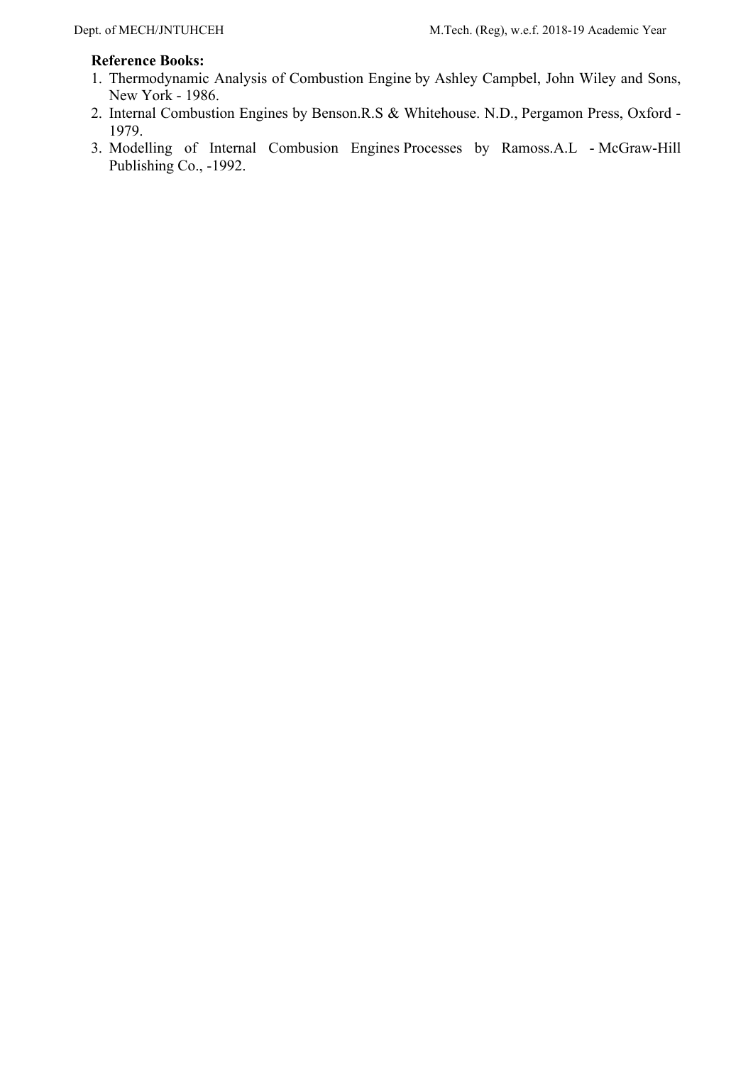- 1. Thermodynamic Analysis of Combustion Engine by Ashley Campbel, John Wiley and Sons, New York - 1986.
- 2. Internal Combustion Engines by Benson.R.S & Whitehouse. N.D., Pergamon Press, Oxford 1979.
- 3. Modelling of Internal Combusion Engines Processes by Ramoss.A.L McGraw-Hill Publishing Co., -1992.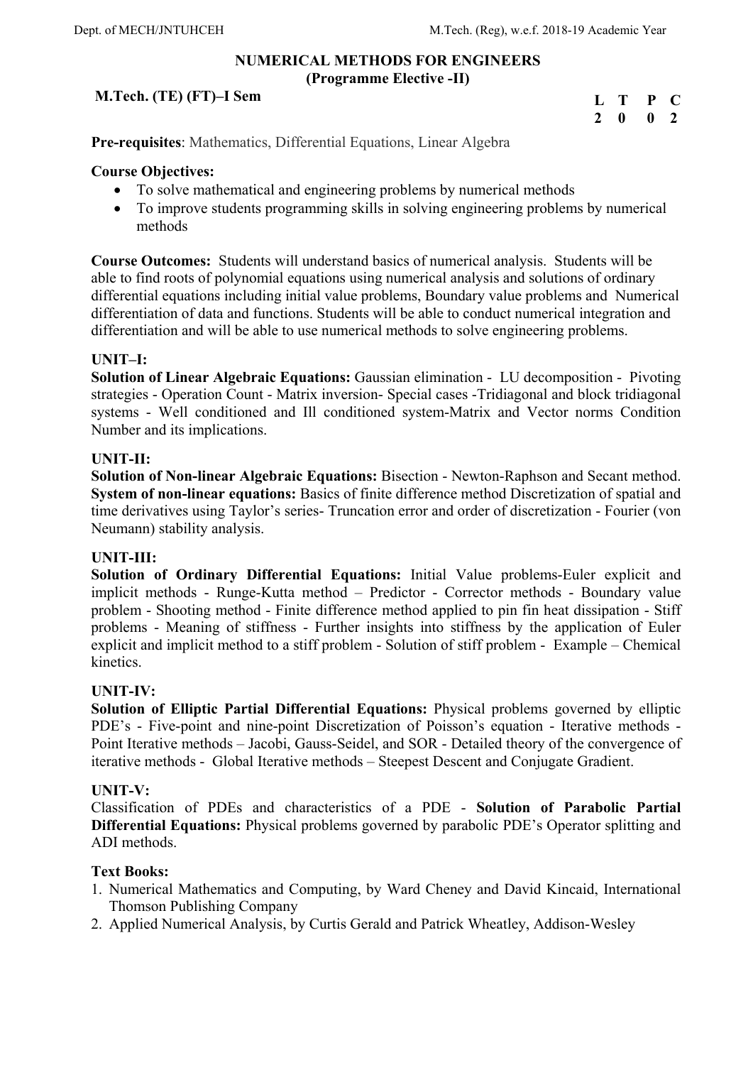### **NUMERICAL METHODS FOR ENGINEERS (Programme Elective -II)**

## **M.Tech. (TE) (FT)–I Sem**

| L T |              | $\mathbf{P}$ | $\mathbf C$    |
|-----|--------------|--------------|----------------|
| 2   | $\mathbf{0}$ | $\mathbf{0}$ | $\overline{2}$ |

**Pre-requisites**: Mathematics, Differential Equations, Linear Algebra

### **Course Objectives:**

- To solve mathematical and engineering problems by numerical methods
- To improve students programming skills in solving engineering problems by numerical methods

**Course Outcomes:** Students will understand basics of numerical analysis. Students will be able to find roots of polynomial equations using numerical analysis and solutions of ordinary differential equations including initial value problems, Boundary value problems and Numerical differentiation of data and functions. Students will be able to conduct numerical integration and differentiation and will be able to use numerical methods to solve engineering problems.

### **UNIT–I:**

**Solution of Linear Algebraic Equations:** Gaussian elimination - LU decomposition - Pivoting strategies - Operation Count - Matrix inversion- Special cases -Tridiagonal and block tridiagonal systems - Well conditioned and Ill conditioned system-Matrix and Vector norms Condition Number and its implications.

### **UNIT-II:**

**Solution of Non-linear Algebraic Equations:** Bisection - Newton-Raphson and Secant method. **System of non-linear equations:** Basics of finite difference method Discretization of spatial and time derivatives using Taylor's series- Truncation error and order of discretization - Fourier (von Neumann) stability analysis.

### **UNIT-III:**

**Solution of Ordinary Differential Equations:** Initial Value problems-Euler explicit and implicit methods - Runge-Kutta method – Predictor - Corrector methods - Boundary value problem - Shooting method - Finite difference method applied to pin fin heat dissipation - Stiff problems - Meaning of stiffness - Further insights into stiffness by the application of Euler explicit and implicit method to a stiff problem - Solution of stiff problem - Example – Chemical kinetics.

### **UNIT-IV:**

**Solution of Elliptic Partial Differential Equations:** Physical problems governed by elliptic PDE's - Five-point and nine-point Discretization of Poisson's equation - Iterative methods - Point Iterative methods – Jacobi, Gauss-Seidel, and SOR - Detailed theory of the convergence of iterative methods - Global Iterative methods – Steepest Descent and Conjugate Gradient.

### **UNIT-V:**

Classification of PDEs and characteristics of a PDE - **Solution of Parabolic Partial Differential Equations:** Physical problems governed by parabolic PDE's Operator splitting and ADI methods.

### **Text Books:**

- 1. Numerical Mathematics and Computing, by Ward Cheney and David Kincaid, International Thomson Publishing Company
- 2. Applied Numerical Analysis, by Curtis Gerald and Patrick Wheatley, Addison-Wesley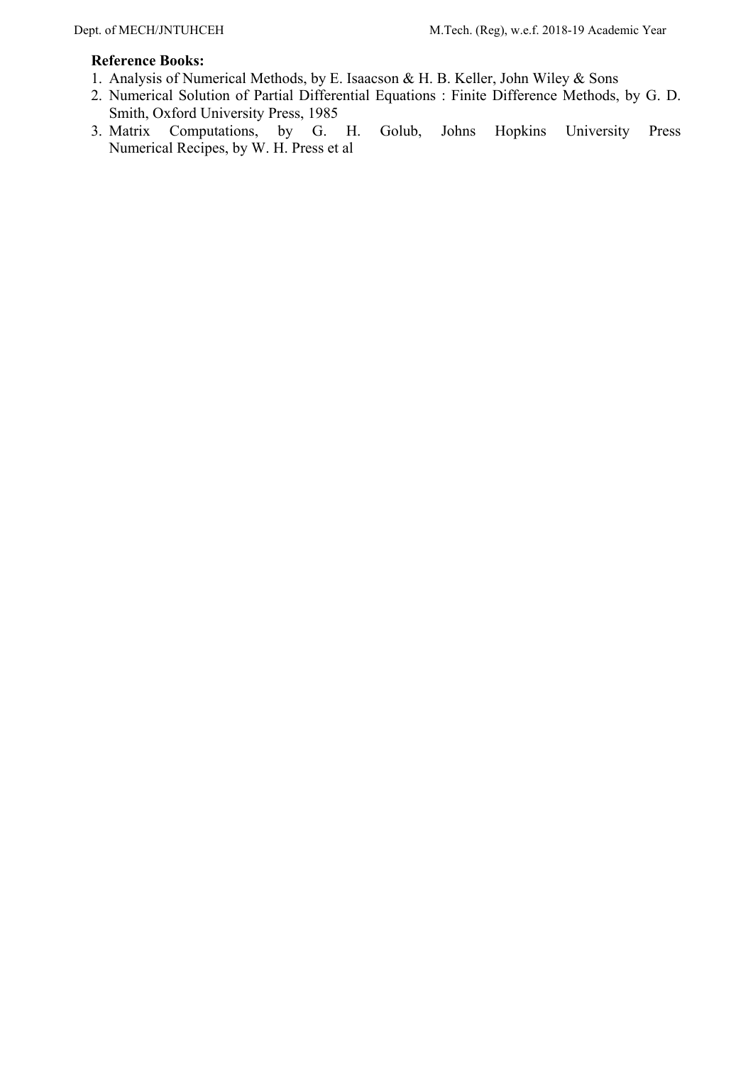- 1. Analysis of Numerical Methods, by E. Isaacson & H. B. Keller, John Wiley & Sons
- 2. Numerical Solution of Partial Differential Equations : Finite Difference Methods, by G. D. Smith, Oxford University Press, 1985
- 3. Matrix Computations, by G. H. Golub, Johns Hopkins University Press Numerical Recipes, by W. H. Press et al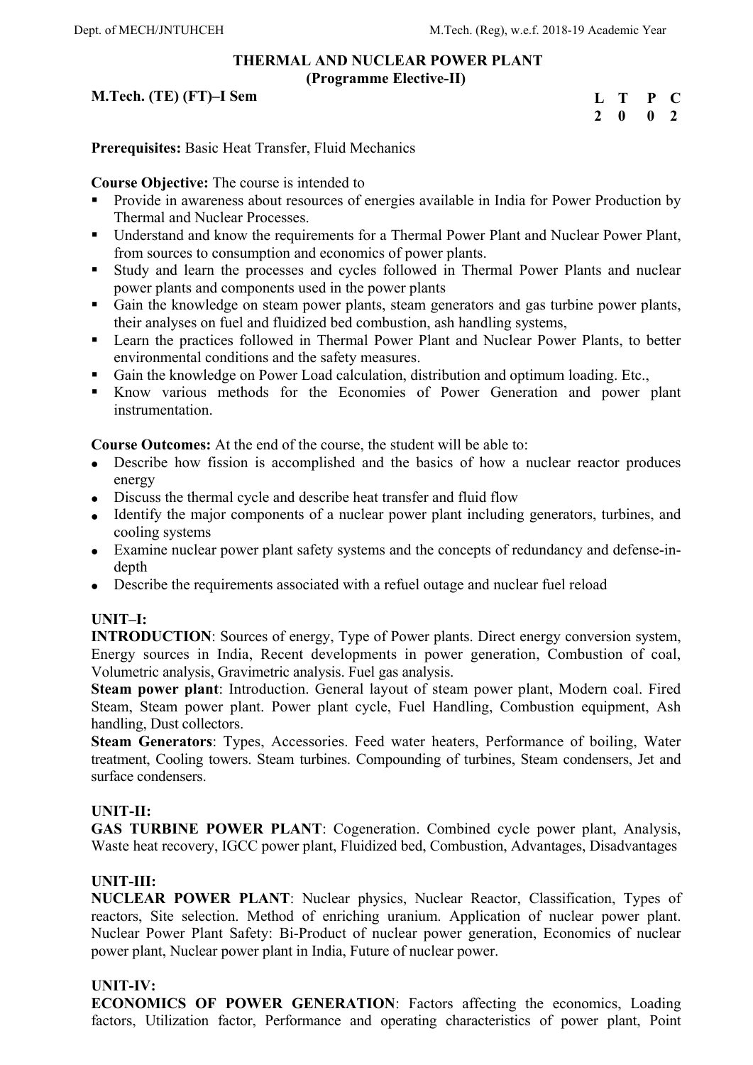### **THERMAL AND NUCLEAR POWER PLANT (Programme Elective-II)**

## **M.Tech. (TE) (FT)–I Sem**

| L T |              | $\mathbf{P}$ | $\bullet$      |
|-----|--------------|--------------|----------------|
| 2   | $\mathbf{0}$ | 0            | $\overline{2}$ |

**Prerequisites:** Basic Heat Transfer, Fluid Mechanics

# **Course Objective:** The course is intended to

- Provide in awareness about resources of energies available in India for Power Production by Thermal and Nuclear Processes.
- Understand and know the requirements for a Thermal Power Plant and Nuclear Power Plant, from sources to consumption and economics of power plants.
- Study and learn the processes and cycles followed in Thermal Power Plants and nuclear power plants and components used in the power plants
- Gain the knowledge on steam power plants, steam generators and gas turbine power plants, their analyses on fuel and fluidized bed combustion, ash handling systems,
- Learn the practices followed in Thermal Power Plant and Nuclear Power Plants, to better environmental conditions and the safety measures.
- Gain the knowledge on Power Load calculation, distribution and optimum loading. Etc.,
- Know various methods for the Economies of Power Generation and power plant instrumentation.

**Course Outcomes:** At the end of the course, the student will be able to:

- Describe how fission is accomplished and the basics of how a nuclear reactor produces energy
- Discuss the thermal cycle and describe heat transfer and fluid flow
- Identify the major components of a nuclear power plant including generators, turbines, and cooling systems
- Examine nuclear power plant safety systems and the concepts of redundancy and defense-indepth
- Describe the requirements associated with a refuel outage and nuclear fuel reload

# **UNIT–I:**

**INTRODUCTION**: Sources of energy, Type of Power plants. Direct energy conversion system, Energy sources in India, Recent developments in power generation, Combustion of coal, Volumetric analysis, Gravimetric analysis. Fuel gas analysis.

**Steam power plant**: Introduction. General layout of steam power plant, Modern coal. Fired Steam, Steam power plant. Power plant cycle, Fuel Handling, Combustion equipment, Ash handling, Dust collectors.

**Steam Generators**: Types, Accessories. Feed water heaters, Performance of boiling, Water treatment, Cooling towers. Steam turbines. Compounding of turbines, Steam condensers, Jet and surface condensers.

# **UNIT-II:**

**GAS TURBINE POWER PLANT**: Cogeneration. Combined cycle power plant, Analysis, Waste heat recovery, IGCC power plant, Fluidized bed, Combustion, Advantages, Disadvantages

## **UNIT-III:**

**NUCLEAR POWER PLANT**: Nuclear physics, Nuclear Reactor, Classification, Types of reactors, Site selection. Method of enriching uranium. Application of nuclear power plant. Nuclear Power Plant Safety: Bi-Product of nuclear power generation, Economics of nuclear power plant, Nuclear power plant in India, Future of nuclear power.

## **UNIT-IV:**

**ECONOMICS OF POWER GENERATION**: Factors affecting the economics, Loading factors, Utilization factor, Performance and operating characteristics of power plant, Point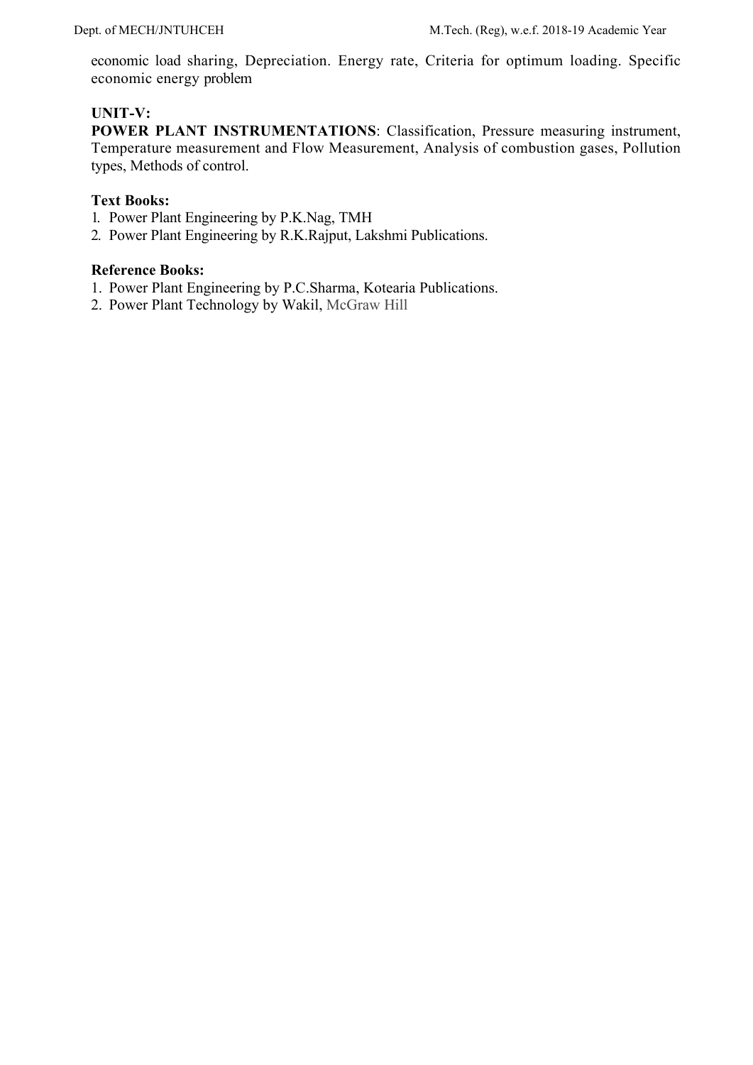economic load sharing, Depreciation. Energy rate, Criteria for optimum loading. Specific economic energy problem

### **UNIT-V:**

**POWER PLANT INSTRUMENTATIONS**: Classification, Pressure measuring instrument, Temperature measurement and Flow Measurement, Analysis of combustion gases, Pollution types, Methods of control.

### **Text Books:**

- 1. Power Plant Engineering by P.K.Nag, TMH
- 2. Power Plant Engineering by R.K.Rajput, Lakshmi Publications.

- 1. Power Plant Engineering by P.C.Sharma, Kotearia Publications.
- 2. Power Plant Technology by Wakil, McGraw Hill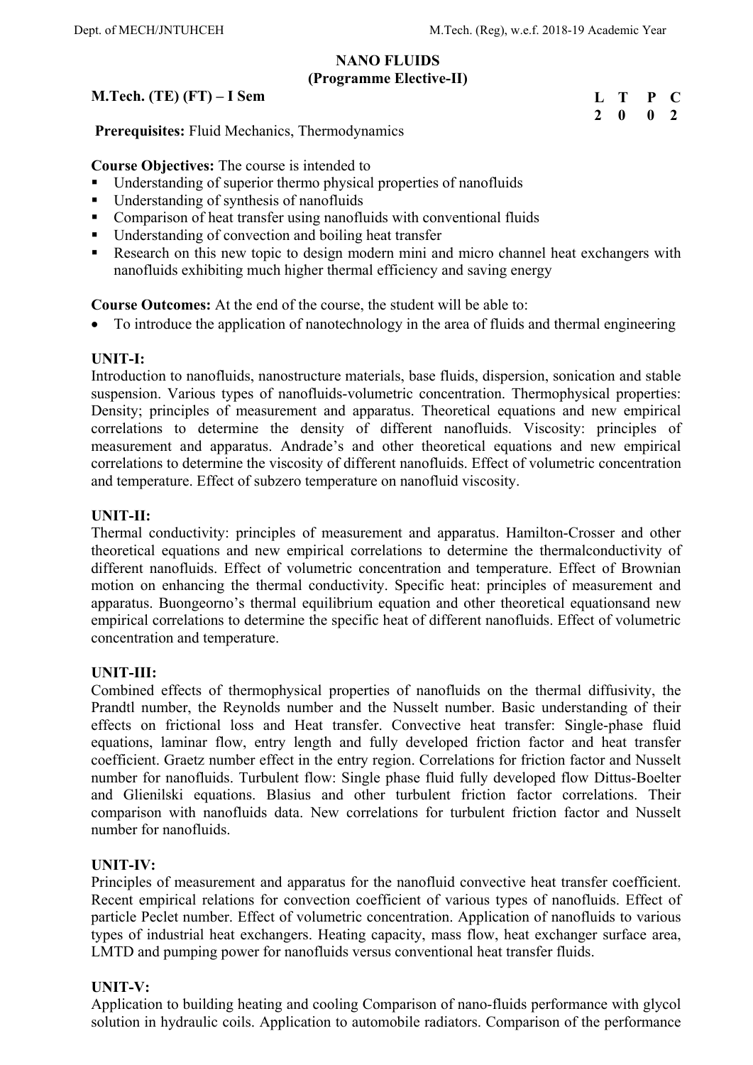### **NANO FLUIDS (Programme Elective-II)**

## **M.Tech. (TE) (FT) – I Sem**

| $\mathbf{L}$ | - T          | $\mathbf{P}$ | $\blacksquare$ |
|--------------|--------------|--------------|----------------|
| $\mathbf{2}$ | $\mathbf{0}$ | 0            | <sup>2</sup>   |

 **Prerequisites:** Fluid Mechanics, Thermodynamics

**Course Objectives:** The course is intended to

- **Understanding of superior thermo physical properties of nanofluids**
- Understanding of synthesis of nanofluids
- Comparison of heat transfer using nanofluids with conventional fluids
- Understanding of convection and boiling heat transfer
- Research on this new topic to design modern mini and micro channel heat exchangers with nanofluids exhibiting much higher thermal efficiency and saving energy

### **Course Outcomes:** At the end of the course, the student will be able to:

• To introduce the application of nanotechnology in the area of fluids and thermal engineering

### **UNIT-I:**

Introduction to nanofluids, nanostructure materials, base fluids, dispersion, sonication and stable suspension. Various types of nanofluids-volumetric concentration. Thermophysical properties: Density; principles of measurement and apparatus. Theoretical equations and new empirical correlations to determine the density of different nanofluids. Viscosity: principles of measurement and apparatus. Andrade's and other theoretical equations and new empirical correlations to determine the viscosity of different nanofluids. Effect of volumetric concentration and temperature. Effect of subzero temperature on nanofluid viscosity.

### **UNIT-II:**

Thermal conductivity: principles of measurement and apparatus. Hamilton-Crosser and other theoretical equations and new empirical correlations to determine the thermalconductivity of different nanofluids. Effect of volumetric concentration and temperature. Effect of Brownian motion on enhancing the thermal conductivity. Specific heat: principles of measurement and apparatus. Buongeorno's thermal equilibrium equation and other theoretical equationsand new empirical correlations to determine the specific heat of different nanofluids. Effect of volumetric concentration and temperature.

### **UNIT-III:**

Combined effects of thermophysical properties of nanofluids on the thermal diffusivity, the Prandtl number, the Reynolds number and the Nusselt number. Basic understanding of their effects on frictional loss and Heat transfer. Convective heat transfer: Single-phase fluid equations, laminar flow, entry length and fully developed friction factor and heat transfer coefficient. Graetz number effect in the entry region. Correlations for friction factor and Nusselt number for nanofluids. Turbulent flow: Single phase fluid fully developed flow Dittus-Boelter and Glienilski equations. Blasius and other turbulent friction factor correlations. Their comparison with nanofluids data. New correlations for turbulent friction factor and Nusselt number for nanofluids.

## **UNIT-IV:**

Principles of measurement and apparatus for the nanofluid convective heat transfer coefficient. Recent empirical relations for convection coefficient of various types of nanofluids. Effect of particle Peclet number. Effect of volumetric concentration. Application of nanofluids to various types of industrial heat exchangers. Heating capacity, mass flow, heat exchanger surface area, LMTD and pumping power for nanofluids versus conventional heat transfer fluids.

### **UNIT-V:**

Application to building heating and cooling Comparison of nano-fluids performance with glycol solution in hydraulic coils. Application to automobile radiators. Comparison of the performance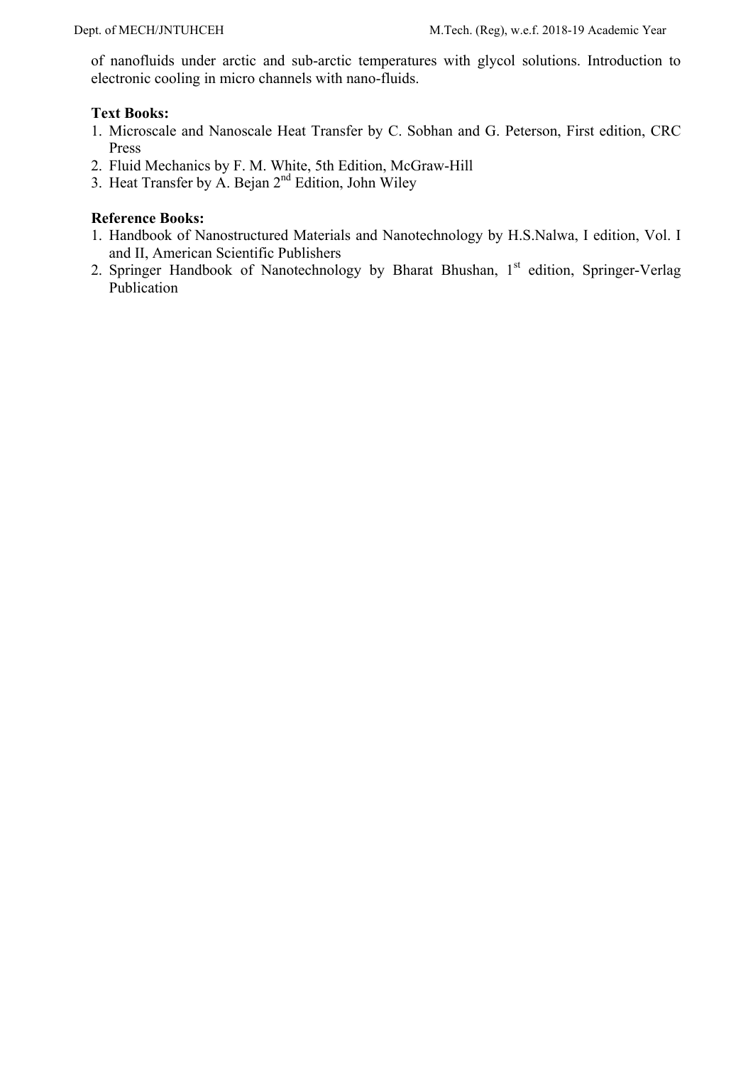of nanofluids under arctic and sub-arctic temperatures with glycol solutions. Introduction to electronic cooling in micro channels with nano-fluids.

### **Text Books:**

- 1. Microscale and Nanoscale Heat Transfer by C. Sobhan and G. Peterson, First edition, CRC Press
- 2. Fluid Mechanics by F. M. White, 5th Edition, McGraw-Hill
- 3. Heat Transfer by A. Bejan 2<sup>nd</sup> Edition, John Wiley

- 1. Handbook of Nanostructured Materials and Nanotechnology by H.S.Nalwa, I edition, Vol. I and II, American Scientific Publishers
- 2. Springer Handbook of Nanotechnology by Bharat Bhushan, 1<sup>st</sup> edition, Springer-Verlag Publication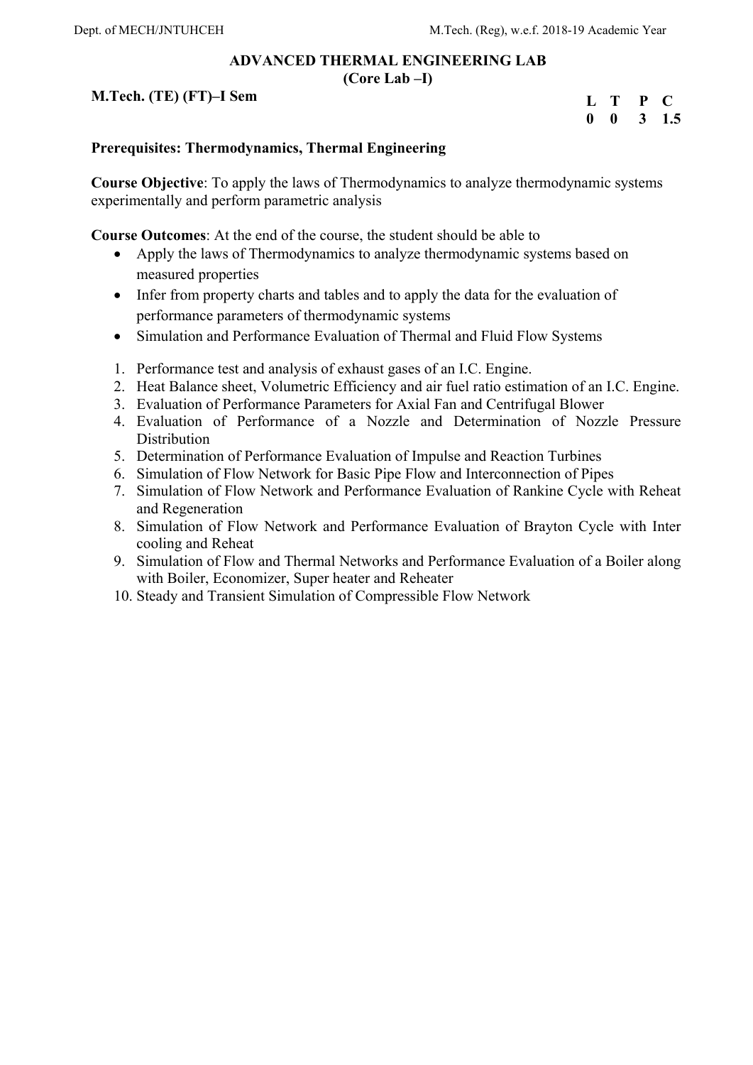#### **ADVANCED THERMAL ENGINEERING LAB (Core Lab –I)**

## **M.Tech. (TE) (FT)–I Sem**

| L            | т | <b>P</b> | $\blacksquare$ |
|--------------|---|----------|----------------|
| $\mathbf{0}$ | 0 | 3        | 1.5            |

## **Prerequisites: Thermodynamics, Thermal Engineering**

**Course Objective**: To apply the laws of Thermodynamics to analyze thermodynamic systems experimentally and perform parametric analysis

**Course Outcomes**: At the end of the course, the student should be able to

- Apply the laws of Thermodynamics to analyze thermodynamic systems based on measured properties
- Infer from property charts and tables and to apply the data for the evaluation of performance parameters of thermodynamic systems
- Simulation and Performance Evaluation of Thermal and Fluid Flow Systems
- 1. Performance test and analysis of exhaust gases of an I.C. Engine.
- 2. Heat Balance sheet, Volumetric Efficiency and air fuel ratio estimation of an I.C. Engine.
- 3. Evaluation of Performance Parameters for Axial Fan and Centrifugal Blower
- 4. Evaluation of Performance of a Nozzle and Determination of Nozzle Pressure **Distribution**
- 5. Determination of Performance Evaluation of Impulse and Reaction Turbines
- 6. Simulation of Flow Network for Basic Pipe Flow and Interconnection of Pipes
- 7. Simulation of Flow Network and Performance Evaluation of Rankine Cycle with Reheat and Regeneration
- 8. Simulation of Flow Network and Performance Evaluation of Brayton Cycle with Inter cooling and Reheat
- 9. Simulation of Flow and Thermal Networks and Performance Evaluation of a Boiler along with Boiler, Economizer, Super heater and Reheater
- 10. Steady and Transient Simulation of Compressible Flow Network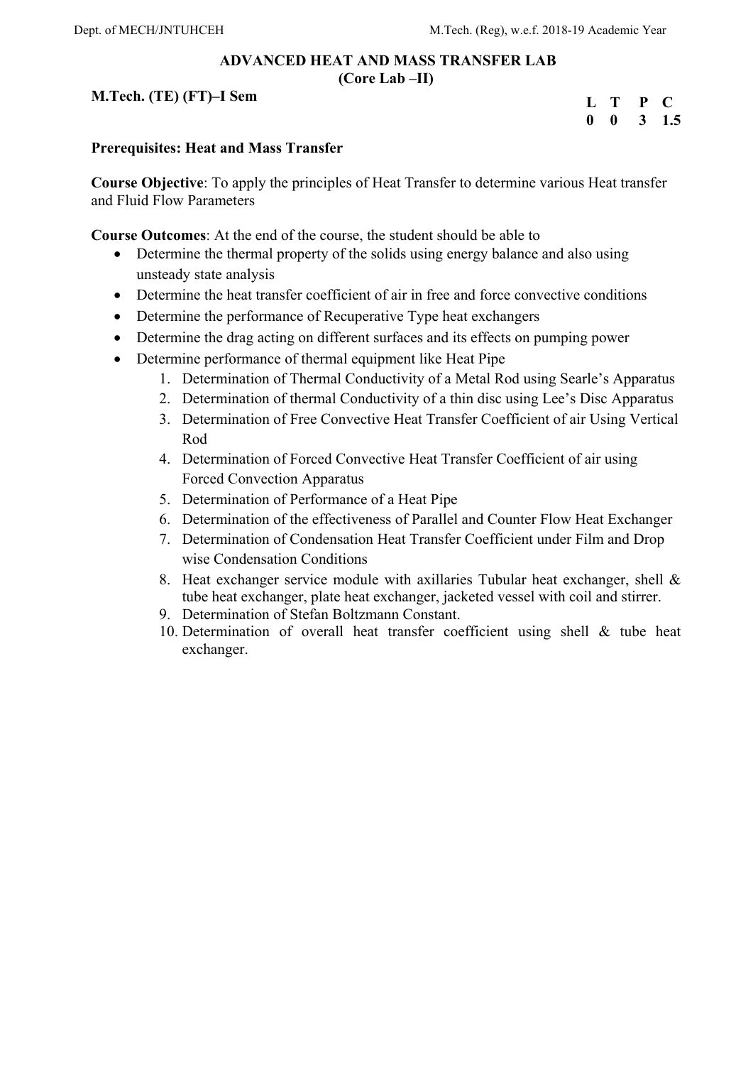### **ADVANCED HEAT AND MASS TRANSFER LAB (Core Lab –II)**

## **M.Tech. (TE) (FT)–I Sem**

| L | T | P | $\blacksquare$ |
|---|---|---|----------------|
| 0 | 0 | 3 | 1.5            |

### **Prerequisites: Heat and Mass Transfer**

**Course Objective**: To apply the principles of Heat Transfer to determine various Heat transfer and Fluid Flow Parameters

**Course Outcomes**: At the end of the course, the student should be able to

- Determine the thermal property of the solids using energy balance and also using unsteady state analysis
- Determine the heat transfer coefficient of air in free and force convective conditions
- Determine the performance of Recuperative Type heat exchangers
- Determine the drag acting on different surfaces and its effects on pumping power
- Determine performance of thermal equipment like Heat Pipe
	- 1. Determination of Thermal Conductivity of a Metal Rod using Searle's Apparatus
	- 2. Determination of thermal Conductivity of a thin disc using Lee's Disc Apparatus
	- 3. Determination of Free Convective Heat Transfer Coefficient of air Using Vertical Rod
	- 4. Determination of Forced Convective Heat Transfer Coefficient of air using Forced Convection Apparatus
	- 5. Determination of Performance of a Heat Pipe
	- 6. Determination of the effectiveness of Parallel and Counter Flow Heat Exchanger
	- 7. Determination of Condensation Heat Transfer Coefficient under Film and Drop wise Condensation Conditions
	- 8. Heat exchanger service module with axillaries Tubular heat exchanger, shell & tube heat exchanger, plate heat exchanger, jacketed vessel with coil and stirrer.
	- 9. Determination of Stefan Boltzmann Constant.
	- 10. Determination of overall heat transfer coefficient using shell & tube heat exchanger.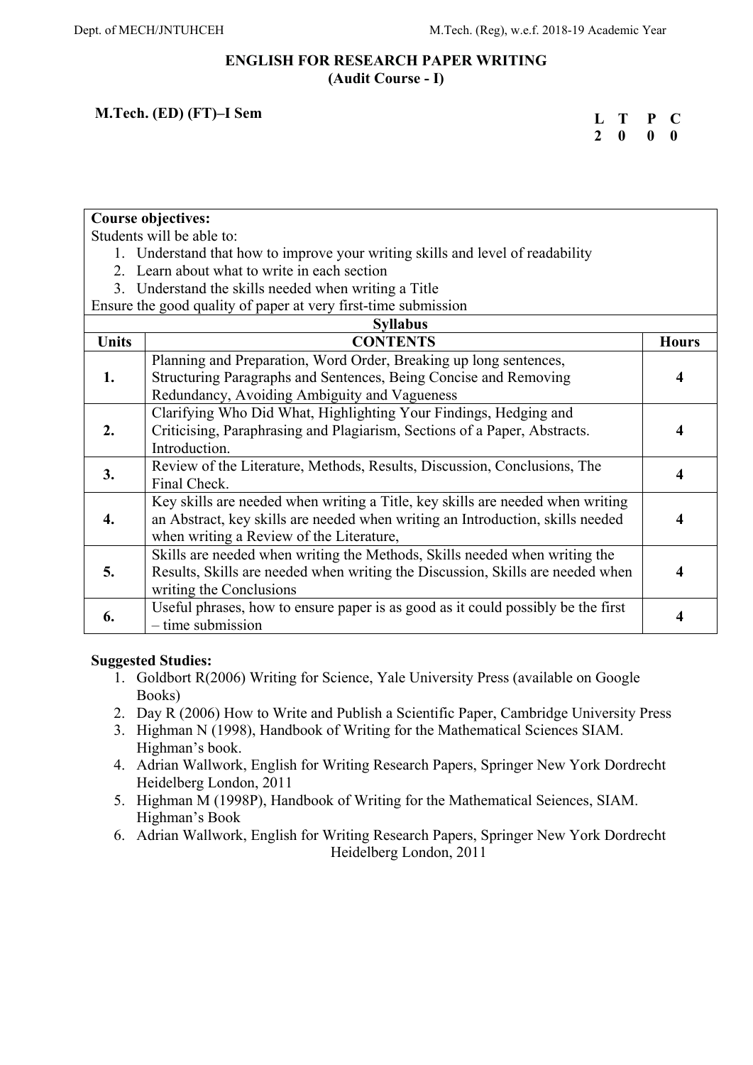### **ENGLISH FOR RESEARCH PAPER WRITING (Audit Course - I)**

## **M.Tech. (ED) (FT)–I Sem**

| L | Т | P | $\blacksquare$ |
|---|---|---|----------------|
| 2 | 0 | 0 | 0              |

|                    | <b>Course objectives:</b>                                                        |              |
|--------------------|----------------------------------------------------------------------------------|--------------|
|                    | Students will be able to:                                                        |              |
|                    | 1. Understand that how to improve your writing skills and level of readability   |              |
|                    | 2. Learn about what to write in each section                                     |              |
|                    | 3. Understand the skills needed when writing a Title                             |              |
|                    | Ensure the good quality of paper at very first-time submission                   |              |
|                    | <b>Syllabus</b>                                                                  |              |
| <b>Units</b>       | <b>CONTENTS</b>                                                                  | <b>Hours</b> |
|                    | Planning and Preparation, Word Order, Breaking up long sentences,                |              |
| 1.                 | Structuring Paragraphs and Sentences, Being Concise and Removing                 | 4            |
|                    | Redundancy, Avoiding Ambiguity and Vagueness                                     |              |
|                    | Clarifying Who Did What, Highlighting Your Findings, Hedging and                 |              |
| 2.                 | Criticising, Paraphrasing and Plagiarism, Sections of a Paper, Abstracts.        | 4            |
|                    | Introduction.                                                                    |              |
| 3.                 | Review of the Literature, Methods, Results, Discussion, Conclusions, The         | 4            |
|                    | Final Check.                                                                     |              |
|                    | Key skills are needed when writing a Title, key skills are needed when writing   |              |
| $\boldsymbol{4}$ . | an Abstract, key skills are needed when writing an Introduction, skills needed   | 4            |
|                    | when writing a Review of the Literature,                                         |              |
|                    | Skills are needed when writing the Methods, Skills needed when writing the       |              |
| 5.                 | Results, Skills are needed when writing the Discussion, Skills are needed when   | 4            |
|                    | writing the Conclusions                                                          |              |
|                    | Useful phrases, how to ensure paper is as good as it could possibly be the first |              |
| 6.                 | $-$ time submission                                                              | 4            |

## **Suggested Studies:**

- 1. Goldbort R(2006) Writing for Science, Yale University Press (available on Google Books)
- 2. Day R (2006) How to Write and Publish a Scientific Paper, Cambridge University Press
- 3. Highman N (1998), Handbook of Writing for the Mathematical Sciences SIAM. Highman's book.
- 4. Adrian Wallwork, English for Writing Research Papers, Springer New York Dordrecht Heidelberg London, 2011
- 5. Highman M (1998P), Handbook of Writing for the Mathematical Seiences, SIAM. Highman's Book
- 6. Adrian Wallwork, English for Writing Research Papers, Springer New York Dordrecht Heidelberg London, 2011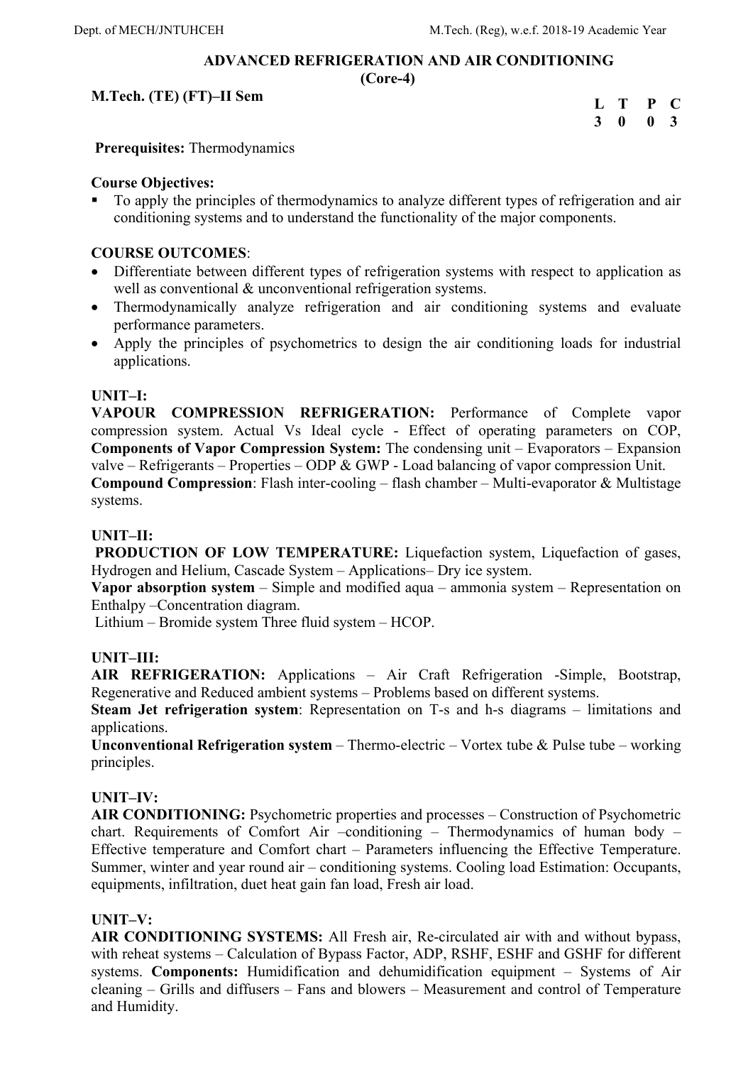### **ADVANCED REFRIGERATION AND AIR CONDITIONING (Core-4)**

**M.Tech. (TE) (FT)–II Sem** 

| L T |             | P           | $\mathbf{C}$ |
|-----|-------------|-------------|--------------|
| 3   | $\mathbf 0$ | $\mathbf 0$ | $\mathbf{3}$ |

 **Prerequisites:** Thermodynamics

### **Course Objectives:**

 To apply the principles of thermodynamics to analyze different types of refrigeration and air conditioning systems and to understand the functionality of the major components.

## **COURSE OUTCOMES**:

- Differentiate between different types of refrigeration systems with respect to application as well as conventional & unconventional refrigeration systems.
- Thermodynamically analyze refrigeration and air conditioning systems and evaluate performance parameters.
- Apply the principles of psychometrics to design the air conditioning loads for industrial applications.

## **UNIT–I:**

**VAPOUR COMPRESSION REFRIGERATION:** Performance of Complete vapor compression system. Actual Vs Ideal cycle - Effect of operating parameters on COP, **Components of Vapor Compression System:** The condensing unit – Evaporators – Expansion valve – Refrigerants – Properties – ODP & GWP - Load balancing of vapor compression Unit.

**Compound Compression**: Flash inter-cooling – flash chamber – Multi-evaporator & Multistage systems.

### **UNIT–II:**

 **PRODUCTION OF LOW TEMPERATURE:** Liquefaction system, Liquefaction of gases, Hydrogen and Helium, Cascade System – Applications– Dry ice system.

**Vapor absorption system** – Simple and modified aqua – ammonia system – Representation on Enthalpy –Concentration diagram.

Lithium – Bromide system Three fluid system – HCOP.

### **UNIT–III:**

**AIR REFRIGERATION:** Applications – Air Craft Refrigeration -Simple, Bootstrap, Regenerative and Reduced ambient systems – Problems based on different systems.

**Steam Jet refrigeration system**: Representation on T-s and h-s diagrams – limitations and applications.

**Unconventional Refrigeration system** – Thermo-electric – Vortex tube & Pulse tube – working principles.

## **UNIT–IV:**

**AIR CONDITIONING:** Psychometric properties and processes – Construction of Psychometric chart. Requirements of Comfort Air –conditioning – Thermodynamics of human body – Effective temperature and Comfort chart – Parameters influencing the Effective Temperature. Summer, winter and year round air – conditioning systems. Cooling load Estimation: Occupants, equipments, infiltration, duet heat gain fan load, Fresh air load.

### **UNIT–V:**

**AIR CONDITIONING SYSTEMS:** All Fresh air, Re-circulated air with and without bypass, with reheat systems – Calculation of Bypass Factor, ADP, RSHF, ESHF and GSHF for different systems. **Components:** Humidification and dehumidification equipment – Systems of Air cleaning – Grills and diffusers – Fans and blowers – Measurement and control of Temperature and Humidity.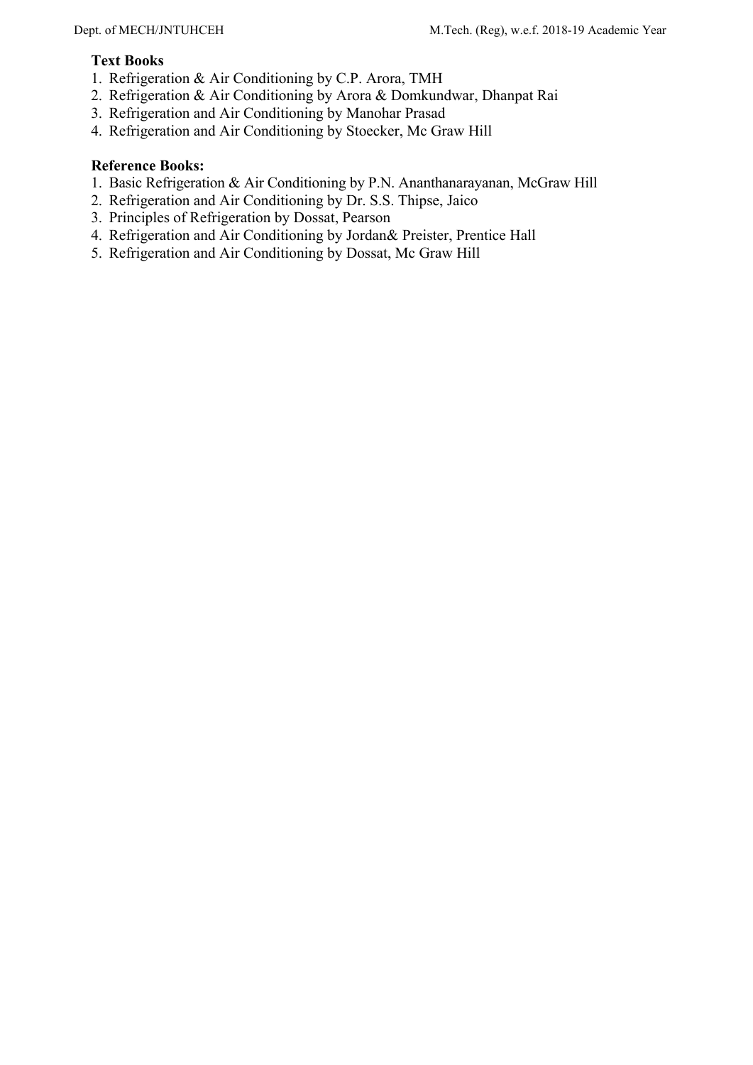### **Text Books**

- 1. Refrigeration & Air Conditioning by C.P. Arora, TMH
- 2. Refrigeration & Air Conditioning by Arora & Domkundwar, Dhanpat Rai
- 3. Refrigeration and Air Conditioning by Manohar Prasad
- 4. Refrigeration and Air Conditioning by Stoecker, Mc Graw Hill

- 1. Basic Refrigeration & Air Conditioning by P.N. Ananthanarayanan, McGraw Hill
- 2. Refrigeration and Air Conditioning by Dr. S.S. Thipse, Jaico
- 3. Principles of Refrigeration by Dossat, Pearson
- 4. Refrigeration and Air Conditioning by Jordan& Preister, Prentice Hall
- 5. Refrigeration and Air Conditioning by Dossat, Mc Graw Hill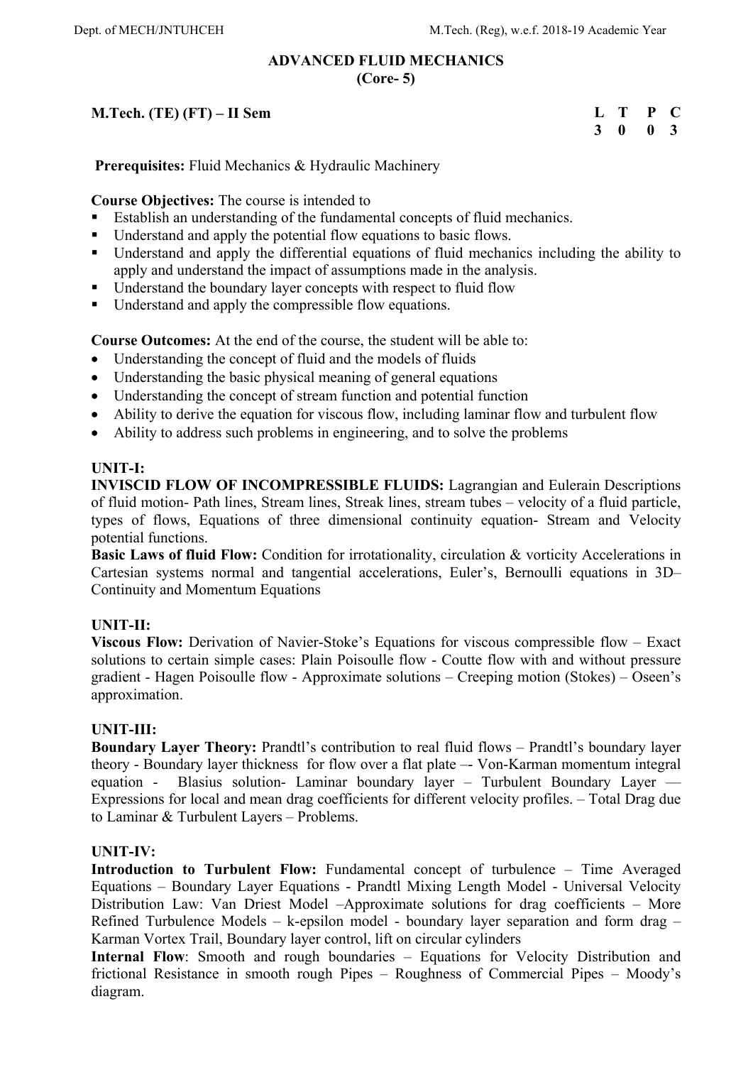### **ADVANCED FLUID MECHANICS (Core- 5)**

## **M.Tech. (TE) (FT) – II Sem**

| L | т | P            | C.           |
|---|---|--------------|--------------|
| 3 | 0 | $\mathbf{0}$ | $\mathbf{3}$ |

 **Prerequisites:** Fluid Mechanics & Hydraulic Machinery

**Course Objectives:** The course is intended to

- Establish an understanding of the fundamental concepts of fluid mechanics.
- Understand and apply the potential flow equations to basic flows.
- Understand and apply the differential equations of fluid mechanics including the ability to apply and understand the impact of assumptions made in the analysis.
- Understand the boundary layer concepts with respect to fluid flow
- Understand and apply the compressible flow equations.

**Course Outcomes:** At the end of the course, the student will be able to:

- Understanding the concept of fluid and the models of fluids
- Understanding the basic physical meaning of general equations
- Understanding the concept of stream function and potential function
- Ability to derive the equation for viscous flow, including laminar flow and turbulent flow
- Ability to address such problems in engineering, and to solve the problems

### **UNIT-I:**

**INVISCID FLOW OF INCOMPRESSIBLE FLUIDS:** Lagrangian and Eulerain Descriptions of fluid motion- Path lines, Stream lines, Streak lines, stream tubes – velocity of a fluid particle, types of flows, Equations of three dimensional continuity equation- Stream and Velocity potential functions.

**Basic Laws of fluid Flow:** Condition for irrotationality, circulation & vorticity Accelerations in Cartesian systems normal and tangential accelerations, Euler's, Bernoulli equations in 3D– Continuity and Momentum Equations

### **UNIT-II:**

**Viscous Flow:** Derivation of Navier-Stoke's Equations for viscous compressible flow – Exact solutions to certain simple cases: Plain Poisoulle flow - Coutte flow with and without pressure gradient - Hagen Poisoulle flow - Approximate solutions – Creeping motion (Stokes) – Oseen's approximation.

### **UNIT-III:**

**Boundary Layer Theory:** Prandtl's contribution to real fluid flows – Prandtl's boundary layer theory - Boundary layer thickness for flow over a flat plate –- Von-Karman momentum integral equation - Blasius solution- Laminar boundary layer – Turbulent Boundary Layer –– Expressions for local and mean drag coefficients for different velocity profiles. – Total Drag due to Laminar & Turbulent Layers – Problems.

### **UNIT-IV:**

**Introduction to Turbulent Flow:** Fundamental concept of turbulence – Time Averaged Equations – Boundary Layer Equations - Prandtl Mixing Length Model - Universal Velocity Distribution Law: Van Driest Model –Approximate solutions for drag coefficients – More Refined Turbulence Models – k-epsilon model - boundary layer separation and form drag – Karman Vortex Trail, Boundary layer control, lift on circular cylinders

**Internal Flow**: Smooth and rough boundaries – Equations for Velocity Distribution and frictional Resistance in smooth rough Pipes – Roughness of Commercial Pipes – Moody's diagram.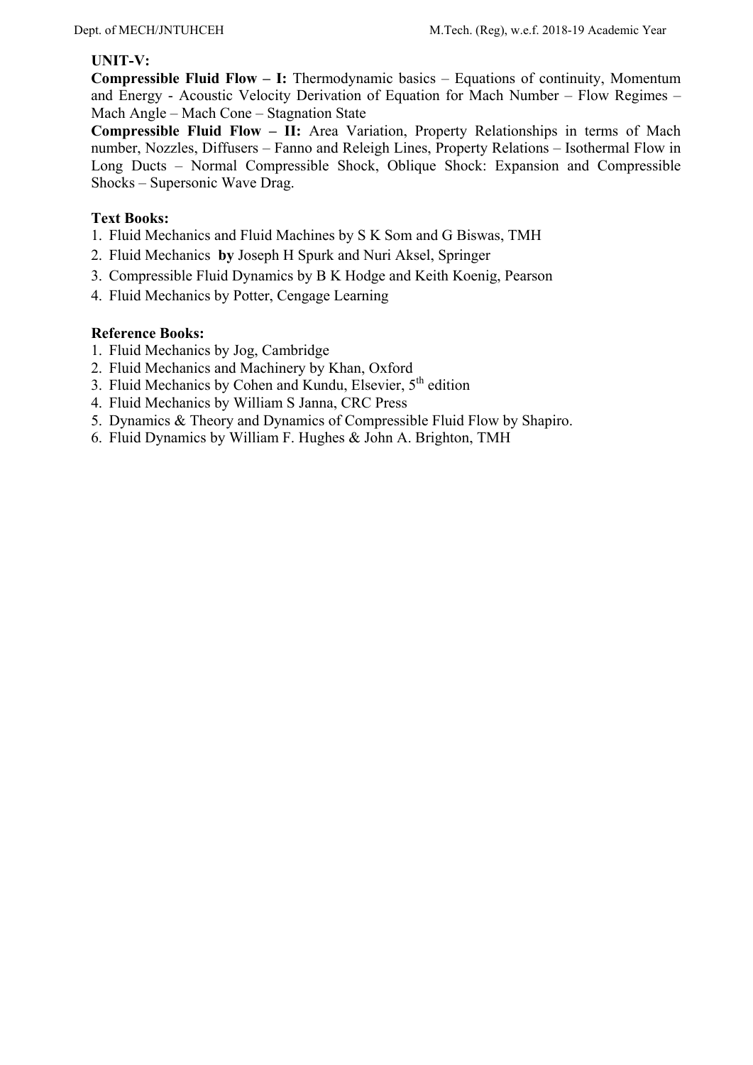### **UNIT-V:**

**Compressible Fluid Flow – I:** Thermodynamic basics – Equations of continuity, Momentum and Energy - Acoustic Velocity Derivation of Equation for Mach Number – Flow Regimes – Mach Angle – Mach Cone – Stagnation State

**Compressible Fluid Flow – II:** Area Variation, Property Relationships in terms of Mach number, Nozzles, Diffusers – Fanno and Releigh Lines, Property Relations – Isothermal Flow in Long Ducts – Normal Compressible Shock, Oblique Shock: Expansion and Compressible Shocks – Supersonic Wave Drag.

### **Text Books:**

- 1. Fluid Mechanics and Fluid Machines by S K Som and G Biswas, TMH
- 2. Fluid Mechanics **by** Joseph H Spurk and Nuri Aksel, Springer
- 3. Compressible Fluid Dynamics by B K Hodge and Keith Koenig, Pearson
- 4. Fluid Mechanics by Potter, Cengage Learning

- 1. Fluid Mechanics by Jog, Cambridge
- 2. Fluid Mechanics and Machinery by Khan, Oxford
- 3. Fluid Mechanics by Cohen and Kundu, Elsevier,  $5<sup>th</sup>$  edition
- 4. Fluid Mechanics by William S Janna, CRC Press
- 5. Dynamics & Theory and Dynamics of Compressible Fluid Flow by Shapiro.
- 6. Fluid Dynamics by William F. Hughes & John A. Brighton, TMH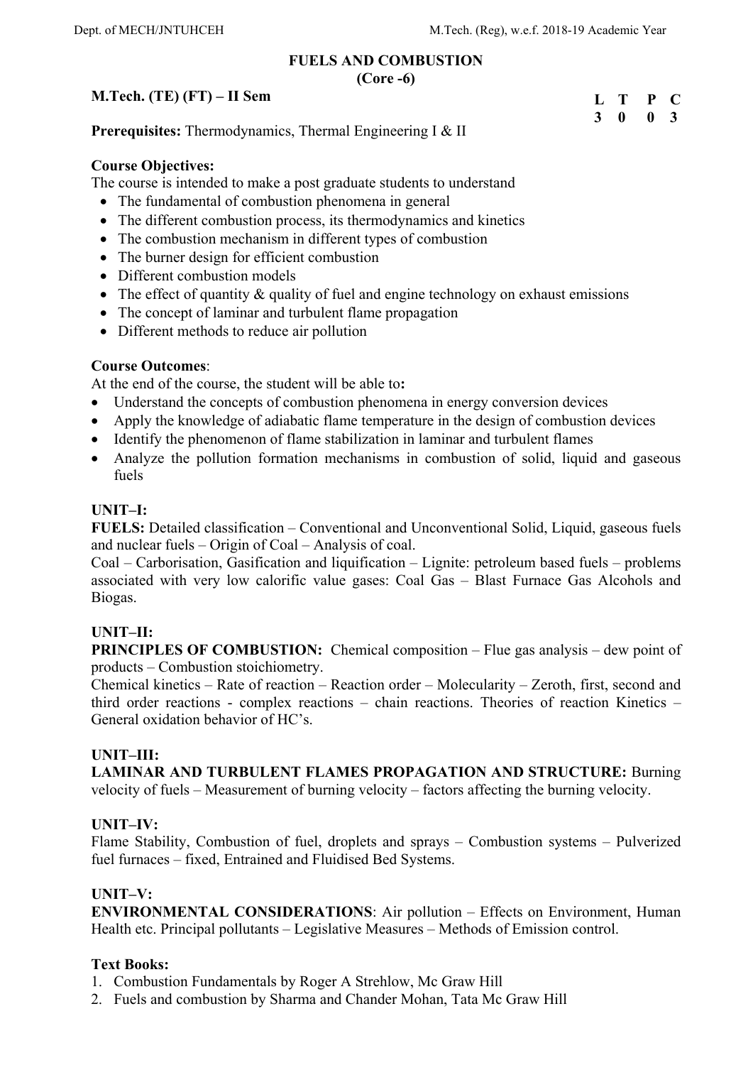## **FUELS AND COMBUSTION**

**(Core -6)** 

## **M.Tech. (TE) (FT) – II Sem**



**Prerequisites:** Thermodynamics, Thermal Engineering I & II

### **Course Objectives:**

The course is intended to make a post graduate students to understand

- The fundamental of combustion phenomena in general
- The different combustion process, its thermodynamics and kinetics
- The combustion mechanism in different types of combustion
- The burner design for efficient combustion
- Different combustion models
- The effect of quantity & quality of fuel and engine technology on exhaust emissions
- The concept of laminar and turbulent flame propagation
- Different methods to reduce air pollution

### **Course Outcomes**:

At the end of the course, the student will be able to**:** 

- Understand the concepts of combustion phenomena in energy conversion devices
- Apply the knowledge of adiabatic flame temperature in the design of combustion devices
- Identify the phenomenon of flame stabilization in laminar and turbulent flames
- Analyze the pollution formation mechanisms in combustion of solid, liquid and gaseous fuels

### **UNIT–I:**

**FUELS:** Detailed classification – Conventional and Unconventional Solid, Liquid, gaseous fuels and nuclear fuels – Origin of Coal – Analysis of coal.

Coal – Carborisation, Gasification and liquification – Lignite: petroleum based fuels – problems associated with very low calorific value gases: Coal Gas – Blast Furnace Gas Alcohols and Biogas.

## **UNIT–II:**

**PRINCIPLES OF COMBUSTION:** Chemical composition – Flue gas analysis – dew point of products – Combustion stoichiometry.

Chemical kinetics – Rate of reaction – Reaction order – Molecularity – Zeroth, first, second and third order reactions - complex reactions – chain reactions. Theories of reaction Kinetics – General oxidation behavior of HC's.

## **UNIT–III:**

**LAMINAR AND TURBULENT FLAMES PROPAGATION AND STRUCTURE:** Burning velocity of fuels – Measurement of burning velocity – factors affecting the burning velocity.

### **UNIT–IV:**

Flame Stability, Combustion of fuel, droplets and sprays – Combustion systems – Pulverized fuel furnaces – fixed, Entrained and Fluidised Bed Systems.

### **UNIT–V:**

**ENVIRONMENTAL CONSIDERATIONS**: Air pollution – Effects on Environment, Human Health etc. Principal pollutants – Legislative Measures – Methods of Emission control.

### **Text Books:**

1. Combustion Fundamentals by Roger A Strehlow, Mc Graw Hill

2. Fuels and combustion by Sharma and Chander Mohan, Tata Mc Graw Hill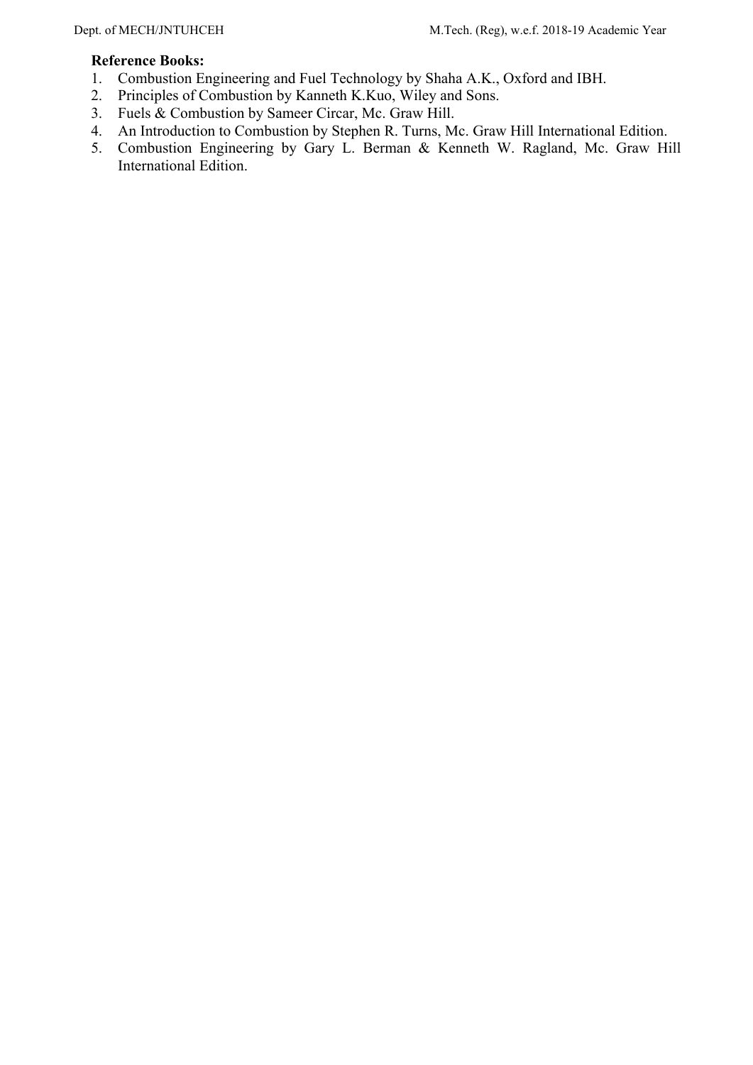- 1. Combustion Engineering and Fuel Technology by Shaha A.K., Oxford and IBH.
- 2. Principles of Combustion by Kanneth K.Kuo, Wiley and Sons.
- 3. Fuels & Combustion by Sameer Circar, Mc. Graw Hill.
- 4. An Introduction to Combustion by Stephen R. Turns, Mc. Graw Hill International Edition.
- 5. Combustion Engineering by Gary L. Berman & Kenneth W. Ragland, Mc. Graw Hill International Edition.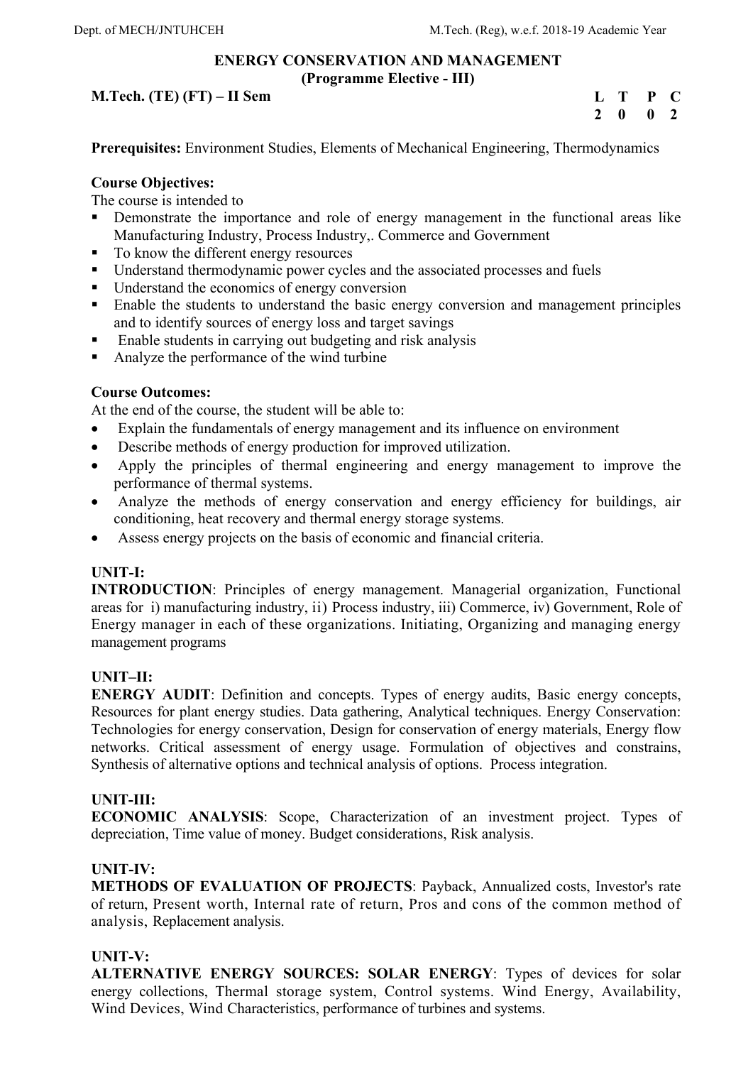### **ENERGY CONSERVATION AND MANAGEMENT (Programme Elective - III)**

## **M.Tech. (TE) (FT) – II Sem**

**L T P C 2 0 0 2** 

**Prerequisites:** Environment Studies, Elements of Mechanical Engineering, Thermodynamics

### **Course Objectives:**

The course is intended to

- **•** Demonstrate the importance and role of energy management in the functional areas like Manufacturing Industry, Process Industry,. Commerce and Government
- To know the different energy resources
- Understand thermodynamic power cycles and the associated processes and fuels
- Understand the economics of energy conversion
- Enable the students to understand the basic energy conversion and management principles and to identify sources of energy loss and target savings
- $\blacksquare$  Enable students in carrying out budgeting and risk analysis
- Analyze the performance of the wind turbine

### **Course Outcomes:**

At the end of the course, the student will be able to:

- Explain the fundamentals of energy management and its influence on environment
- Describe methods of energy production for improved utilization.
- Apply the principles of thermal engineering and energy management to improve the performance of thermal systems.
- Analyze the methods of energy conservation and energy efficiency for buildings, air conditioning, heat recovery and thermal energy storage systems.
- Assess energy projects on the basis of economic and financial criteria.

## **UNIT-I:**

**INTRODUCTION**: Principles of energy management. Managerial organization, Functional areas for i) manufacturing industry, ii) Process industry, iii) Commerce, iv) Government, Role of Energy manager in each of these organizations. Initiating, Organizing and managing energy management programs

## **UNIT–II:**

**ENERGY AUDIT**: Definition and concepts. Types of energy audits, Basic energy concepts, Resources for plant energy studies. Data gathering, Analytical techniques. Energy Conservation: Technologies for energy conservation, Design for conservation of energy materials, Energy flow networks. Critical assessment of energy usage. Formulation of objectives and constrains, Synthesis of alternative options and technical analysis of options. Process integration.

## **UNIT-III:**

**ECONOMIC ANALYSIS**: Scope, Characterization of an investment project. Types of depreciation, Time value of money. Budget considerations, Risk analysis.

### **UNIT-IV:**

**METHODS OF EVALUATION OF PROJECTS**: Payback, Annualized costs, Investor's rate of return, Present worth, Internal rate of return, Pros and cons of the common method of analysis, Replacement analysis.

### **UNIT-V:**

**ALTERNATIVE ENERGY SOURCES: SOLAR ENERGY**: Types of devices for solar energy collections, Thermal storage system, Control systems. Wind Energy, Availability, Wind Devices, Wind Characteristics, performance of turbines and systems.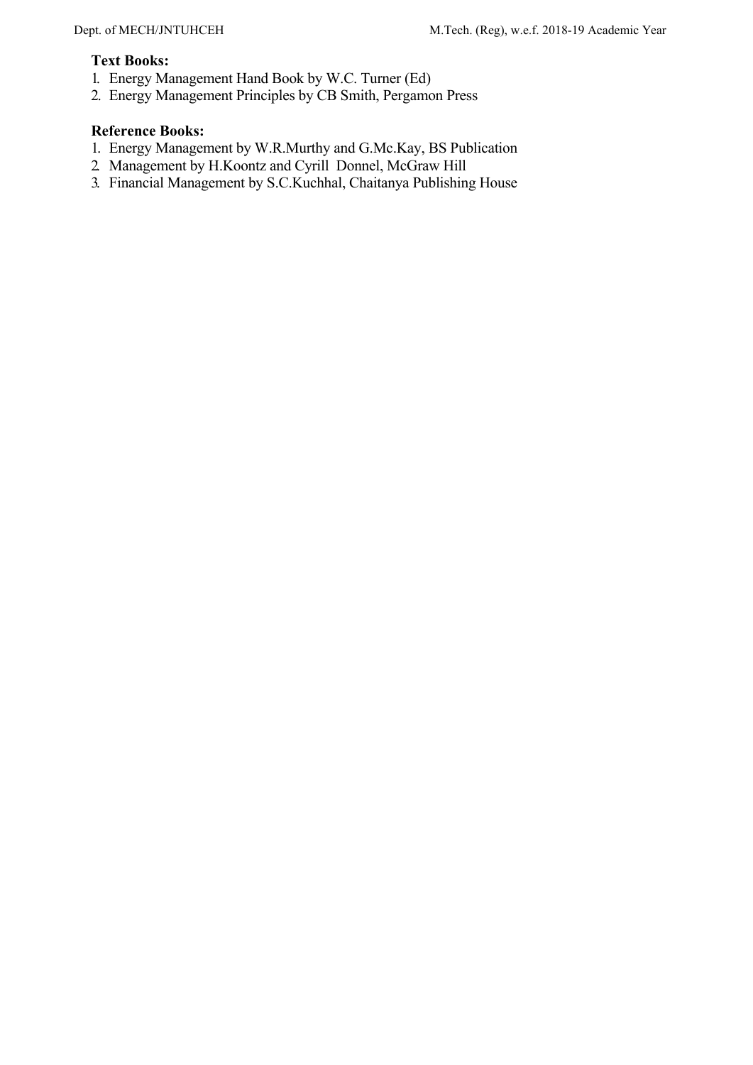#### **Text Books:**

- 1. Energy Management Hand Book by W.C. Turner (Ed)
- 2. Energy Management Principles by CB Smith, Pergamon Press

- 1. Energy Management by W.R.Murthy and G.Mc.Kay, BS Publication
- 2. Management by H.Koontz and Cyrill Donnel, McGraw Hill
- 3. Financial Management by S.C.Kuchhal, Chaitanya Publishing House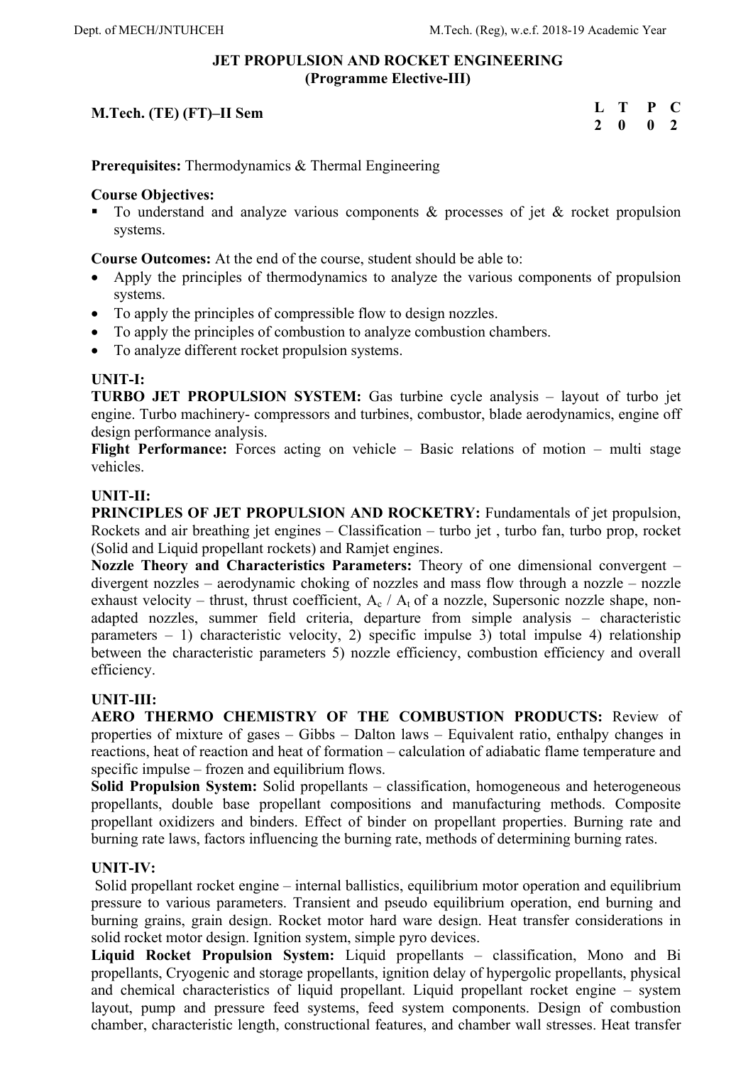### **JET PROPULSION AND ROCKET ENGINEERING (Programme Elective-III)**

## **M.Tech. (TE) (FT)–II Sem**

| L | т | P | C             |
|---|---|---|---------------|
| 2 | 0 | 0 | $\mathcal{L}$ |

**Prerequisites:** Thermodynamics & Thermal Engineering

### **Course Objectives:**

To understand and analyze various components  $\&$  processes of jet  $\&$  rocket propulsion systems.

**Course Outcomes:** At the end of the course, student should be able to:

- Apply the principles of thermodynamics to analyze the various components of propulsion systems.
- To apply the principles of compressible flow to design nozzles.
- To apply the principles of combustion to analyze combustion chambers.
- To analyze different rocket propulsion systems.

### **UNIT-I:**

**TURBO JET PROPULSION SYSTEM:** Gas turbine cycle analysis – layout of turbo jet engine. Turbo machinery- compressors and turbines, combustor, blade aerodynamics, engine off design performance analysis.

Flight Performance: Forces acting on vehicle – Basic relations of motion – multi stage vehicles.

### **UNIT-II:**

**PRINCIPLES OF JET PROPULSION AND ROCKETRY:** Fundamentals of jet propulsion, Rockets and air breathing jet engines – Classification – turbo jet , turbo fan, turbo prop, rocket (Solid and Liquid propellant rockets) and Ramjet engines.

**Nozzle Theory and Characteristics Parameters:** Theory of one dimensional convergent – divergent nozzles – aerodynamic choking of nozzles and mass flow through a nozzle – nozzle exhaust velocity – thrust, thrust coefficient,  $A_c / A_t$  of a nozzle, Supersonic nozzle shape, nonadapted nozzles, summer field criteria, departure from simple analysis – characteristic parameters – 1) characteristic velocity, 2) specific impulse 3) total impulse 4) relationship between the characteristic parameters 5) nozzle efficiency, combustion efficiency and overall efficiency.

## **UNIT-III:**

**AERO THERMO CHEMISTRY OF THE COMBUSTION PRODUCTS:** Review of properties of mixture of gases – Gibbs – Dalton laws – Equivalent ratio, enthalpy changes in reactions, heat of reaction and heat of formation – calculation of adiabatic flame temperature and specific impulse – frozen and equilibrium flows.

**Solid Propulsion System:** Solid propellants – classification, homogeneous and heterogeneous propellants, double base propellant compositions and manufacturing methods. Composite propellant oxidizers and binders. Effect of binder on propellant properties. Burning rate and burning rate laws, factors influencing the burning rate, methods of determining burning rates.

## **UNIT-IV:**

 Solid propellant rocket engine – internal ballistics, equilibrium motor operation and equilibrium pressure to various parameters. Transient and pseudo equilibrium operation, end burning and burning grains, grain design. Rocket motor hard ware design. Heat transfer considerations in solid rocket motor design. Ignition system, simple pyro devices.

**Liquid Rocket Propulsion System:** Liquid propellants – classification, Mono and Bi propellants, Cryogenic and storage propellants, ignition delay of hypergolic propellants, physical and chemical characteristics of liquid propellant. Liquid propellant rocket engine – system layout, pump and pressure feed systems, feed system components. Design of combustion chamber, characteristic length, constructional features, and chamber wall stresses. Heat transfer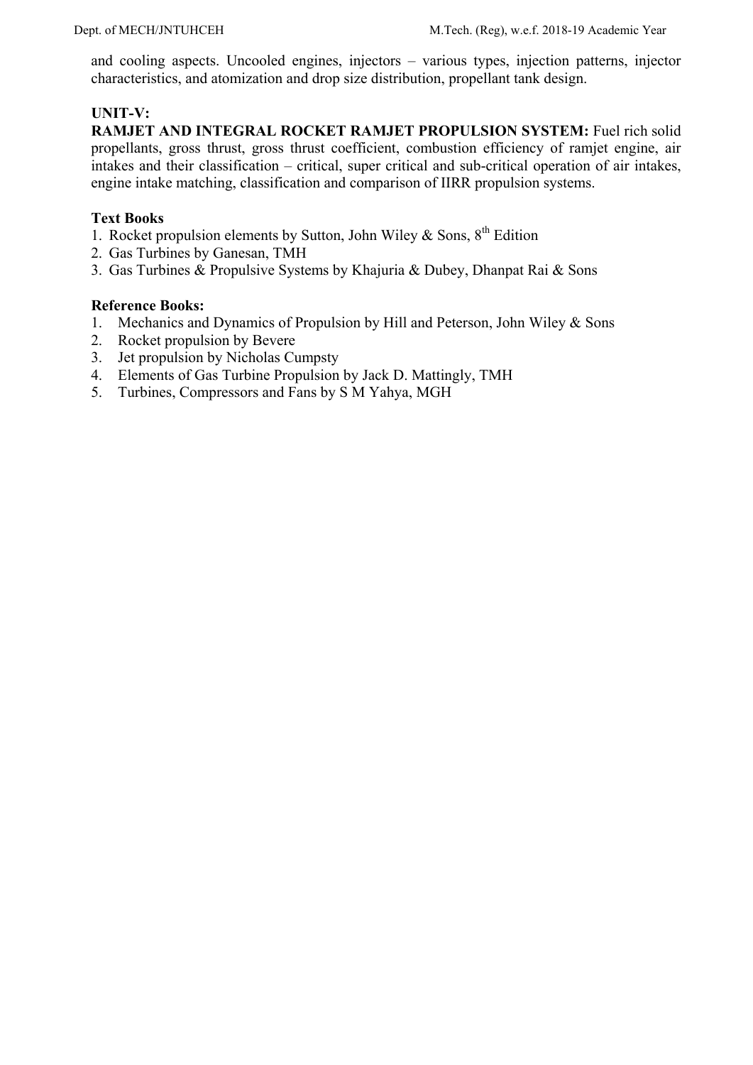and cooling aspects. Uncooled engines, injectors – various types, injection patterns, injector characteristics, and atomization and drop size distribution, propellant tank design.

### **UNIT-V:**

**RAMJET AND INTEGRAL ROCKET RAMJET PROPULSION SYSTEM:** Fuel rich solid propellants, gross thrust, gross thrust coefficient, combustion efficiency of ramjet engine, air intakes and their classification – critical, super critical and sub-critical operation of air intakes, engine intake matching, classification and comparison of IIRR propulsion systems.

### **Text Books**

- 1. Rocket propulsion elements by Sutton, John Wiley & Sons,  $8^{th}$  Edition
- 2. Gas Turbines by Ganesan, TMH
- 3. Gas Turbines & Propulsive Systems by Khajuria & Dubey, Dhanpat Rai & Sons

- 1. Mechanics and Dynamics of Propulsion by Hill and Peterson, John Wiley & Sons
- 2. Rocket propulsion by Bevere
- 3. Jet propulsion by Nicholas Cumpsty
- 4. Elements of Gas Turbine Propulsion by Jack D. Mattingly, TMH
- 5. Turbines, Compressors and Fans by S M Yahya, MGH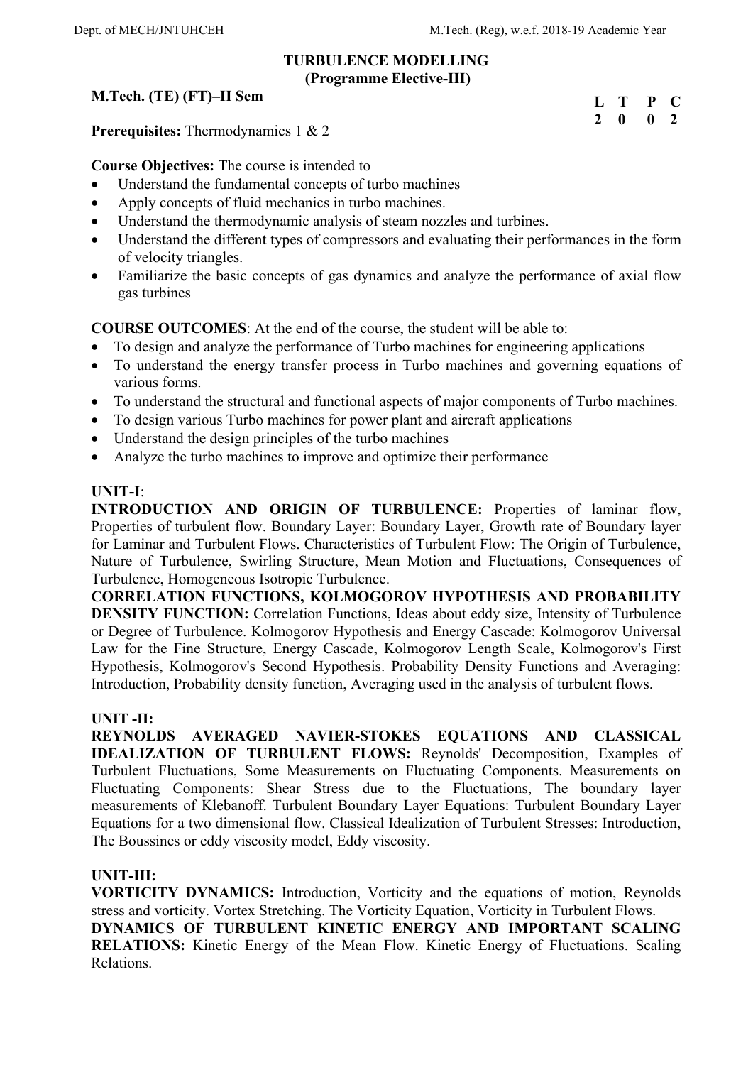### **TURBULENCE MODELLING (Programme Elective-III)**

## **M.Tech. (TE) (FT)–II Sem**

| $\mathbf{L}$   | Т | P            | C            |
|----------------|---|--------------|--------------|
| $\overline{2}$ | 0 | $\mathbf{0}$ | <sup>2</sup> |

**Prerequisites:** Thermodynamics 1 & 2

**Course Objectives:** The course is intended to

- Understand the fundamental concepts of turbo machines
- Apply concepts of fluid mechanics in turbo machines.
- Understand the thermodynamic analysis of steam nozzles and turbines.
- Understand the different types of compressors and evaluating their performances in the form of velocity triangles.
- Familiarize the basic concepts of gas dynamics and analyze the performance of axial flow gas turbines

**COURSE OUTCOMES**: At the end of the course, the student will be able to:

- To design and analyze the performance of Turbo machines for engineering applications
- To understand the energy transfer process in Turbo machines and governing equations of various forms.
- To understand the structural and functional aspects of major components of Turbo machines.
- To design various Turbo machines for power plant and aircraft applications
- Understand the design principles of the turbo machines
- Analyze the turbo machines to improve and optimize their performance

### **UNIT-I**:

**INTRODUCTION AND ORIGIN OF TURBULENCE:** Properties of laminar flow, Properties of turbulent flow. Boundary Layer: Boundary Layer, Growth rate of Boundary layer for Laminar and Turbulent Flows. Characteristics of Turbulent Flow: The Origin of Turbulence, Nature of Turbulence, Swirling Structure, Mean Motion and Fluctuations, Consequences of Turbulence, Homogeneous Isotropic Turbulence.

**CORRELATION FUNCTIONS, KOLMOGOROV HYPOTHESIS AND PROBABILITY DENSITY FUNCTION:** Correlation Functions, Ideas about eddy size, Intensity of Turbulence or Degree of Turbulence. Kolmogorov Hypothesis and Energy Cascade: Kolmogorov Universal Law for the Fine Structure, Energy Cascade, Kolmogorov Length Scale, Kolmogorov's First Hypothesis, Kolmogorov's Second Hypothesis. Probability Density Functions and Averaging: Introduction, Probability density function, Averaging used in the analysis of turbulent flows.

### **UNIT -II:**

**REYNOLDS AVERAGED NAVIER-STOKES EQUATIONS AND CLASSICAL IDEALIZATION OF TURBULENT FLOWS:** Reynolds' Decomposition, Examples of Turbulent Fluctuations, Some Measurements on Fluctuating Components. Measurements on Fluctuating Components: Shear Stress due to the Fluctuations, The boundary layer measurements of Klebanoff. Turbulent Boundary Layer Equations: Turbulent Boundary Layer Equations for a two dimensional flow. Classical Idealization of Turbulent Stresses: Introduction, The Boussines or eddy viscosity model, Eddy viscosity.

### **UNIT-III:**

**VORTICITY DYNAMICS:** Introduction, Vorticity and the equations of motion, Reynolds stress and vorticity. Vortex Stretching. The Vorticity Equation, Vorticity in Turbulent Flows. **DYNAMICS OF TURBULENT KINETIC ENERGY AND IMPORTANT SCALING RELATIONS:** Kinetic Energy of the Mean Flow. Kinetic Energy of Fluctuations. Scaling Relations.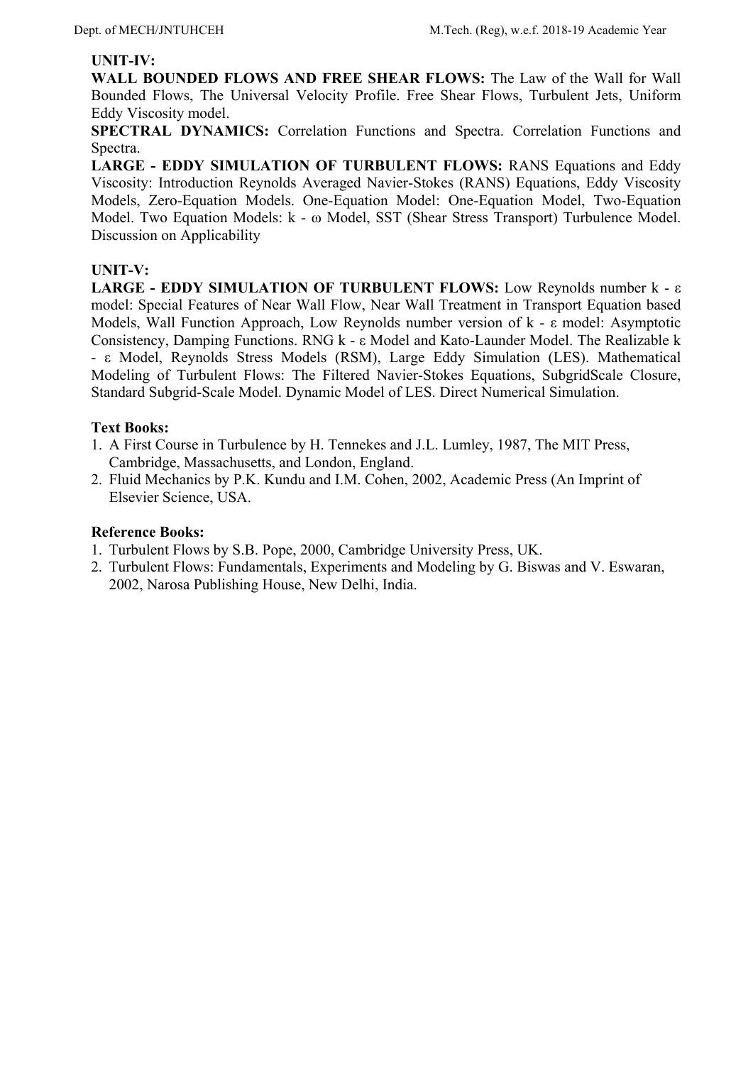#### **UNIT-IV:**

WALL BOUNDED FLOWS AND FREE SHEAR FLOWS: The Law of the Wall for Wall Bounded Flows, The Universal Velocity Profile. Free Shear Flows, Turbulent Jets, Uniform Eddy Viscosity model.

**SPECTRAL DYNAMICS:** Correlation Functions and Spectra. Correlation Functions and Spectra.

LARGE - EDDY SIMULATION OF TURBULENT FLOWS: RANS Equations and Eddy Viscosity: Introduction Reynolds Averaged Navier-Stokes (RANS) Equations, Eddy Viscosity Models, Zero-Equation Models. One-Equation Model: One-Equation Model, Two-Equation Model. Two Equation Models: k - ω Model, SST (Shear Stress Transport) Turbulence Model. Discussion on Applicability

### **UNIT-V:**

**LARGE - EDDY SIMULATION OF TURBULENT FLOWS:** Low Reynolds number k - ε model: Special Features of Near Wall Flow, Near Wall Treatment in Transport Equation based Models, Wall Function Approach, Low Reynolds number version of k - ε model: Asymptotic Consistency, Damping Functions. RNG k - ε Model and Kato-Launder Model. The Realizable k - ε Model, Reynolds Stress Models (RSM), Large Eddy Simulation (LES). Mathematical Modeling of Turbulent Flows: The Filtered Navier-Stokes Equations, SubgridScale Closure, Standard Subgrid-Scale Model. Dynamic Model of LES. Direct Numerical Simulation.

#### **Text Books:**

- 1. A First Course in Turbulence by H. Tennekes and J.L. Lumley, 1987, The MIT Press, Cambridge, Massachusetts, and London, England.
- 2. Fluid Mechanics by P.K. Kundu and I.M. Cohen, 2002, Academic Press (An Imprint of Elsevier Science, USA.

- 1. Turbulent Flows by S.B. Pope, 2000, Cambridge University Press, UK.
- 2. Turbulent Flows: Fundamentals, Experiments and Modeling by G. Biswas and V. Eswaran, 2002, Narosa Publishing House, New Delhi, India.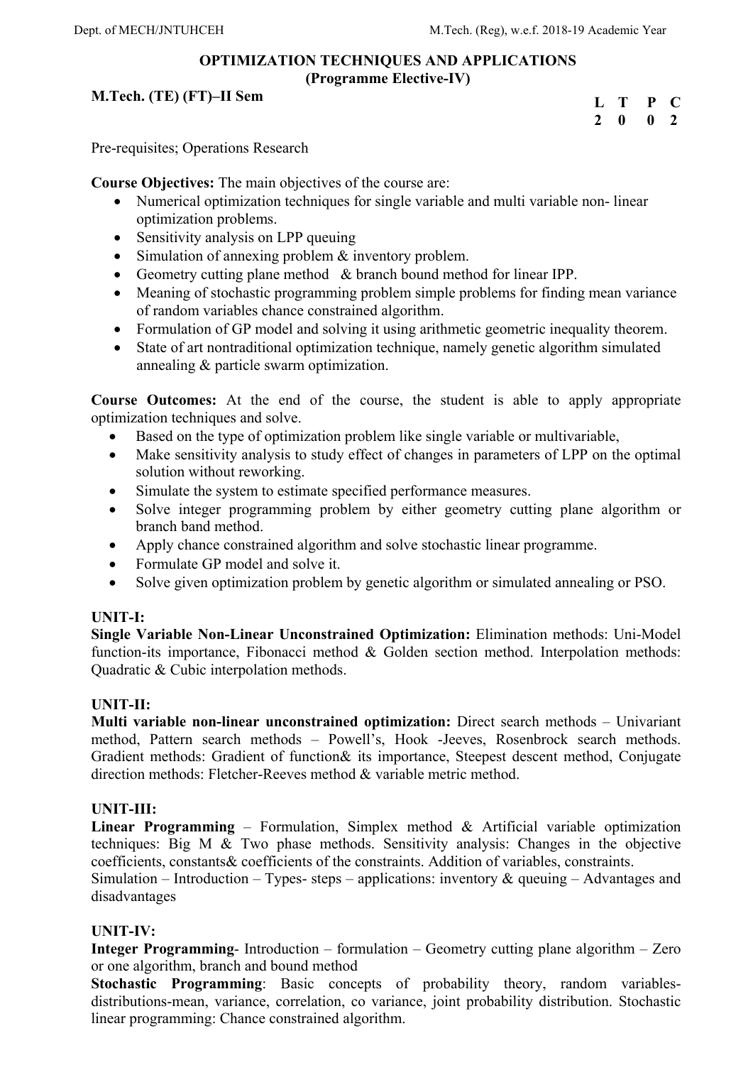### **OPTIMIZATION TECHNIQUES AND APPLICATIONS (Programme Elective-IV)**

### **M.Tech. (TE) (FT)–II Sem**

| L | Т | P           | $\mathbf C$    |
|---|---|-------------|----------------|
| 2 | 0 | $\mathbf 0$ | $\overline{2}$ |

Pre-requisites; Operations Research

**Course Objectives:** The main objectives of the course are:

- Numerical optimization techniques for single variable and multi variable non-linear optimization problems.
- Sensitivity analysis on LPP queuing
- Simulation of annexing problem & inventory problem.
- Geometry cutting plane method & branch bound method for linear IPP.
- Meaning of stochastic programming problem simple problems for finding mean variance of random variables chance constrained algorithm.
- Formulation of GP model and solving it using arithmetic geometric inequality theorem.
- State of art nontraditional optimization technique, namely genetic algorithm simulated annealing & particle swarm optimization.

**Course Outcomes:** At the end of the course, the student is able to apply appropriate optimization techniques and solve.

- Based on the type of optimization problem like single variable or multivariable,
- Make sensitivity analysis to study effect of changes in parameters of LPP on the optimal solution without reworking.
- Simulate the system to estimate specified performance measures.
- Solve integer programming problem by either geometry cutting plane algorithm or branch band method.
- Apply chance constrained algorithm and solve stochastic linear programme.
- Formulate GP model and solve it.
- Solve given optimization problem by genetic algorithm or simulated annealing or PSO.

## **UNIT-I:**

**Single Variable Non-Linear Unconstrained Optimization:** Elimination methods: Uni-Model function-its importance, Fibonacci method & Golden section method. Interpolation methods: Quadratic & Cubic interpolation methods.

## **UNIT-II:**

**Multi variable non-linear unconstrained optimization:** Direct search methods – Univariant method, Pattern search methods – Powell's, Hook -Jeeves, Rosenbrock search methods. Gradient methods: Gradient of function& its importance, Steepest descent method, Conjugate direction methods: Fletcher-Reeves method & variable metric method.

## **UNIT-III:**

**Linear Programming** – Formulation, Simplex method & Artificial variable optimization techniques: Big M & Two phase methods. Sensitivity analysis: Changes in the objective coefficients, constants& coefficients of the constraints. Addition of variables, constraints.

Simulation – Introduction – Types- steps – applications: inventory  $\&$  queuing – Advantages and disadvantages

## **UNIT-IV:**

**Integer Programming**- Introduction – formulation – Geometry cutting plane algorithm – Zero or one algorithm, branch and bound method

**Stochastic Programming**: Basic concepts of probability theory, random variablesdistributions-mean, variance, correlation, co variance, joint probability distribution. Stochastic linear programming: Chance constrained algorithm.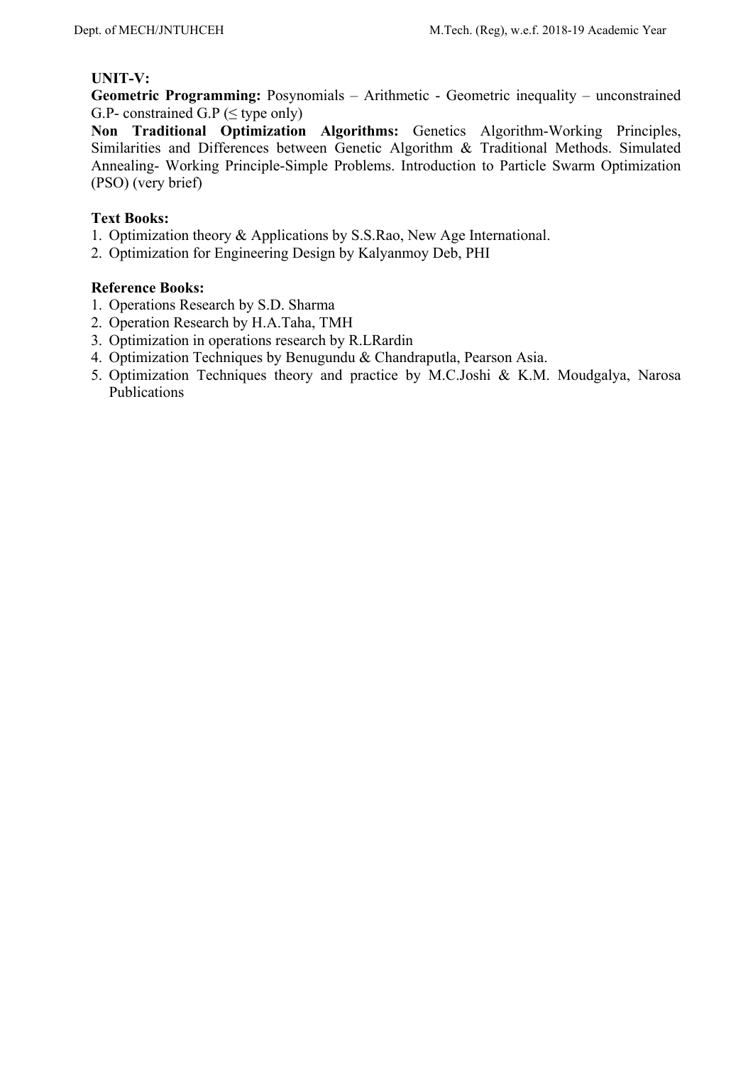#### **UNIT-V:**

**Geometric Programming:** Posynomials – Arithmetic - Geometric inequality – unconstrained G.P- constrained G.P ( $\leq$  type only)

**Non Traditional Optimization Algorithms:** Genetics Algorithm-Working Principles, Similarities and Differences between Genetic Algorithm & Traditional Methods. Simulated Annealing- Working Principle-Simple Problems. Introduction to Particle Swarm Optimization (PSO) (very brief)

### **Text Books:**

- 1. Optimization theory & Applications by S.S.Rao, New Age International.
- 2. Optimization for Engineering Design by Kalyanmoy Deb, PHI

- 1. Operations Research by S.D. Sharma
- 2. Operation Research by H.A.Taha, TMH
- 3. Optimization in operations research by R.LRardin
- 4. Optimization Techniques by Benugundu & Chandraputla, Pearson Asia.
- 5. Optimization Techniques theory and practice by M.C.Joshi & K.M. Moudgalya, Narosa Publications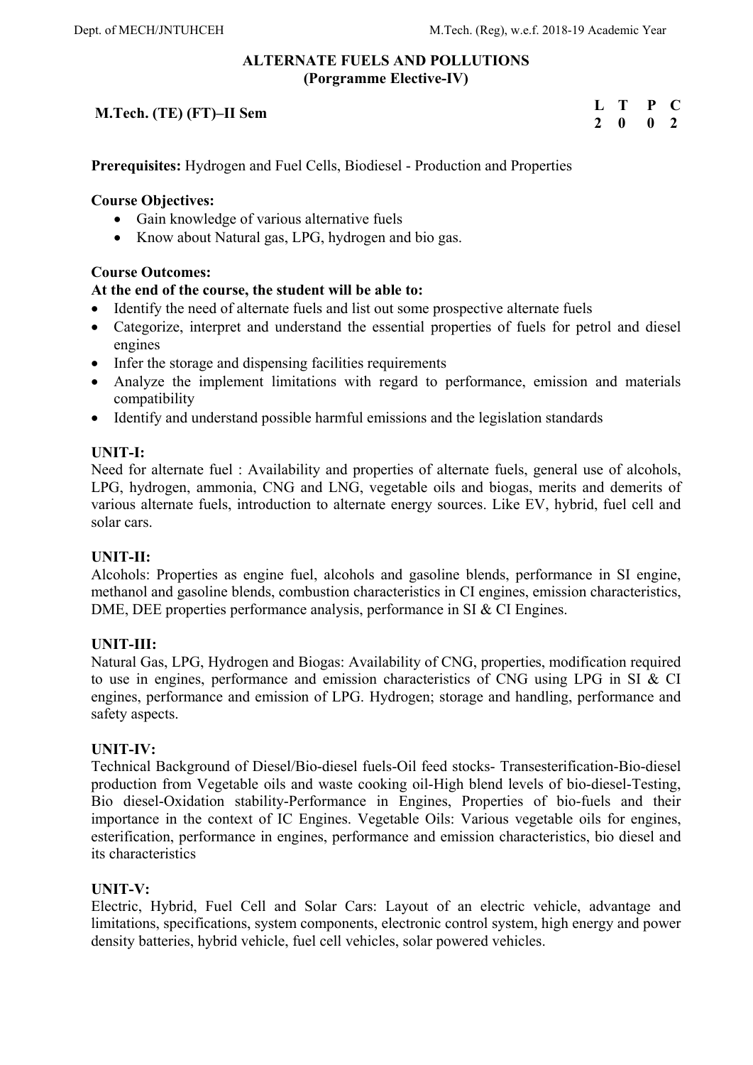## **ALTERNATE FUELS AND POLLUTIONS (Porgramme Elective-IV)**

## **M.Tech. (TE) (FT)–II Sem**

| L             | Т            | P           | C            |
|---------------|--------------|-------------|--------------|
| $\mathcal{L}$ | $\mathbf{0}$ | $\mathbf 0$ | $\mathbf{Z}$ |

**Prerequisites:** Hydrogen and Fuel Cells, Biodiesel - Production and Properties

### **Course Objectives:**

- Gain knowledge of various alternative fuels
- Know about Natural gas, LPG, hydrogen and bio gas.

### **Course Outcomes:**

### **At the end of the course, the student will be able to:**

- Identify the need of alternate fuels and list out some prospective alternate fuels
- Categorize, interpret and understand the essential properties of fuels for petrol and diesel engines
- Infer the storage and dispensing facilities requirements
- Analyze the implement limitations with regard to performance, emission and materials compatibility
- Identify and understand possible harmful emissions and the legislation standards

### **UNIT-I:**

Need for alternate fuel : Availability and properties of alternate fuels, general use of alcohols, LPG, hydrogen, ammonia, CNG and LNG, vegetable oils and biogas, merits and demerits of various alternate fuels, introduction to alternate energy sources. Like EV, hybrid, fuel cell and solar cars.

### **UNIT-II:**

Alcohols: Properties as engine fuel, alcohols and gasoline blends, performance in SI engine, methanol and gasoline blends, combustion characteristics in CI engines, emission characteristics, DME, DEE properties performance analysis, performance in SI & CI Engines.

### **UNIT-III:**

Natural Gas, LPG, Hydrogen and Biogas: Availability of CNG, properties, modification required to use in engines, performance and emission characteristics of CNG using LPG in SI & CI engines, performance and emission of LPG. Hydrogen; storage and handling, performance and safety aspects.

### **UNIT-IV:**

Technical Background of Diesel/Bio-diesel fuels-Oil feed stocks- Transesterification-Bio-diesel production from Vegetable oils and waste cooking oil-High blend levels of bio-diesel-Testing, Bio diesel-Oxidation stability-Performance in Engines, Properties of bio-fuels and their importance in the context of IC Engines. Vegetable Oils: Various vegetable oils for engines, esterification, performance in engines, performance and emission characteristics, bio diesel and its characteristics

### **UNIT-V:**

Electric, Hybrid, Fuel Cell and Solar Cars: Layout of an electric vehicle, advantage and limitations, specifications, system components, electronic control system, high energy and power density batteries, hybrid vehicle, fuel cell vehicles, solar powered vehicles.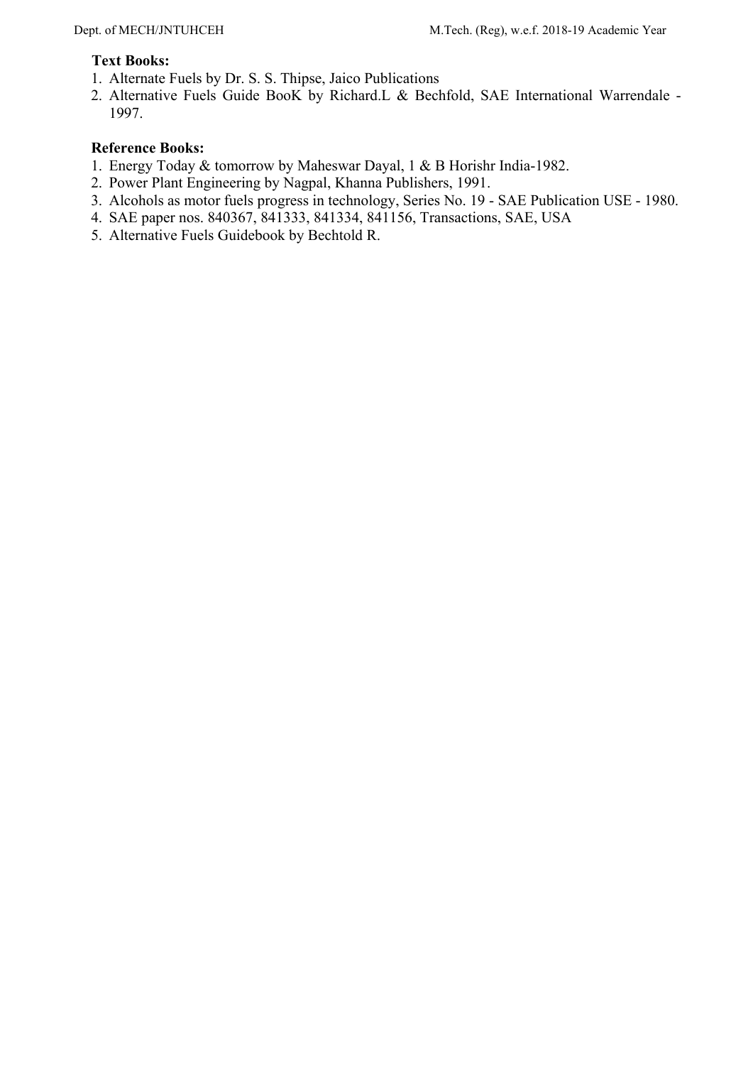#### **Text Books:**

- 1. Alternate Fuels by Dr. S. S. Thipse, Jaico Publications
- 2. Alternative Fuels Guide BooK by Richard.L & Bechfold, SAE International Warrendale 1997.

- 1. Energy Today & tomorrow by Maheswar Dayal, 1 & B Horishr India-1982.
- 2. Power Plant Engineering by Nagpal, Khanna Publishers, 1991.
- 3. Alcohols as motor fuels progress in technology, Series No. 19 SAE Publication USE 1980.
- 4. SAE paper nos. 840367, 841333, 841334, 841156, Transactions, SAE, USA
- 5. Alternative Fuels Guidebook by Bechtold R.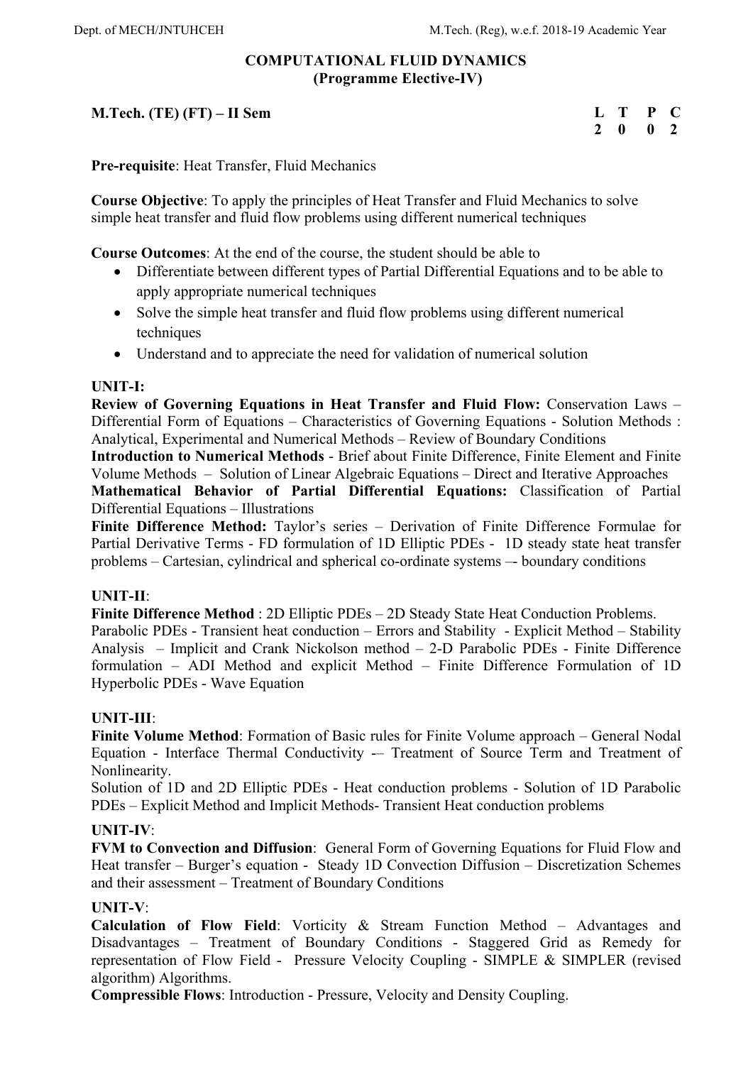## **COMPUTATIONAL FLUID DYNAMICS (Programme Elective-IV)**

## **M.Tech. (TE) (FT) – II Sem**

| $\mathbf{L}$               | T | P | L.           |
|----------------------------|---|---|--------------|
| $\boldsymbol{\mathcal{L}}$ | 0 | 0 | $\mathbf{v}$ |

**Pre-requisite**: Heat Transfer, Fluid Mechanics

**Course Objective**: To apply the principles of Heat Transfer and Fluid Mechanics to solve simple heat transfer and fluid flow problems using different numerical techniques

**Course Outcomes**: At the end of the course, the student should be able to

- Differentiate between different types of Partial Differential Equations and to be able to apply appropriate numerical techniques
- Solve the simple heat transfer and fluid flow problems using different numerical techniques
- Understand and to appreciate the need for validation of numerical solution

#### **UNIT-I:**

**Review of Governing Equations in Heat Transfer and Fluid Flow:** Conservation Laws – Differential Form of Equations – Characteristics of Governing Equations - Solution Methods : Analytical, Experimental and Numerical Methods – Review of Boundary Conditions

**Introduction to Numerical Methods** - Brief about Finite Difference, Finite Element and Finite Volume Methods – Solution of Linear Algebraic Equations – Direct and Iterative Approaches **Mathematical Behavior of Partial Differential Equations:** Classification of Partial Differential Equations – Illustrations

**Finite Difference Method:** Taylor's series – Derivation of Finite Difference Formulae for Partial Derivative Terms - FD formulation of 1D Elliptic PDEs - 1D steady state heat transfer problems – Cartesian, cylindrical and spherical co-ordinate systems –- boundary conditions

### **UNIT-II**:

**Finite Difference Method** : 2D Elliptic PDEs – 2D Steady State Heat Conduction Problems.

Parabolic PDEs - Transient heat conduction – Errors and Stability - Explicit Method – Stability Analysis – Implicit and Crank Nickolson method – 2-D Parabolic PDEs - Finite Difference formulation – ADI Method and explicit Method – Finite Difference Formulation of 1D Hyperbolic PDEs - Wave Equation

### **UNIT-III**:

**Finite Volume Method**: Formation of Basic rules for Finite Volume approach – General Nodal Equation - Interface Thermal Conductivity -– Treatment of Source Term and Treatment of Nonlinearity.

Solution of 1D and 2D Elliptic PDEs - Heat conduction problems - Solution of 1D Parabolic PDEs – Explicit Method and Implicit Methods- Transient Heat conduction problems

### **UNIT-IV**:

**FVM to Convection and Diffusion**: General Form of Governing Equations for Fluid Flow and Heat transfer – Burger's equation - Steady 1D Convection Diffusion – Discretization Schemes and their assessment – Treatment of Boundary Conditions

### **UNIT-V**:

**Calculation of Flow Field**: Vorticity & Stream Function Method – Advantages and Disadvantages – Treatment of Boundary Conditions - Staggered Grid as Remedy for representation of Flow Field - Pressure Velocity Coupling - SIMPLE & SIMPLER (revised algorithm) Algorithms.

**Compressible Flows**: Introduction - Pressure, Velocity and Density Coupling.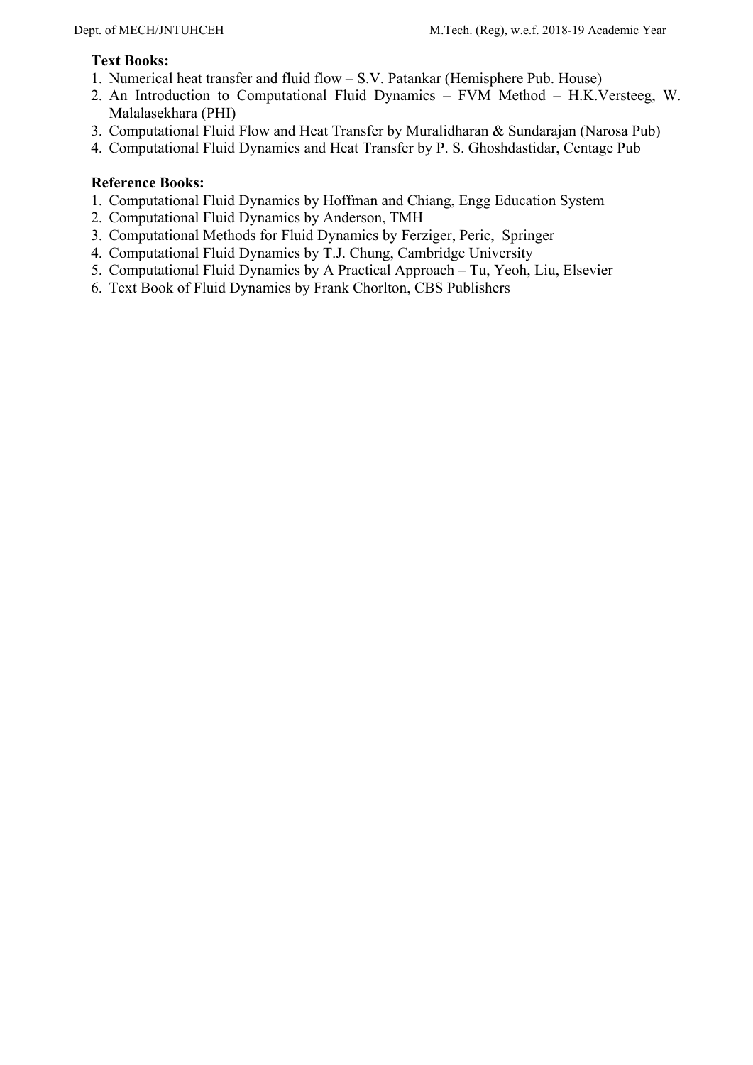#### **Text Books:**

- 1. Numerical heat transfer and fluid flow S.V. Patankar (Hemisphere Pub. House)
- 2. An Introduction to Computational Fluid Dynamics FVM Method H.K.Versteeg, W. Malalasekhara (PHI)
- 3. Computational Fluid Flow and Heat Transfer by Muralidharan & Sundarajan (Narosa Pub)
- 4. Computational Fluid Dynamics and Heat Transfer by P. S. Ghoshdastidar, Centage Pub

- 1. Computational Fluid Dynamics by Hoffman and Chiang, Engg Education System
- 2. Computational Fluid Dynamics by Anderson, TMH
- 3. Computational Methods for Fluid Dynamics by Ferziger, Peric, Springer
- 4. Computational Fluid Dynamics by T.J. Chung, Cambridge University
- 5. Computational Fluid Dynamics by A Practical Approach Tu, Yeoh, Liu, Elsevier
- 6. Text Book of Fluid Dynamics by Frank Chorlton, CBS Publishers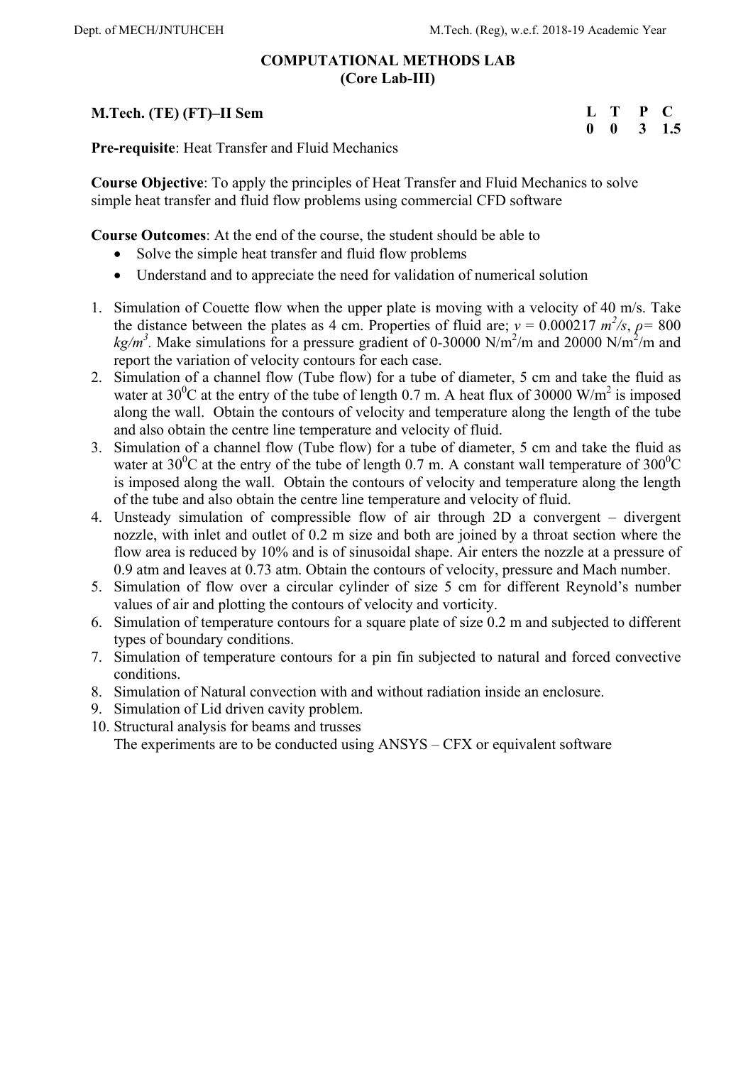### **COMPUTATIONAL METHODS LAB (Core Lab-III)**

### **M.Tech. (TE) (FT)–II Sem**

| L           | T | P | - 1 |
|-------------|---|---|-----|
| $\mathbf 0$ | 0 | 3 | 1.5 |

**Pre-requisite**: Heat Transfer and Fluid Mechanics

**Course Objective**: To apply the principles of Heat Transfer and Fluid Mechanics to solve simple heat transfer and fluid flow problems using commercial CFD software

**Course Outcomes**: At the end of the course, the student should be able to

- Solve the simple heat transfer and fluid flow problems
- Understand and to appreciate the need for validation of numerical solution
- 1. Simulation of Couette flow when the upper plate is moving with a velocity of 40 m/s. Take the distance between the plates as 4 cm. Properties of fluid are;  $v = 0.000217$   $m^2/s$ ,  $\rho = 800$  $kg/m<sup>3</sup>$ . Make simulations for a pressure gradient of 0-30000 N/m<sup>2</sup>/m and 20000 N/m<sup>2</sup>/m and report the variation of velocity contours for each case.
- 2. Simulation of a channel flow (Tube flow) for a tube of diameter, 5 cm and take the fluid as water at 30<sup>0</sup>C at the entry of the tube of length 0.7 m. A heat flux of 30000 W/m<sup>2</sup> is imposed along the wall. Obtain the contours of velocity and temperature along the length of the tube and also obtain the centre line temperature and velocity of fluid.
- 3. Simulation of a channel flow (Tube flow) for a tube of diameter, 5 cm and take the fluid as water at 30<sup>0</sup>C at the entry of the tube of length 0.7 m. A constant wall temperature of 300<sup>0</sup>C is imposed along the wall. Obtain the contours of velocity and temperature along the length of the tube and also obtain the centre line temperature and velocity of fluid.
- 4. Unsteady simulation of compressible flow of air through 2D a convergent divergent nozzle, with inlet and outlet of 0.2 m size and both are joined by a throat section where the flow area is reduced by 10% and is of sinusoidal shape. Air enters the nozzle at a pressure of 0.9 atm and leaves at 0.73 atm. Obtain the contours of velocity, pressure and Mach number.
- 5. Simulation of flow over a circular cylinder of size 5 cm for different Reynold's number values of air and plotting the contours of velocity and vorticity.
- 6. Simulation of temperature contours for a square plate of size 0.2 m and subjected to different types of boundary conditions.
- 7. Simulation of temperature contours for a pin fin subjected to natural and forced convective conditions.
- 8. Simulation of Natural convection with and without radiation inside an enclosure.
- 9. Simulation of Lid driven cavity problem.
- 10. Structural analysis for beams and trusses The experiments are to be conducted using ANSYS – CFX or equivalent software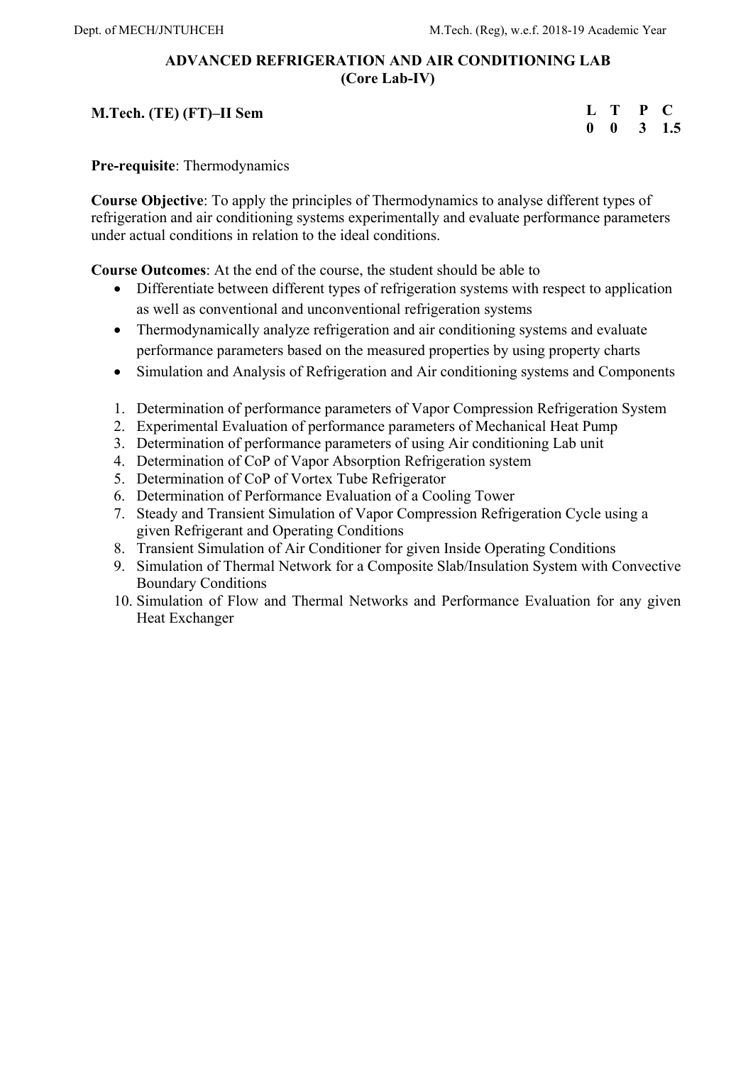## **ADVANCED REFRIGERATION AND AIR CONDITIONING LAB (Core Lab-IV)**

### **M.Tech. (TE) (FT)–II Sem**

| L           |   | P |     |
|-------------|---|---|-----|
| $\mathbf 0$ | 0 | 3 | 1.5 |

**Pre-requisite**: Thermodynamics

**Course Objective**: To apply the principles of Thermodynamics to analyse different types of refrigeration and air conditioning systems experimentally and evaluate performance parameters under actual conditions in relation to the ideal conditions.

**Course Outcomes**: At the end of the course, the student should be able to

- Differentiate between different types of refrigeration systems with respect to application as well as conventional and unconventional refrigeration systems
- Thermodynamically analyze refrigeration and air conditioning systems and evaluate performance parameters based on the measured properties by using property charts
- Simulation and Analysis of Refrigeration and Air conditioning systems and Components
- 1. Determination of performance parameters of Vapor Compression Refrigeration System
- 2. Experimental Evaluation of performance parameters of Mechanical Heat Pump
- 3. Determination of performance parameters of using Air conditioning Lab unit
- 4. Determination of CoP of Vapor Absorption Refrigeration system
- 5. Determination of CoP of Vortex Tube Refrigerator
- 6. Determination of Performance Evaluation of a Cooling Tower
- 7. Steady and Transient Simulation of Vapor Compression Refrigeration Cycle using a given Refrigerant and Operating Conditions
- 8. Transient Simulation of Air Conditioner for given Inside Operating Conditions
- 9. Simulation of Thermal Network for a Composite Slab/Insulation System with Convective Boundary Conditions
- 10. Simulation of Flow and Thermal Networks and Performance Evaluation for any given Heat Exchanger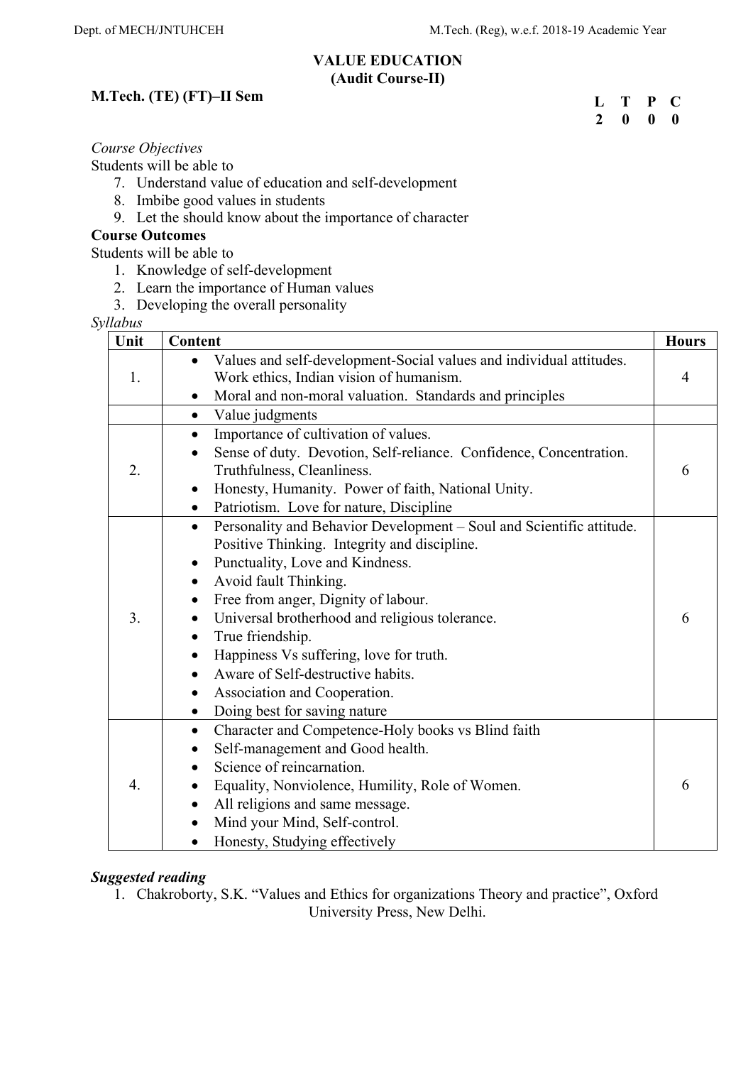#### **VALUE EDUCATION (Audit Course-II)**

## **M.Tech. (TE) (FT)–II Sem**

| L            | Т | P           | C. |
|--------------|---|-------------|----|
| $\mathbf{2}$ | 0 | $\mathbf 0$ | 0  |

### *Course Objectives*

Students will be able to

- 7. Understand value of education and self-development
- 8. Imbibe good values in students
- 9. Let the should know about the importance of character

### **Course Outcomes**

Students will be able to

- 1. Knowledge of self-development
- 2. Learn the importance of Human values
- 3. Developing the overall personality

*Syllabus*

| ruuvus<br>Unit | Content                                                                                                                                                                                                                                                                                                                                                                                                                                                                      | <b>Hours</b> |
|----------------|------------------------------------------------------------------------------------------------------------------------------------------------------------------------------------------------------------------------------------------------------------------------------------------------------------------------------------------------------------------------------------------------------------------------------------------------------------------------------|--------------|
| 1.             | Values and self-development-Social values and individual attitudes.<br>Work ethics, Indian vision of humanism.<br>Moral and non-moral valuation. Standards and principles                                                                                                                                                                                                                                                                                                    | 4            |
|                | Value judgments                                                                                                                                                                                                                                                                                                                                                                                                                                                              |              |
| 2.             | $\bullet$<br>Importance of cultivation of values.<br>$\bullet$<br>Sense of duty. Devotion, Self-reliance. Confidence, Concentration.<br>Truthfulness, Cleanliness.<br>Honesty, Humanity. Power of faith, National Unity.<br>Patriotism. Love for nature, Discipline                                                                                                                                                                                                          | 6            |
| 3.             | Personality and Behavior Development - Soul and Scientific attitude.<br>$\bullet$<br>Positive Thinking. Integrity and discipline.<br>Punctuality, Love and Kindness.<br>٠<br>Avoid fault Thinking.<br>Free from anger, Dignity of labour.<br>Universal brotherhood and religious tolerance.<br>True friendship.<br>Happiness Vs suffering, love for truth.<br>Aware of Self-destructive habits.<br>Association and Cooperation.<br>Doing best for saving nature<br>$\bullet$ | 6            |
| 4.             | Character and Competence-Holy books vs Blind faith<br>٠<br>Self-management and Good health.<br>Science of reincarnation.<br>Equality, Nonviolence, Humility, Role of Women.<br>All religions and same message.<br>Mind your Mind, Self-control.<br>$\bullet$<br>Honesty, Studying effectively                                                                                                                                                                                | 6            |

## *Suggested reading*

1. Chakroborty, S.K. "Values and Ethics for organizations Theory and practice", Oxford University Press, New Delhi.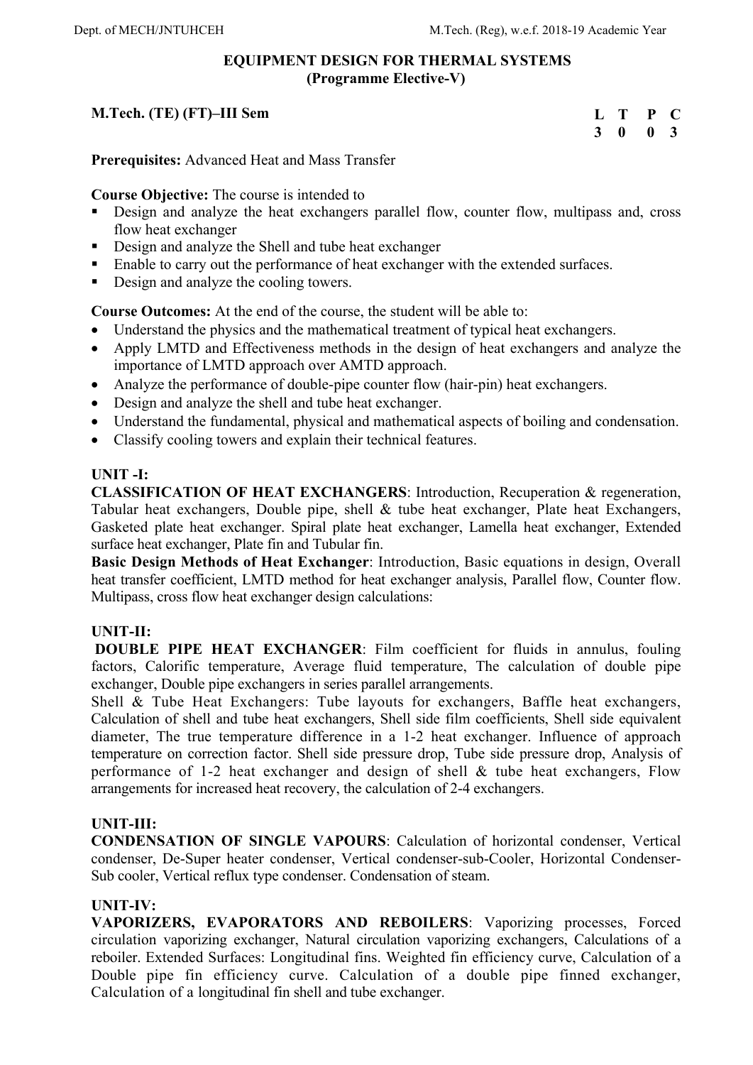## **EQUIPMENT DESIGN FOR THERMAL SYSTEMS (Programme Elective-V)**

## **M.Tech. (TE) (FT)–III Sem**

| L | Т            | P            | C              |
|---|--------------|--------------|----------------|
| 3 | $\mathbf{0}$ | $\mathbf{0}$ | 3 <sup>1</sup> |

**Prerequisites:** Advanced Heat and Mass Transfer

**Course Objective:** The course is intended to

- Design and analyze the heat exchangers parallel flow, counter flow, multipass and, cross flow heat exchanger
- Design and analyze the Shell and tube heat exchanger
- Enable to carry out the performance of heat exchanger with the extended surfaces.
- Design and analyze the cooling towers.

**Course Outcomes:** At the end of the course, the student will be able to:

- Understand the physics and the mathematical treatment of typical heat exchangers.
- Apply LMTD and Effectiveness methods in the design of heat exchangers and analyze the importance of LMTD approach over AMTD approach.
- Analyze the performance of double-pipe counter flow (hair-pin) heat exchangers.
- Design and analyze the shell and tube heat exchanger.
- Understand the fundamental, physical and mathematical aspects of boiling and condensation.
- Classify cooling towers and explain their technical features.

### **UNIT -I:**

**CLASSIFICATION OF HEAT EXCHANGERS**: Introduction, Recuperation & regeneration, Tabular heat exchangers, Double pipe, shell & tube heat exchanger, Plate heat Exchangers, Gasketed plate heat exchanger. Spiral plate heat exchanger, Lamella heat exchanger, Extended surface heat exchanger, Plate fin and Tubular fin.

**Basic Design Methods of Heat Exchanger**: Introduction, Basic equations in design, Overall heat transfer coefficient, LMTD method for heat exchanger analysis, Parallel flow, Counter flow. Multipass, cross flow heat exchanger design calculations:

### **UNIT-II:**

 **DOUBLE PIPE HEAT EXCHANGER**: Film coefficient for fluids in annulus, fouling factors, Calorific temperature, Average fluid temperature, The calculation of double pipe exchanger, Double pipe exchangers in series parallel arrangements.

Shell & Tube Heat Exchangers: Tube layouts for exchangers, Baffle heat exchangers, Calculation of shell and tube heat exchangers, Shell side film coefficients, Shell side equivalent diameter, The true temperature difference in a 1-2 heat exchanger. Influence of approach temperature on correction factor. Shell side pressure drop, Tube side pressure drop, Analysis of performance of 1-2 heat exchanger and design of shell & tube heat exchangers, Flow arrangements for increased heat recovery, the calculation of 2-4 exchangers.

## **UNIT-III:**

**CONDENSATION OF SINGLE VAPOURS**: Calculation of horizontal condenser, Vertical condenser, De-Super heater condenser, Vertical condenser-sub-Cooler, Horizontal Condenser-Sub cooler, Vertical reflux type condenser. Condensation of steam.

## **UNIT-IV:**

**VAPORIZERS, EVAPORATORS AND REBOILERS**: Vaporizing processes, Forced circulation vaporizing exchanger, Natural circulation vaporizing exchangers, Calculations of a reboiler. Extended Surfaces: Longitudinal fins. Weighted fin efficiency curve, Calculation of a Double pipe fin efficiency curve. Calculation of a double pipe finned exchanger, Calculation of a longitudinal fin shell and tube exchanger.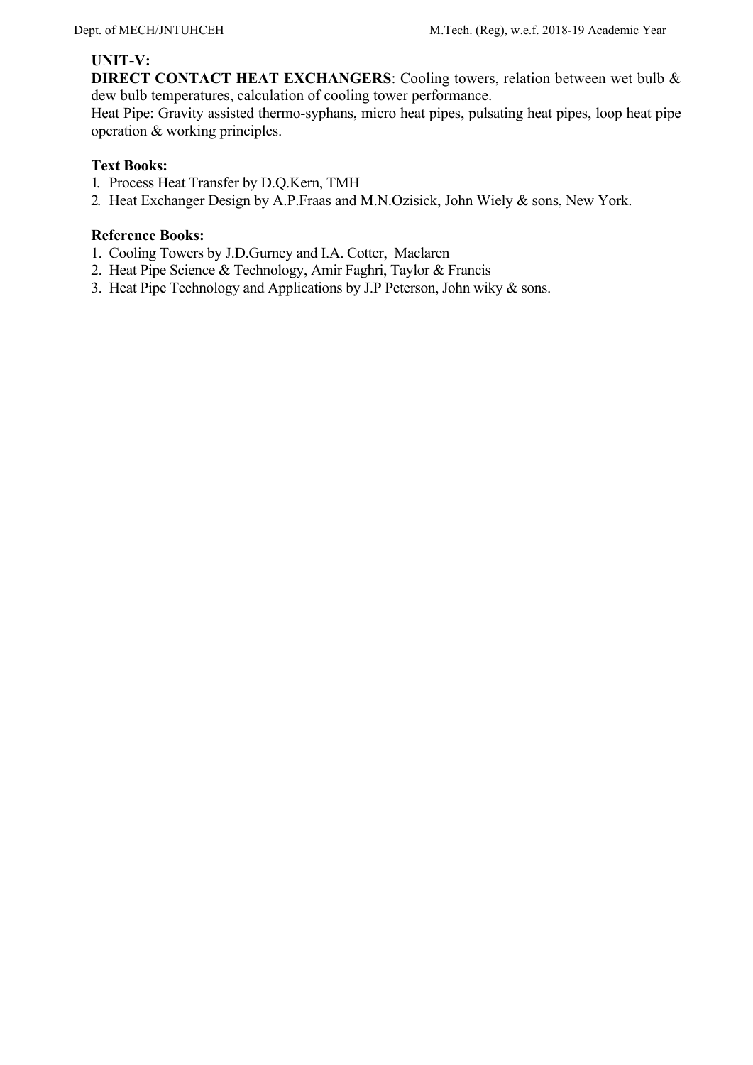## **UNIT-V:**

**DIRECT CONTACT HEAT EXCHANGERS**: Cooling towers, relation between wet bulb & dew bulb temperatures, calculation of cooling tower performance.

Heat Pipe: Gravity assisted thermo-syphans, micro heat pipes, pulsating heat pipes, loop heat pipe operation & working principles.

## **Text Books:**

- 1. Process Heat Transfer by D.Q.Kern, TMH
- 2. Heat Exchanger Design by A.P.Fraas and M.N.Ozisick, John Wiely & sons, New York.

- 1. Cooling Towers by J.D.Gurney and I.A. Cotter, Maclaren
- 2. Heat Pipe Science & Technology, Amir Faghri, Taylor & Francis
- 3. Heat Pipe Technology and Applications by J.P Peterson, John wiky & sons.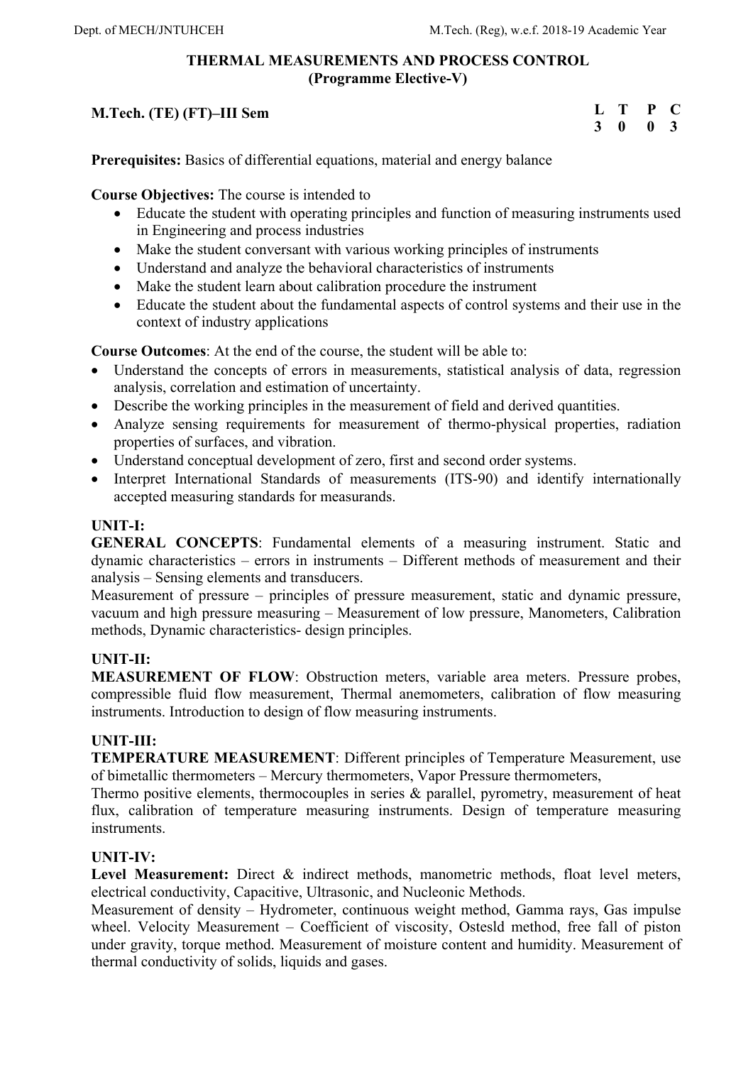## **THERMAL MEASUREMENTS AND PROCESS CONTROL (Programme Elective-V)**

## **M.Tech. (TE) (FT)–III Sem**

| L | T | P | $\mathbf C$ |
|---|---|---|-------------|
| 3 | 0 | 0 | -3          |

**Prerequisites:** Basics of differential equations, material and energy balance

**Course Objectives:** The course is intended to

- Educate the student with operating principles and function of measuring instruments used in Engineering and process industries
- Make the student conversant with various working principles of instruments
- Understand and analyze the behavioral characteristics of instruments
- Make the student learn about calibration procedure the instrument
- Educate the student about the fundamental aspects of control systems and their use in the context of industry applications

**Course Outcomes**: At the end of the course, the student will be able to:

- Understand the concepts of errors in measurements, statistical analysis of data, regression analysis, correlation and estimation of uncertainty.
- Describe the working principles in the measurement of field and derived quantities.
- Analyze sensing requirements for measurement of thermo-physical properties, radiation properties of surfaces, and vibration.
- Understand conceptual development of zero, first and second order systems.
- Interpret International Standards of measurements (ITS-90) and identify internationally accepted measuring standards for measurands.

## **UNIT-I:**

**GENERAL CONCEPTS**: Fundamental elements of a measuring instrument. Static and dynamic characteristics – errors in instruments – Different methods of measurement and their analysis – Sensing elements and transducers.

Measurement of pressure – principles of pressure measurement, static and dynamic pressure, vacuum and high pressure measuring – Measurement of low pressure, Manometers, Calibration methods, Dynamic characteristics- design principles.

## **UNIT-II:**

**MEASUREMENT OF FLOW**: Obstruction meters, variable area meters. Pressure probes, compressible fluid flow measurement, Thermal anemometers, calibration of flow measuring instruments. Introduction to design of flow measuring instruments.

## **UNIT-III:**

**TEMPERATURE MEASUREMENT**: Different principles of Temperature Measurement, use of bimetallic thermometers – Mercury thermometers, Vapor Pressure thermometers,

Thermo positive elements, thermocouples in series & parallel, pyrometry, measurement of heat flux, calibration of temperature measuring instruments. Design of temperature measuring instruments.

## **UNIT-IV:**

Level Measurement: Direct & indirect methods, manometric methods, float level meters, electrical conductivity, Capacitive, Ultrasonic, and Nucleonic Methods.

Measurement of density – Hydrometer, continuous weight method, Gamma rays, Gas impulse wheel. Velocity Measurement – Coefficient of viscosity, Ostesld method, free fall of piston under gravity, torque method. Measurement of moisture content and humidity. Measurement of thermal conductivity of solids, liquids and gases.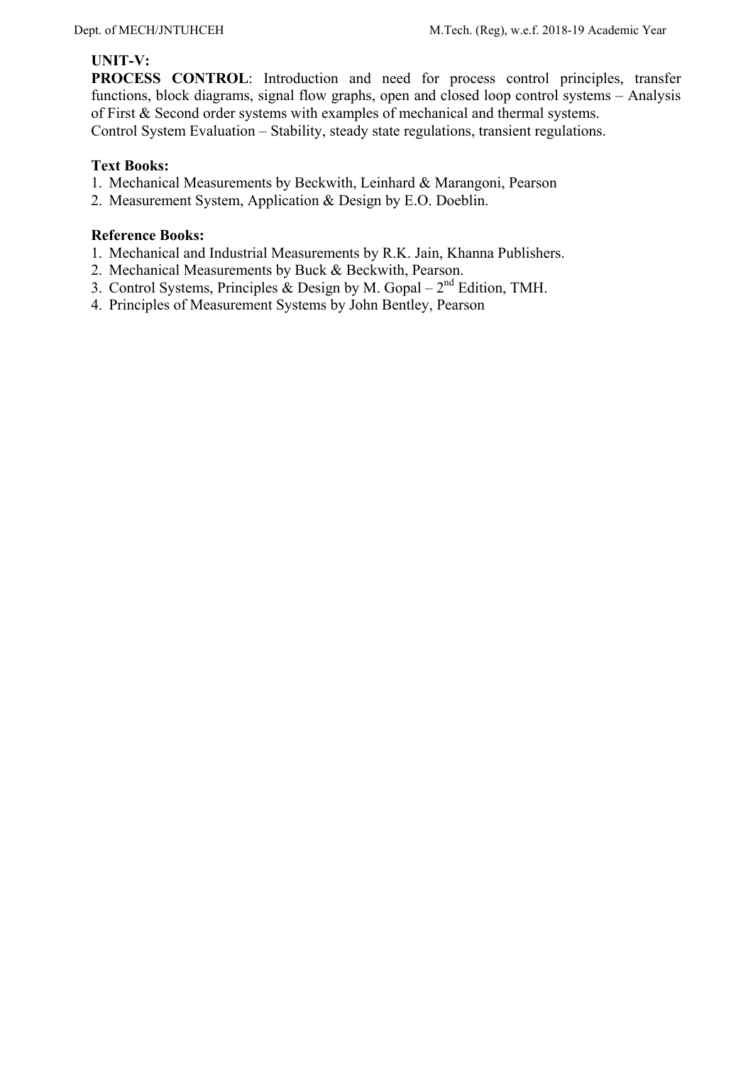## **UNIT-V:**

**PROCESS CONTROL**: Introduction and need for process control principles, transfer functions, block diagrams, signal flow graphs, open and closed loop control systems – Analysis of First & Second order systems with examples of mechanical and thermal systems. Control System Evaluation – Stability, steady state regulations, transient regulations.

### **Text Books:**

- 1. Mechanical Measurements by Beckwith, Leinhard & Marangoni, Pearson
- 2. Measurement System, Application & Design by E.O. Doeblin.

- 1. Mechanical and Industrial Measurements by R.K. Jain, Khanna Publishers.
- 2. Mechanical Measurements by Buck & Beckwith, Pearson.
- 3. Control Systems, Principles & Design by M. Gopal  $2<sup>nd</sup>$  Edition, TMH.
- 4. Principles of Measurement Systems by John Bentley, Pearson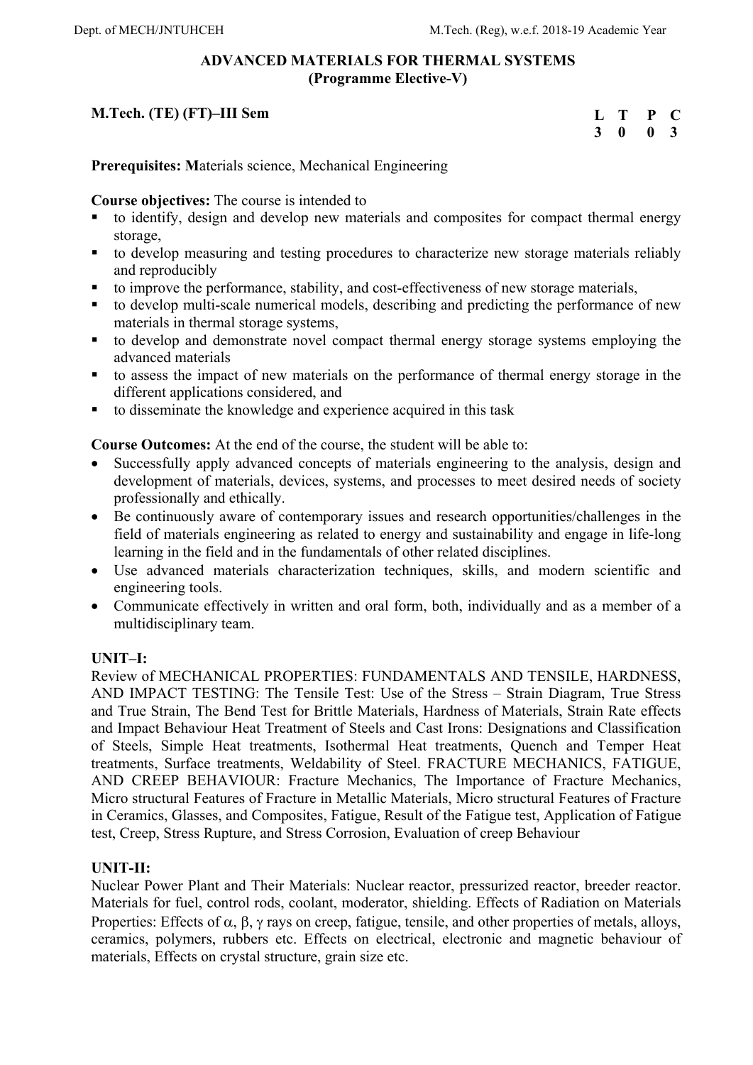### **ADVANCED MATERIALS FOR THERMAL SYSTEMS (Programme Elective-V)**

## **M.Tech. (TE) (FT)–III Sem**

| $\mathbf{L}$ | Т | P            | - 0          |
|--------------|---|--------------|--------------|
| 3            | 0 | $\mathbf{0}$ | $\mathbf{3}$ |

**Prerequisites: M**aterials science, Mechanical Engineering

**Course objectives:** The course is intended to

- to identify, design and develop new materials and composites for compact thermal energy storage,
- to develop measuring and testing procedures to characterize new storage materials reliably and reproducibly
- to improve the performance, stability, and cost-effectiveness of new storage materials,
- to develop multi-scale numerical models, describing and predicting the performance of new materials in thermal storage systems,
- to develop and demonstrate novel compact thermal energy storage systems employing the advanced materials
- to assess the impact of new materials on the performance of thermal energy storage in the different applications considered, and
- to disseminate the knowledge and experience acquired in this task

**Course Outcomes:** At the end of the course, the student will be able to:

- Successfully apply advanced concepts of materials engineering to the analysis, design and development of materials, devices, systems, and processes to meet desired needs of society professionally and ethically.
- Be continuously aware of contemporary issues and research opportunities/challenges in the field of materials engineering as related to energy and sustainability and engage in life-long learning in the field and in the fundamentals of other related disciplines.
- Use advanced materials characterization techniques, skills, and modern scientific and engineering tools.
- Communicate effectively in written and oral form, both, individually and as a member of a multidisciplinary team.

## **UNIT–I:**

Review of MECHANICAL PROPERTIES: FUNDAMENTALS AND TENSILE, HARDNESS, AND IMPACT TESTING: The Tensile Test: Use of the Stress – Strain Diagram, True Stress and True Strain, The Bend Test for Brittle Materials, Hardness of Materials, Strain Rate effects and Impact Behaviour Heat Treatment of Steels and Cast Irons: Designations and Classification of Steels, Simple Heat treatments, Isothermal Heat treatments, Quench and Temper Heat treatments, Surface treatments, Weldability of Steel. FRACTURE MECHANICS, FATIGUE, AND CREEP BEHAVIOUR: Fracture Mechanics, The Importance of Fracture Mechanics, Micro structural Features of Fracture in Metallic Materials, Micro structural Features of Fracture in Ceramics, Glasses, and Composites, Fatigue, Result of the Fatigue test, Application of Fatigue test, Creep, Stress Rupture, and Stress Corrosion, Evaluation of creep Behaviour

## **UNIT-II:**

Nuclear Power Plant and Their Materials: Nuclear reactor, pressurized reactor, breeder reactor. Materials for fuel, control rods, coolant, moderator, shielding. Effects of Radiation on Materials Properties: Effects of  $\alpha$ ,  $\beta$ ,  $\gamma$  rays on creep, fatigue, tensile, and other properties of metals, alloys, ceramics, polymers, rubbers etc. Effects on electrical, electronic and magnetic behaviour of materials, Effects on crystal structure, grain size etc.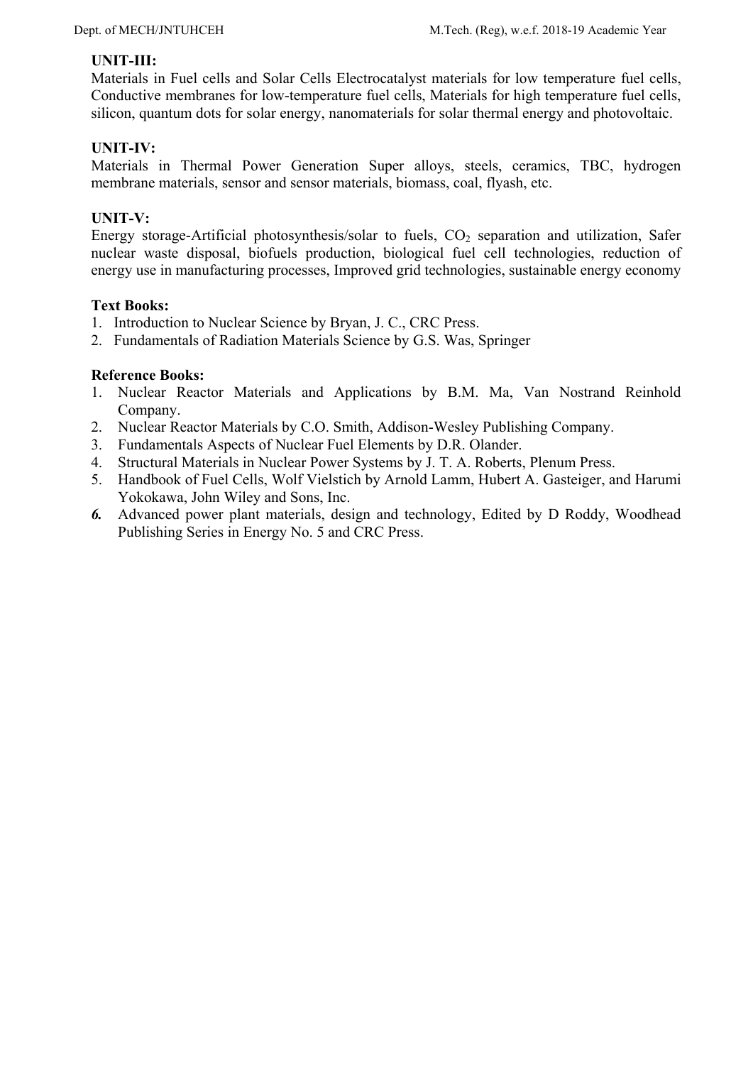### **UNIT-III:**

Materials in Fuel cells and Solar Cells Electrocatalyst materials for low temperature fuel cells, Conductive membranes for low-temperature fuel cells, Materials for high temperature fuel cells, silicon, quantum dots for solar energy, nanomaterials for solar thermal energy and photovoltaic.

## **UNIT-IV:**

Materials in Thermal Power Generation Super alloys, steels, ceramics, TBC, hydrogen membrane materials, sensor and sensor materials, biomass, coal, flyash, etc.

## **UNIT-V:**

Energy storage-Artificial photosynthesis/solar to fuels,  $CO<sub>2</sub>$  separation and utilization, Safer nuclear waste disposal, biofuels production, biological fuel cell technologies, reduction of energy use in manufacturing processes, Improved grid technologies, sustainable energy economy

### **Text Books:**

- 1. Introduction to Nuclear Science by Bryan, J. C., CRC Press.
- 2. Fundamentals of Radiation Materials Science by G.S. Was, Springer

- 1. Nuclear Reactor Materials and Applications by B.M. Ma, Van Nostrand Reinhold Company.
- 2. Nuclear Reactor Materials by C.O. Smith, Addison-Wesley Publishing Company.
- 3. Fundamentals Aspects of Nuclear Fuel Elements by D.R. Olander.
- 4. Structural Materials in Nuclear Power Systems by J. T. A. Roberts, Plenum Press.
- 5. Handbook of Fuel Cells, Wolf Vielstich by Arnold Lamm, Hubert A. Gasteiger, and Harumi Yokokawa, John Wiley and Sons, Inc.
- *6.* Advanced power plant materials, design and technology, Edited by D Roddy, Woodhead Publishing Series in Energy No. 5 and CRC Press.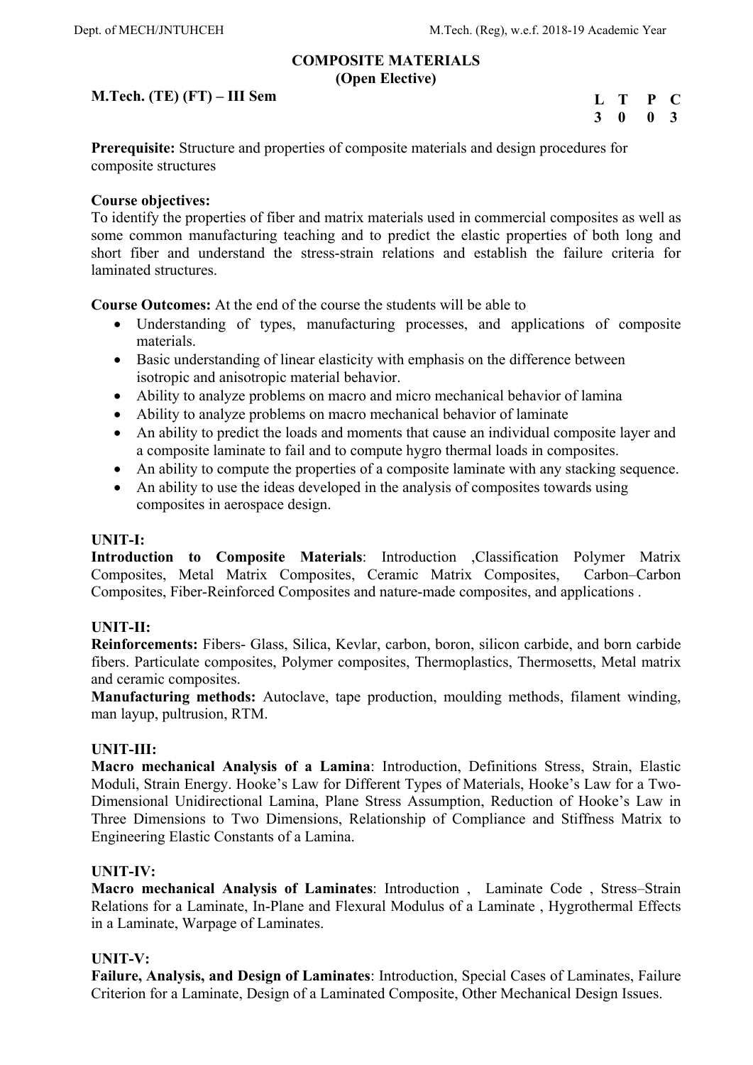### **COMPOSITE MATERIALS (Open Elective)**

### **M.Tech. (TE) (FT) – III Sem**

| $\mathbf{L}$ | Т | P            | C              |
|--------------|---|--------------|----------------|
| 3            | 0 | $\mathbf{0}$ | $\overline{3}$ |

**Prerequisite:** Structure and properties of composite materials and design procedures for composite structures

### **Course objectives:**

To identify the properties of fiber and matrix materials used in commercial composites as well as some common manufacturing teaching and to predict the elastic properties of both long and short fiber and understand the stress-strain relations and establish the failure criteria for laminated structures.

**Course Outcomes:** At the end of the course the students will be able to

- Understanding of types, manufacturing processes, and applications of composite materials.
- Basic understanding of linear elasticity with emphasis on the difference between isotropic and anisotropic material behavior.
- Ability to analyze problems on macro and micro mechanical behavior of lamina
- Ability to analyze problems on macro mechanical behavior of laminate
- An ability to predict the loads and moments that cause an individual composite layer and a composite laminate to fail and to compute hygro thermal loads in composites.
- An ability to compute the properties of a composite laminate with any stacking sequence.
- An ability to use the ideas developed in the analysis of composites towards using composites in aerospace design.

### **UNIT-I:**

**Introduction to Composite Materials**: Introduction ,Classification Polymer Matrix Composites, Metal Matrix Composites, Ceramic Matrix Composites, Carbon–Carbon Composites, Fiber-Reinforced Composites and nature-made composites, and applications .

### **UNIT-II:**

**Reinforcements:** Fibers- Glass, Silica, Kevlar, carbon, boron, silicon carbide, and born carbide fibers. Particulate composites, Polymer composites, Thermoplastics, Thermosetts, Metal matrix and ceramic composites.

**Manufacturing methods:** Autoclave, tape production, moulding methods, filament winding, man layup, pultrusion, RTM.

### **UNIT-III:**

**Macro mechanical Analysis of a Lamina**: Introduction, Definitions Stress, Strain, Elastic Moduli, Strain Energy. Hooke's Law for Different Types of Materials, Hooke's Law for a Two-Dimensional Unidirectional Lamina, Plane Stress Assumption, Reduction of Hooke's Law in Three Dimensions to Two Dimensions, Relationship of Compliance and Stiffness Matrix to Engineering Elastic Constants of a Lamina.

### **UNIT-IV:**

**Macro mechanical Analysis of Laminates**: Introduction , Laminate Code , Stress–Strain Relations for a Laminate, In-Plane and Flexural Modulus of a Laminate , Hygrothermal Effects in a Laminate, Warpage of Laminates.

### **UNIT-V:**

**Failure, Analysis, and Design of Laminates**: Introduction, Special Cases of Laminates, Failure Criterion for a Laminate, Design of a Laminated Composite, Other Mechanical Design Issues.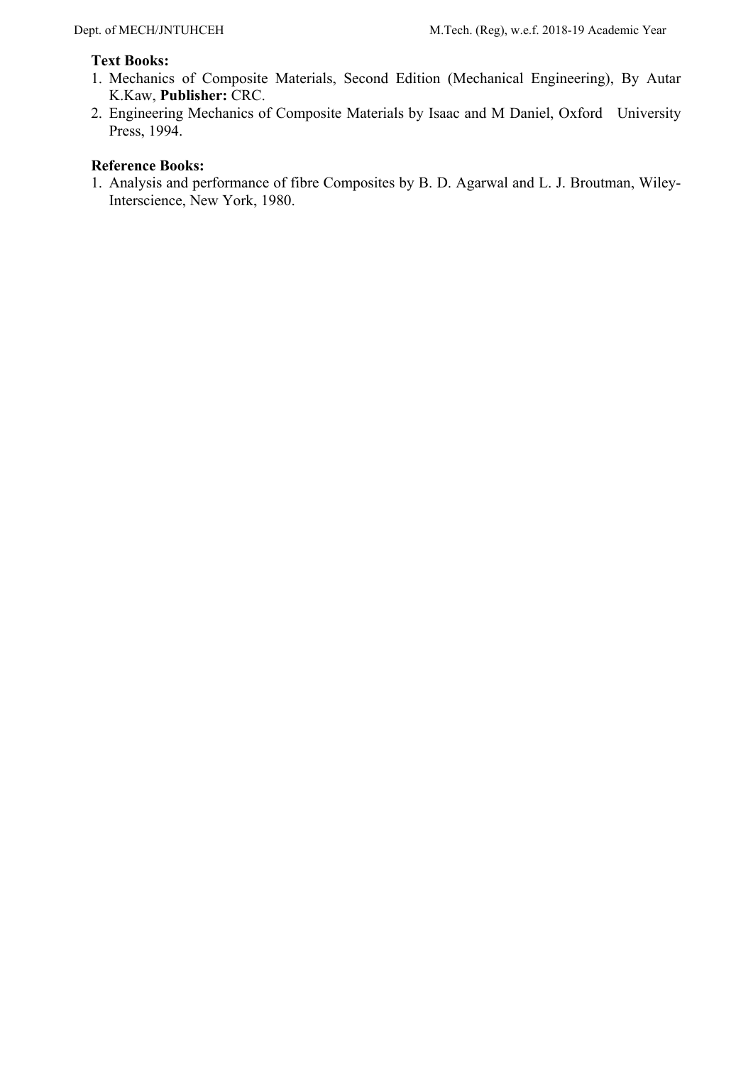### **Text Books:**

- 1. Mechanics of Composite Materials, Second Edition (Mechanical Engineering), By Autar K.Kaw, **Publisher:** CRC.
- 2. Engineering Mechanics of Composite Materials by Isaac and M Daniel, Oxford University Press, 1994.

## **Reference Books:**

1. Analysis and performance of fibre Composites by B. D. Agarwal and L. J. Broutman, Wiley-Interscience, New York, 1980.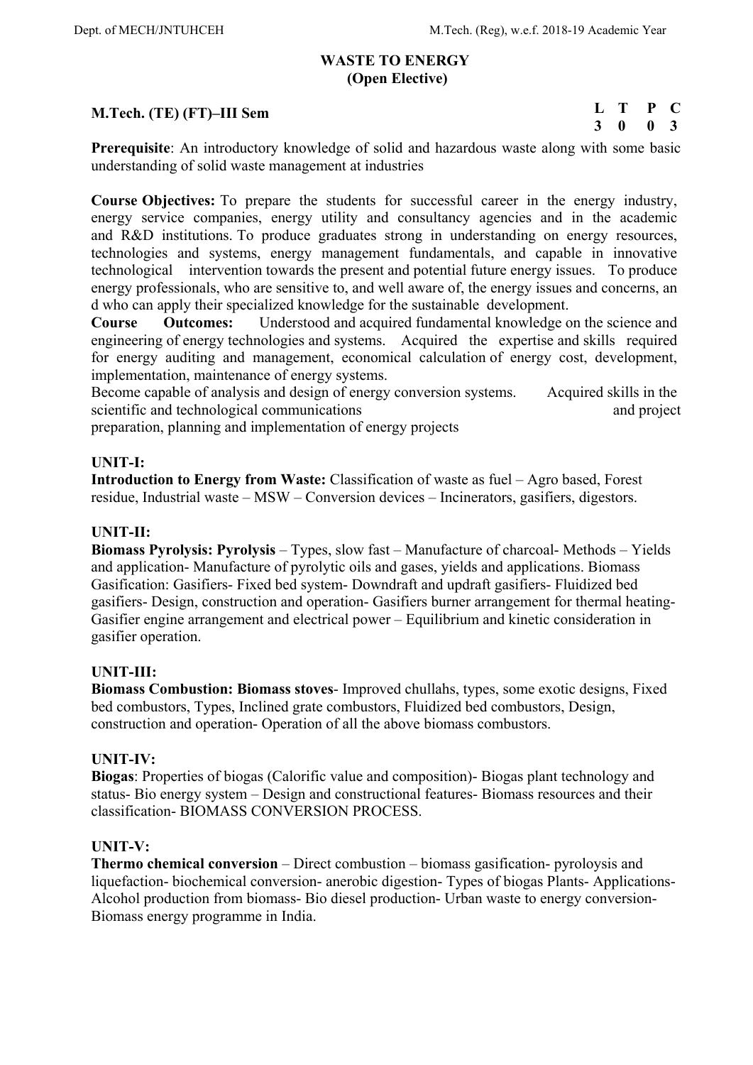### **WASTE TO ENERGY (Open Elective)**

## **M.Tech. (TE) (FT)–III Sem**

| L | т | P | <b>C</b>     |
|---|---|---|--------------|
| 3 | 0 | 0 | $\mathbf{3}$ |

**Prerequisite:** An introductory knowledge of solid and hazardous waste along with some basic understanding of solid waste management at industries

**Course Objectives:** To prepare the students for successful career in the energy industry, energy service companies, energy utility and consultancy agencies and in the academic and R&D institutions. To produce graduates strong in understanding on energy resources, technologies and systems, energy management fundamentals, and capable in innovative technological intervention towards the present and potential future energy issues. To produce energy professionals, who are sensitive to, and well aware of, the energy issues and concerns, an d who can apply their specialized knowledge for the sustainable development.

**Course Outcomes:** Understood and acquired fundamental knowledge on the science and engineering of energy technologies and systems. Acquired the expertise and skills required for energy auditing and management, economical calculation of energy cost, development, implementation, maintenance of energy systems.

Become capable of analysis and design of energy conversion systems. Acquired skills in the scientific and technological communications and project and project

preparation, planning and implementation of energy projects

### **UNIT-I:**

**Introduction to Energy from Waste:** Classification of waste as fuel – Agro based, Forest residue, Industrial waste – MSW – Conversion devices – Incinerators, gasifiers, digestors.

### **UNIT-II:**

**Biomass Pyrolysis: Pyrolysis** – Types, slow fast – Manufacture of charcoal- Methods – Yields and application- Manufacture of pyrolytic oils and gases, yields and applications. Biomass Gasification: Gasifiers- Fixed bed system- Downdraft and updraft gasifiers- Fluidized bed gasifiers- Design, construction and operation- Gasifiers burner arrangement for thermal heating-Gasifier engine arrangement and electrical power – Equilibrium and kinetic consideration in gasifier operation.

### **UNIT-III:**

**Biomass Combustion: Biomass stoves**- Improved chullahs, types, some exotic designs, Fixed bed combustors, Types, Inclined grate combustors, Fluidized bed combustors, Design, construction and operation- Operation of all the above biomass combustors.

### **UNIT-IV:**

**Biogas**: Properties of biogas (Calorific value and composition)- Biogas plant technology and status- Bio energy system – Design and constructional features- Biomass resources and their classification- BIOMASS CONVERSION PROCESS.

### **UNIT-V:**

**Thermo chemical conversion** – Direct combustion – biomass gasification- pyroloysis and liquefaction- biochemical conversion- anerobic digestion- Types of biogas Plants- Applications-Alcohol production from biomass- Bio diesel production- Urban waste to energy conversion-Biomass energy programme in India.